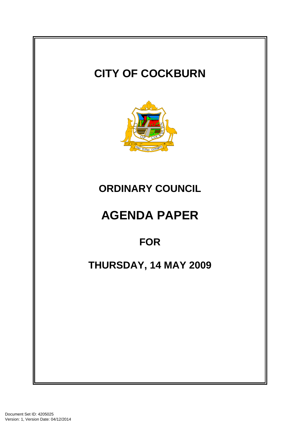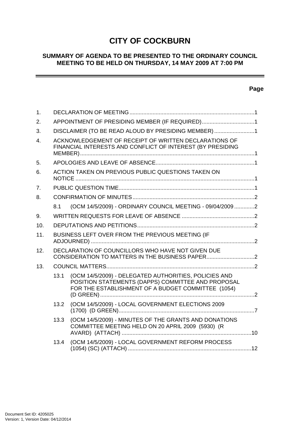# **CITY OF COCKBURN**

## **SUMMARY OF AGENDA TO BE PRESENTED TO THE ORDINARY COUNCIL MEETING TO BE HELD ON THURSDAY, 14 MAY 2009 AT 7:00 PM**

# **Page**

 $\sim$   $\sim$ 

| 1.             |                                                                                                                     |                                                                                                                                                                   |  |
|----------------|---------------------------------------------------------------------------------------------------------------------|-------------------------------------------------------------------------------------------------------------------------------------------------------------------|--|
| 2.             | APPOINTMENT OF PRESIDING MEMBER (IF REQUIRED)1                                                                      |                                                                                                                                                                   |  |
| 3.             | DISCLAIMER (TO BE READ ALOUD BY PRESIDING MEMBER)1                                                                  |                                                                                                                                                                   |  |
| $\mathbf{4}$ . | ACKNOWLEDGEMENT OF RECEIPT OF WRITTEN DECLARATIONS OF<br>FINANCIAL INTERESTS AND CONFLICT OF INTEREST (BY PRESIDING |                                                                                                                                                                   |  |
| 5.             |                                                                                                                     |                                                                                                                                                                   |  |
| 6.             | ACTION TAKEN ON PREVIOUS PUBLIC QUESTIONS TAKEN ON                                                                  |                                                                                                                                                                   |  |
| 7.             |                                                                                                                     |                                                                                                                                                                   |  |
| 8.             |                                                                                                                     |                                                                                                                                                                   |  |
|                | 8.1                                                                                                                 | (OCM 14/5/2009) - ORDINARY COUNCIL MEETING - 09/04/2009 2                                                                                                         |  |
| 9.             |                                                                                                                     |                                                                                                                                                                   |  |
| 10.            |                                                                                                                     |                                                                                                                                                                   |  |
| 11.            | BUSINESS LEFT OVER FROM THE PREVIOUS MEETING (IF                                                                    |                                                                                                                                                                   |  |
| 12.            | DECLARATION OF COUNCILLORS WHO HAVE NOT GIVEN DUE<br>CONSIDERATION TO MATTERS IN THE BUSINESS PAPER2                |                                                                                                                                                                   |  |
| 13.            |                                                                                                                     |                                                                                                                                                                   |  |
|                | 13.1                                                                                                                | (OCM 14/5/2009) - DELEGATED AUTHORITIES, POLICIES AND<br>POSITION STATEMENTS (DAPPS) COMMITTEE AND PROPOSAL<br>FOR THE ESTABLISHMENT OF A BUDGET COMMITTEE (1054) |  |
|                | 13.2                                                                                                                | (OCM 14/5/2009) - LOCAL GOVERNMENT ELECTIONS 2009                                                                                                                 |  |
|                | 13.3                                                                                                                | (OCM 14/5/2009) - MINUTES OF THE GRANTS AND DONATIONS<br>COMMITTEE MEETING HELD ON 20 APRIL 2009 (5930) (R                                                        |  |
|                | 13.4                                                                                                                | (OCM 14/5/2009) - LOCAL GOVERNMENT REFORM PROCESS                                                                                                                 |  |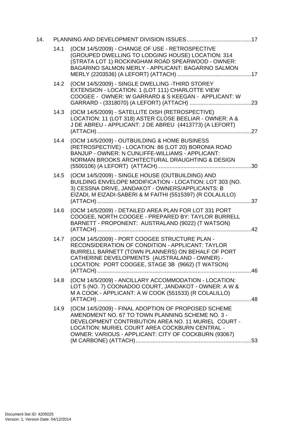| 14. |      |                                                                                                                                                                                                                                                                          |  |
|-----|------|--------------------------------------------------------------------------------------------------------------------------------------------------------------------------------------------------------------------------------------------------------------------------|--|
|     | 14.1 | (OCM 14/5/2009) - CHANGE OF USE - RETROSPECTIVE<br>(GROUPED DWELLING TO LODGING HOUSE) LOCATION: 314<br>(STRATA LOT 1) ROCKINGHAM ROAD SPEARWOOD - OWNER:<br>BAGARINO SALMON MERLY - APPLICANT: BAGARINO SALMON                                                          |  |
|     | 14.2 | (OCM 14/5/2009) - SINGLE DWELLING - THIRD STOREY<br>EXTENSION - LOCATION: 1 (LOT 111) CHARLOTTE VIEW<br>COOGEE - OWNER: W GARRARD & S KEEGAN - APPLICANT: W                                                                                                              |  |
|     | 14.3 | (OCM 14/5/2009) - SATELLITE DISH (RETROSPECTIVE)<br>LOCATION: 11 (LOT 318) ASTER CLOSE BEELIAR - OWNER: A &<br>J DE ABREU - APPLICANT: J DE ABREU (4413773) (A LEFORT)                                                                                                   |  |
|     | 14.4 | (OCM 14/5/2009) - OUTBUILDING & HOME BUSINESS<br>(RETROSPECTIVE) - LOCATION: 86 (LOT 20) BORONIA ROAD<br>BANJUP - OWNER: N CUNLIFFE-WILLIAMS - APPLICANT:<br>NORMAN BROOKS ARCHITECTURAL DRAUGHTING & DESIGN                                                             |  |
|     | 14.5 | (OCM 14/5/2009) - SINGLE HOUSE (OUTBUILDING) AND<br>BUILDING ENVELOPE MODIFICATION - LOCATION: LOT 303 (NO.<br>3) CESSNA DRIVE, JANDAKOT - OWNERS/APPLICANTS: B<br>EIZADI, M EIZADI-SABERI & M FAITHI (5515397) (R COLALILLO)                                            |  |
|     | 14.6 | (OCM 14/5/2009) - DETAILED AREA PLAN FOR LOT 331 PORT<br>COOGEE, NORTH COOGEE - PREPARED BY: TAYLOR BURRELL<br>BARNETT - PROPONENT: AUSTRALAND (9022) (T WATSON)                                                                                                         |  |
|     | 14.7 | (OCM 14/5/2009) - PORT COOGEE STRUCTURE PLAN -<br>RECONSIDERATION OF CONDITION - APPLICANT: TAYLOR<br>BURRELL BARNETT (TOWN PLANNERS) ON BEHALF OF PORT<br>CATHERINE DEVELOPMENTS (AUSTRALAND - OWNER) -<br>LOCATION: PORT COOGEE, STAGE 3B (9662) (T WATSON)            |  |
|     | 14.8 | (OCM 14/5/2009) - ANCILLARY ACCOMMODATION - LOCATION:<br>LOT 5 (NO. 7) COONADOO COURT, JANDAKOT - OWNER: A W &<br>M A COOK - APPLICANT: A W COOK (551533) (R COLALILLO)                                                                                                  |  |
|     | 14.9 | (OCM 14/5/2009) - FINAL ADOPTION OF PROPOSED SCHEME<br>AMENDMENT NO. 67 TO TOWN PLANNING SCHEME NO. 3 -<br>DEVELOPMENT CONTRIBUTION AREA NO. 11 MURIEL COURT -<br>LOCATION: MURIEL COURT AREA COCKBURN CENTRAL -<br>OWNER: VARIOUS - APPLICANT: CITY OF COCKBURN (93067) |  |
|     |      |                                                                                                                                                                                                                                                                          |  |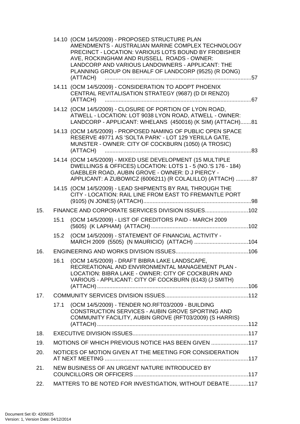|     |      | 14.10 (OCM 14/5/2009) - PROPOSED STRUCTURE PLAN<br>AMENDMENTS - AUSTRALIAN MARINE COMPLEX TECHNOLOGY<br>PRECINCT - LOCATION: VARIOUS LOTS BOUND BY FROBISHER<br>AVE, ROCKINGHAM AND RUSSELL ROADS - OWNER:<br>LANDCORP AND VARIOUS LANDOWNERS - APPLICANT: THE<br>PLANNING GROUP ON BEHALF OF LANDCORP (9525) (R DONG)<br>(ATTACH) |  |
|-----|------|------------------------------------------------------------------------------------------------------------------------------------------------------------------------------------------------------------------------------------------------------------------------------------------------------------------------------------|--|
|     |      | 14.11 (OCM 14/5/2009) - CONSIDERATION TO ADOPT PHOENIX<br>CENTRAL REVITALISATION STRATEGY (9687) (D DI RENZO)<br>(ATTACH)                                                                                                                                                                                                          |  |
|     |      | 14.12 (OCM 14/5/2009) - CLOSURE OF PORTION OF LYON ROAD,<br>ATWELL - LOCATION: LOT 9038 LYON ROAD, ATWELL - OWNER:<br>LANDCORP - APPLICANT: WHELANS (450016) (K SIM) (ATTACH)81                                                                                                                                                    |  |
|     |      | 14.13 (OCM 14/5/2009) - PROPOSED NAMING OF PUBLIC OPEN SPACE<br>RESERVE 49771 AS 'SOLTA PARK' - LOT 129 YERILLA GATE,<br>MUNSTER - OWNER: CITY OF COCKBURN (1050) (A TROSIC)<br>(ATTACH)                                                                                                                                           |  |
|     |      | 14.14 (OCM 14/5/2009) - MIXED USE DEVELOPMENT (15 MULTIPLE<br>DWELLINGS & OFFICES) LOCATION: LOTS 1 - 5 (NO.'S 176 - 184)<br>GAEBLER ROAD, AUBIN GROVE - OWNER: D J PIERCY -<br>APPLICANT: A ZUBOWICZ (6006211) (R COLALILLO) (ATTACH) 87                                                                                          |  |
|     |      | 14.15 (OCM 14/5/2009) - LEAD SHIPMENTS BY RAIL THROUGH THE<br>CITY - LOCATION: RAIL LINE FROM EAST TO FREMANTLE PORT                                                                                                                                                                                                               |  |
| 15. |      | FINANCE AND CORPORATE SERVICES DIVISION ISSUES102                                                                                                                                                                                                                                                                                  |  |
|     | 15.1 | (OCM 14/5/2009) - LIST OF CREDITORS PAID - MARCH 2009                                                                                                                                                                                                                                                                              |  |
|     |      | 15.2 (OCM 14/5/2009) - STATEMENT OF FINANCIAL ACTIVITY -                                                                                                                                                                                                                                                                           |  |
| 16. |      |                                                                                                                                                                                                                                                                                                                                    |  |
|     |      | 16.1 (OCM 14/5/2009) - DRAFT BIBRA LAKE LANDSCAPE,<br>RECREATIONAL AND ENVIRONMENTAL MANAGEMENT PLAN -<br>LOCATION: BIBRA LAKE - OWNER: CITY OF COCKBURN AND<br>VARIOUS - APPLICANT: CITY OF COCKBURN (6143) (J SMITH)                                                                                                             |  |
| 17. |      |                                                                                                                                                                                                                                                                                                                                    |  |
|     | 17.1 | (OCM 14/5/2009) - TENDER NO.RFT03/2009 - BUILDING<br>CONSTRUCTION SERVICES - AUBIN GROVE SPORTING AND<br>COMMUNITY FACILITY, AUBIN GROVE (RFT03/2009) (S HARRIS)                                                                                                                                                                   |  |
| 18. |      |                                                                                                                                                                                                                                                                                                                                    |  |
| 19. |      | MOTIONS OF WHICH PREVIOUS NOTICE HAS BEEN GIVEN 117                                                                                                                                                                                                                                                                                |  |
| 20. |      | NOTICES OF MOTION GIVEN AT THE MEETING FOR CONSIDERATION                                                                                                                                                                                                                                                                           |  |
| 21. |      | NEW BUSINESS OF AN URGENT NATURE INTRODUCED BY                                                                                                                                                                                                                                                                                     |  |
| 22. |      | MATTERS TO BE NOTED FOR INVESTIGATION, WITHOUT DEBATE117                                                                                                                                                                                                                                                                           |  |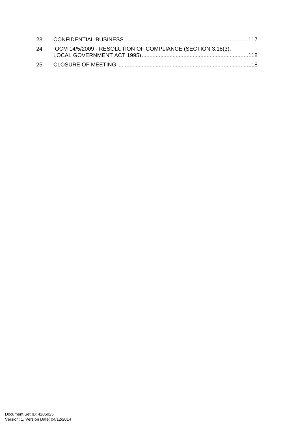| 24 OCM 14/5/2009 - RESOLUTION OF COMPLIANCE (SECTION 3.18(3), |  |
|---------------------------------------------------------------|--|
|                                                               |  |
|                                                               |  |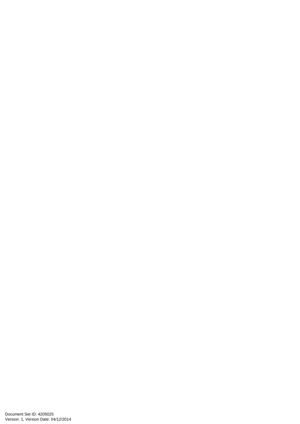Document Set ID: 4205025<br>Version: 1, Version Date: 04/12/2014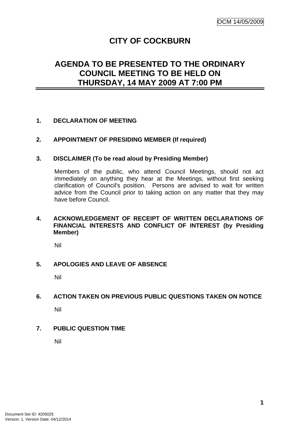# **CITY OF COCKBURN**

# <span id="page-6-0"></span>**AGENDA TO BE PRESENTED TO THE ORDINARY COUNCIL MEETING TO BE HELD ON THURSDAY, 14 MAY 2009 AT 7:00 PM**

## **1. DECLARATION OF MEETING**

## **2. APPOINTMENT OF PRESIDING MEMBER (If required)**

## **3. DISCLAIMER (To be read aloud by Presiding Member)**

Members of the public, who attend Council Meetings, should not act immediately on anything they hear at the Meetings, without first seeking clarification of Council's position. Persons are advised to wait for written advice from the Council prior to taking action on any matter that they may have before Council.

## **4. ACKNOWLEDGEMENT OF RECEIPT OF WRITTEN DECLARATIONS OF FINANCIAL INTERESTS AND CONFLICT OF INTEREST (by Presiding Member)**

Nil

## **5. APOLOGIES AND LEAVE OF ABSENCE**

Nil

## **6. ACTION TAKEN ON PREVIOUS PUBLIC QUESTIONS TAKEN ON NOTICE**

Nil

## **7. PUBLIC QUESTION TIME**

Nil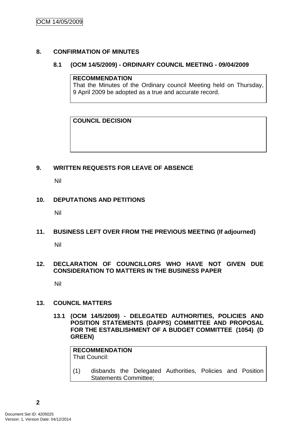## <span id="page-7-0"></span>**8. CONFIRMATION OF MINUTES**

## **8.1 (OCM 14/5/2009) - ORDINARY COUNCIL MEETING - 09/04/2009**

#### **RECOMMENDATION**

That the Minutes of the Ordinary council Meeting held on Thursday, 9 April 2009 be adopted as a true and accurate record.

**COUNCIL DECISION** 

## **9. WRITTEN REQUESTS FOR LEAVE OF ABSENCE**

Nil

## **10. DEPUTATIONS AND PETITIONS**

Nil

# **11. BUSINESS LEFT OVER FROM THE PREVIOUS MEETING (If adjourned)**

Nil

# **12. DECLARATION OF COUNCILLORS WHO HAVE NOT GIVEN DUE CONSIDERATION TO MATTERS IN THE BUSINESS PAPER**

Nil

## **13. COUNCIL MATTERS**

**13.1 (OCM 14/5/2009) - DELEGATED AUTHORITIES, POLICIES AND POSITION STATEMENTS (DAPPS) COMMITTEE AND PROPOSAL FOR THE ESTABLISHMENT OF A BUDGET COMMITTEE (1054) (D GREEN)** 

**RECOMMENDATION** That Council:

(1) disbands the Delegated Authorities, Policies and Position Statements Committee;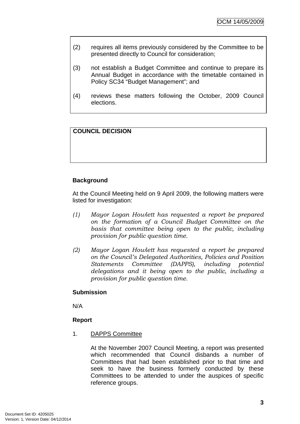- (2) requires all items previously considered by the Committee to be presented directly to Council for consideration;
- (3) not establish a Budget Committee and continue to prepare its Annual Budget in accordance with the timetable contained in Policy SC34 "Budget Management"; and
- (4) reviews these matters following the October, 2009 Council elections.

# **COUNCIL DECISION**

## **Background**

At the Council Meeting held on 9 April 2009, the following matters were listed for investigation:

- *(1) Mayor Logan Howlett has requested a report be prepared on the formation of a Council Budget Committee on the basis that committee being open to the public, including provision for public question time.*
- *(2) Mayor Logan Howlett has requested a report be prepared on the Council's Delegated Authorities, Policies and Position Statements Committee (DAPPS), including potential delegations and it being open to the public, including a provision for public question time.*

## **Submission**

N/A

# **Report**

1. DAPPS Committee

At the November 2007 Council Meeting, a report was presented which recommended that Council disbands a number of Committees that had been established prior to that time and seek to have the business formerly conducted by these Committees to be attended to under the auspices of specific reference groups.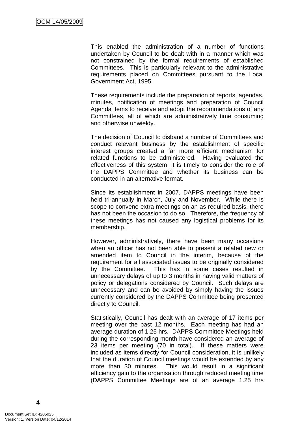This enabled the administration of a number of functions undertaken by Council to be dealt with in a manner which was not constrained by the formal requirements of established Committees. This is particularly relevant to the administrative requirements placed on Committees pursuant to the Local Government Act, 1995.

These requirements include the preparation of reports, agendas, minutes, notification of meetings and preparation of Council Agenda items to receive and adopt the recommendations of any Committees, all of which are administratively time consuming and otherwise unwieldy.

The decision of Council to disband a number of Committees and conduct relevant business by the establishment of specific interest groups created a far more efficient mechanism for related functions to be administered. Having evaluated the effectiveness of this system, it is timely to consider the role of the DAPPS Committee and whether its business can be conducted in an alternative format.

Since its establishment in 2007, DAPPS meetings have been held tri-annually in March, July and November. While there is scope to convene extra meetings on an as required basis, there has not been the occasion to do so. Therefore, the frequency of these meetings has not caused any logistical problems for its membership.

However, administratively, there have been many occasions when an officer has not been able to present a related new or amended item to Council in the interim, because of the requirement for all associated issues to be originally considered by the Committee. This has in some cases resulted in unnecessary delays of up to 3 months in having valid matters of policy or delegations considered by Council. Such delays are unnecessary and can be avoided by simply having the issues currently considered by the DAPPS Committee being presented directly to Council.

Statistically, Council has dealt with an average of 17 items per meeting over the past 12 months. Each meeting has had an average duration of 1.25 hrs. DAPPS Committee Meetings held during the corresponding month have considered an average of 23 items per meeting (70 in total). If these matters were included as items directly for Council consideration, it is unlikely that the duration of Council meetings would be extended by any more than 30 minutes. This would result in a significant efficiency gain to the organisation through reduced meeting time (DAPPS Committee Meetings are of an average 1.25 hrs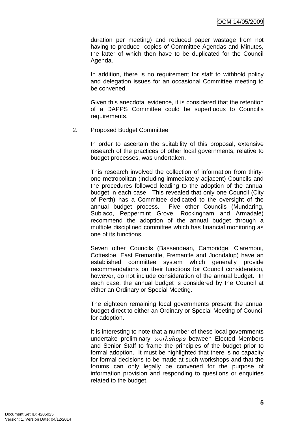duration per meeting) and reduced paper wastage from not having to produce copies of Committee Agendas and Minutes, the latter of which then have to be duplicated for the Council Agenda.

In addition, there is no requirement for staff to withhold policy and delegation issues for an occasional Committee meeting to be convened.

Given this anecdotal evidence, it is considered that the retention of a DAPPS Committee could be superfluous to Council's requirements.

#### 2. Proposed Budget Committee

In order to ascertain the suitability of this proposal, extensive research of the practices of other local governments, relative to budget processes, was undertaken.

This research involved the collection of information from thirtyone metropolitan (including immediately adjacent) Councils and the procedures followed leading to the adoption of the annual budget in each case. This revealed that only one Council (City of Perth) has a Committee dedicated to the oversight of the annual budget process. Five other Councils (Mundaring, Subiaco, Peppermint Grove, Rockingham and Armadale) recommend the adoption of the annual budget through a multiple disciplined committee which has financial monitoring as one of its functions.

Seven other Councils (Bassendean, Cambridge, Claremont, Cottesloe, East Fremantle, Fremantle and Joondalup) have an established committee system which generally provide recommendations on their functions for Council consideration, however, do not include consideration of the annual budget. In each case, the annual budget is considered by the Council at either an Ordinary or Special Meeting.

The eighteen remaining local governments present the annual budget direct to either an Ordinary or Special Meeting of Council for adoption.

It is interesting to note that a number of these local governments undertake preliminary *workshops* between Elected Members and Senior Staff to frame the principles of the budget prior to formal adoption. It must be highlighted that there is no capacity for formal decisions to be made at such workshops and that the forums can only legally be convened for the purpose of information provision and responding to questions or enquiries related to the budget.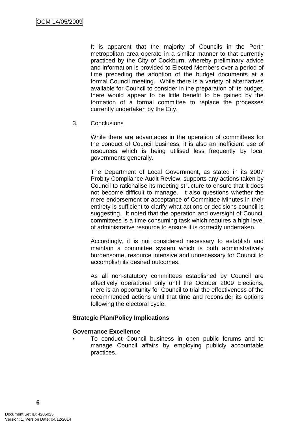It is apparent that the majority of Councils in the Perth metropolitan area operate in a similar manner to that currently practiced by the City of Cockburn, whereby preliminary advice and information is provided to Elected Members over a period of time preceding the adoption of the budget documents at a formal Council meeting. While there is a variety of alternatives available for Council to consider in the preparation of its budget, there would appear to be little benefit to be gained by the formation of a formal committee to replace the processes currently undertaken by the City.

## 3. Conclusions

While there are advantages in the operation of committees for the conduct of Council business, it is also an inefficient use of resources which is being utilised less frequently by local governments generally.

The Department of Local Government, as stated in its 2007 Probity Compliance Audit Review, supports any actions taken by Council to rationalise its meeting structure to ensure that it does not become difficult to manage. It also questions whether the mere endorsement or acceptance of Committee Minutes in their entirety is sufficient to clarify what actions or decisions council is suggesting. It noted that the operation and oversight of Council committees is a time consuming task which requires a high level of administrative resource to ensure it is correctly undertaken.

Accordingly, it is not considered necessary to establish and maintain a committee system which is both administratively burdensome, resource intensive and unnecessary for Council to accomplish its desired outcomes.

As all non-statutory committees established by Council are effectively operational only until the October 2009 Elections, there is an opportunity for Council to trial the effectiveness of the recommended actions until that time and reconsider its options following the electoral cycle.

## **Strategic Plan/Policy Implications**

#### **Governance Excellence**

• To conduct Council business in open public forums and to manage Council affairs by employing publicly accountable practices.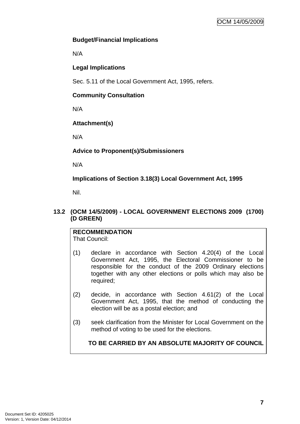## <span id="page-12-0"></span>**Budget/Financial Implications**

N/A

# **Legal Implications**

Sec. 5.11 of the Local Government Act, 1995, refers.

# **Community Consultation**

N/A

# **Attachment(s)**

N/A

**Advice to Proponent(s)/Submissioners** 

N/A

**Implications of Section 3.18(3) Local Government Act, 1995**

Nil.

# **13.2 (OCM 14/5/2009) - LOCAL GOVERNMENT ELECTIONS 2009 (1700) (D GREEN)**

**RECOMMENDATION** That Council:

- (1) declare in accordance with Section 4.20(4) of the Local Government Act, 1995, the Electoral Commissioner to be responsible for the conduct of the 2009 Ordinary elections together with any other elections or polls which may also be required;
- (2) decide, in accordance with Section 4.61(2) of the Local Government Act, 1995, that the method of conducting the election will be as a postal election; and
- (3) seek clarification from the Minister for Local Government on the method of voting to be used for the elections.

**TO BE CARRIED BY AN ABSOLUTE MAJORITY OF COUNCIL**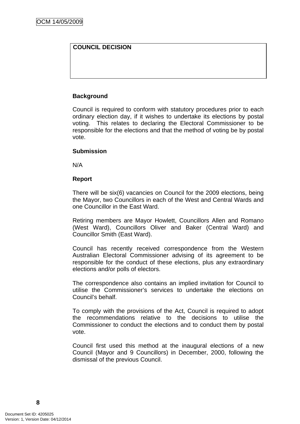# **COUNCIL DECISION**

## **Background**

Council is required to conform with statutory procedures prior to each ordinary election day, if it wishes to undertake its elections by postal voting. This relates to declaring the Electoral Commissioner to be responsible for the elections and that the method of voting be by postal vote.

## **Submission**

N/A

#### **Report**

There will be six(6) vacancies on Council for the 2009 elections, being the Mayor, two Councillors in each of the West and Central Wards and one Councillor in the East Ward.

Retiring members are Mayor Howlett, Councillors Allen and Romano (West Ward), Councillors Oliver and Baker (Central Ward) and Councillor Smith (East Ward).

Council has recently received correspondence from the Western Australian Electoral Commissioner advising of its agreement to be responsible for the conduct of these elections, plus any extraordinary elections and/or polls of electors.

The correspondence also contains an implied invitation for Council to utilise the Commissioner's services to undertake the elections on Council's behalf.

To comply with the provisions of the Act, Council is required to adopt the recommendations relative to the decisions to utilise the Commissioner to conduct the elections and to conduct them by postal vote.

Council first used this method at the inaugural elections of a new Council (Mayor and 9 Councillors) in December, 2000, following the dismissal of the previous Council.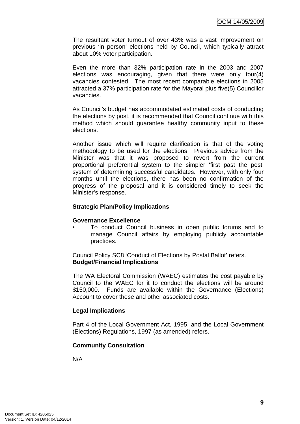The resultant voter turnout of over 43% was a vast improvement on previous 'in person' elections held by Council, which typically attract about 10% voter participation.

Even the more than 32% participation rate in the 2003 and 2007 elections was encouraging, given that there were only four(4) vacancies contested. The most recent comparable elections in 2005 attracted a 37% participation rate for the Mayoral plus five(5) Councillor vacancies.

As Council's budget has accommodated estimated costs of conducting the elections by post, it is recommended that Council continue with this method which should guarantee healthy community input to these elections.

Another issue which will require clarification is that of the voting methodology to be used for the elections. Previous advice from the Minister was that it was proposed to revert from the current proportional preferential system to the simpler 'first past the post' system of determining successful candidates. However, with only four months until the elections, there has been no confirmation of the progress of the proposal and it is considered timely to seek the Minister's response.

## **Strategic Plan/Policy Implications**

#### **Governance Excellence**

• To conduct Council business in open public forums and to manage Council affairs by employing publicly accountable practices.

Council Policy SC8 'Conduct of Elections by Postal Ballot' refers. **Budget/Financial Implications**

The WA Electoral Commission (WAEC) estimates the cost payable by Council to the WAEC for it to conduct the elections will be around \$150,000. Funds are available within the Governance (Elections) Account to cover these and other associated costs.

## **Legal Implications**

Part 4 of the Local Government Act, 1995, and the Local Government (Elections) Regulations, 1997 (as amended) refers.

## **Community Consultation**

N/A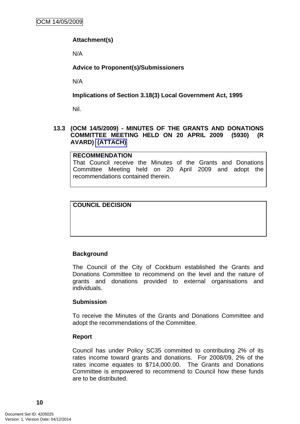# <span id="page-15-0"></span>**Attachment(s)**

N/A

# **Advice to Proponent(s)/Submissioners**

N/A

**Implications of Section 3.18(3) Local Government Act, 1995**

Nil.

## **13.3 (OCM 14/5/2009) - MINUTES OF THE GRANTS AND DONATIONS COMMITTEE MEETING HELD ON 20 APRIL 2009 (5930) (R AVARD) (ATTACH)**

## **RECOMMENDATION**

That Council receive the Minutes of the Grants and Donations Committee Meeting held on 20 April 2009 and adopt the recommendations contained therein.

# **COUNCIL DECISION**

# **Background**

The Council of the City of Cockburn established the Grants and Donations Committee to recommend on the level and the nature of grants and donations provided to external organisations and individuals.

## **Submission**

To receive the Minutes of the Grants and Donations Committee and adopt the recommendations of the Committee.

## **Report**

Council has under Policy SC35 committed to contributing 2% of its rates income toward grants and donations. For 2008/09, 2% of the rates income equates to \$714,000.00. The Grants and Donations Committee is empowered to recommend to Council how these funds are to be distributed.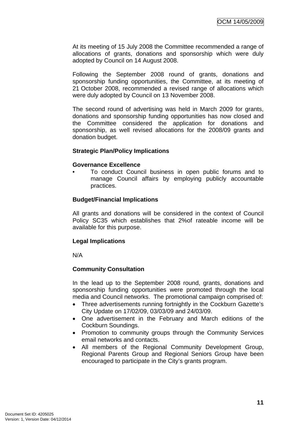At its meeting of 15 July 2008 the Committee recommended a range of allocations of grants, donations and sponsorship which were duly adopted by Council on 14 August 2008.

Following the September 2008 round of grants, donations and sponsorship funding opportunities, the Committee, at its meeting of 21 October 2008, recommended a revised range of allocations which were duly adopted by Council on 13 November 2008.

The second round of advertising was held in March 2009 for grants, donations and sponsorship funding opportunities has now closed and the Committee considered the application for donations and sponsorship, as well revised allocations for the 2008/09 grants and donation budget.

#### **Strategic Plan/Policy Implications**

#### **Governance Excellence**

• To conduct Council business in open public forums and to manage Council affairs by employing publicly accountable practices.

#### **Budget/Financial Implications**

All grants and donations will be considered in the context of Council Policy SC35 which establishes that 2%of rateable income will be available for this purpose.

## **Legal Implications**

N/A

## **Community Consultation**

In the lead up to the September 2008 round, grants, donations and sponsorship funding opportunities were promoted through the local media and Council networks. The promotional campaign comprised of:

- Three advertisements running fortnightly in the Cockburn Gazette's City Update on 17/02/09, 03/03/09 and 24/03/09.
- One advertisement in the February and March editions of the Cockburn Soundings.
- Promotion to community groups through the Community Services email networks and contacts.
- All members of the Regional Community Development Group, Regional Parents Group and Regional Seniors Group have been encouraged to participate in the City's grants program.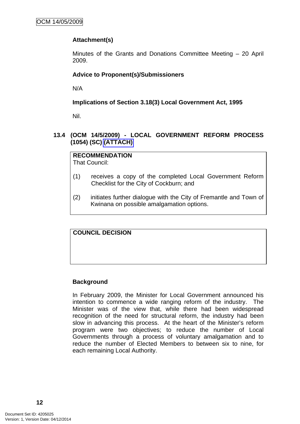# <span id="page-17-0"></span>**Attachment(s)**

Minutes of the Grants and Donations Committee Meeting – 20 April 2009.

## **Advice to Proponent(s)/Submissioners**

N/A

# **Implications of Section 3.18(3) Local Government Act, 1995**

Nil.

## **13.4 (OCM 14/5/2009) - LOCAL GOVERNMENT REFORM PROCESS (1054) (SC) (ATTACH)**

#### **RECOMMENDATION** That Council:

- (1) receives a copy of the completed Local Government Reform Checklist for the City of Cockburn; and
- (2) initiates further dialogue with the City of Fremantle and Town of Kwinana on possible amalgamation options.

# **COUNCIL DECISION**

# **Background**

In February 2009, the Minister for Local Government announced his intention to commence a wide ranging reform of the industry. The Minister was of the view that, while there had been widespread recognition of the need for structural reform, the industry had been slow in advancing this process. At the heart of the Minister's reform program were two objectives; to reduce the number of Local Governments through a process of voluntary amalgamation and to reduce the number of Elected Members to between six to nine, for each remaining Local Authority.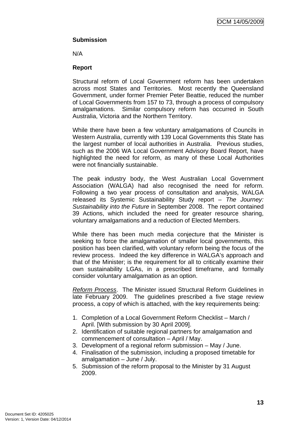OCM 14/05/2009

## **Submission**

N/A

## **Report**

Structural reform of Local Government reform has been undertaken across most States and Territories. Most recently the Queensland Government, under former Premier Peter Beattie, reduced the number of Local Governments from 157 to 73, through a process of compulsory amalgamations. Similar compulsory reform has occurred in South Australia, Victoria and the Northern Territory.

While there have been a few voluntary amalgamations of Councils in Western Australia, currently with 139 Local Governments this State has the largest number of local authorities in Australia. Previous studies, such as the 2006 WA Local Government Advisory Board Report, have highlighted the need for reform, as many of these Local Authorities were not financially sustainable.

The peak industry body, the West Australian Local Government Association (WALGA) had also recognised the need for reform. Following a two year process of consultation and analysis, WALGA released its Systemic Sustainability Study report – *The Journey: Sustainability into the Future* in September 2008. The report contained 39 Actions, which included the need for greater resource sharing, voluntary amalgamations and a reduction of Elected Members.

While there has been much media conjecture that the Minister is seeking to force the amalgamation of smaller local governments, this position has been clarified, with voluntary reform being the focus of the review process. Indeed the key difference in WALGA's approach and that of the Minister; is the requirement for all to critically examine their own sustainability LGAs, in a prescribed timeframe, and formally consider voluntary amalgamation as an option.

*Reform Process*. The Minister issued Structural Reform Guidelines in late February 2009. The guidelines prescribed a five stage review process, a copy of which is attached, with the key requirements being:

- 1. Completion of a Local Government Reform Checklist March / April. [With submission by 30 April 2009].
- 2. Identification of suitable regional partners for amalgamation and commencement of consultation – April / May.
- 3. Development of a regional reform submission May / June.
- 4. Finalisation of the submission, including a proposed timetable for amalgamation – June / July.
- 5. Submission of the reform proposal to the Minister by 31 August 2009.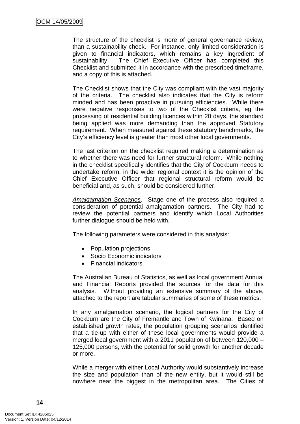The structure of the checklist is more of general governance review, than a sustainability check. For instance, only limited consideration is given to financial indicators, which remains a key ingredient of sustainability. The Chief Executive Officer has completed this Checklist and submitted it in accordance with the prescribed timeframe, and a copy of this is attached.

The Checklist shows that the City was compliant with the vast majority of the criteria. The checklist also indicates that the City is reform minded and has been proactive in pursuing efficiencies. While there were negative responses to two of the Checklist criteria, eg the processing of residential building licences within 20 days, the standard being applied was more demanding than the approved Statutory requirement. When measured against these statutory benchmarks, the City's efficiency level is greater than most other local governments.

The last criterion on the checklist required making a determination as to whether there was need for further structural reform. While nothing in the checklist specifically identifies that the City of Cockburn needs to undertake reform, in the wider regional context it is the opinion of the Chief Executive Officer that regional structural reform would be beneficial and, as such, should be considered further.

*Amalgamation Scenarios*. Stage one of the process also required a consideration of potential amalgamation partners. The City had to review the potential partners and identify which Local Authorities further dialogue should be held with.

The following parameters were considered in this analysis:

- Population projections
- Socio Economic indicators
- Financial indicators

The Australian Bureau of Statistics, as well as local government Annual and Financial Reports provided the sources for the data for this analysis. Without providing an extensive summary of the above, attached to the report are tabular summaries of some of these metrics.

In any amalgamation scenario, the logical partners for the City of Cockburn are the City of Fremantle and Town of Kwinana. Based on established growth rates, the population grouping scenarios identified that a tie-up with either of these local governments would provide a merged local government with a 2011 population of between 120,000 – 125,000 persons, with the potential for solid growth for another decade or more.

While a merger with either Local Authority would substantively increase the size and population than of the new entity, but it would still be nowhere near the biggest in the metropolitan area. The Cities of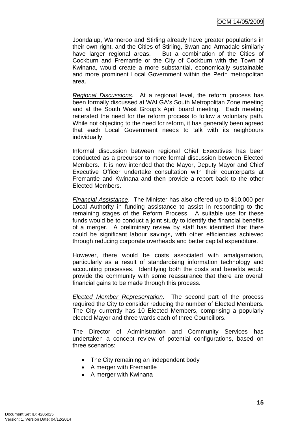Joondalup, Wanneroo and Stirling already have greater populations in their own right, and the Cities of Stirling, Swan and Armadale similarly have larger regional areas. But a combination of the Cities of Cockburn and Fremantle or the City of Cockburn with the Town of Kwinana, would create a more substantial, economically sustainable and more prominent Local Government within the Perth metropolitan area.

*Regional Discussions*. At a regional level, the reform process has been formally discussed at WALGA's South Metropolitan Zone meeting and at the South West Group's April board meeting. Each meeting reiterated the need for the reform process to follow a voluntary path. While not objecting to the need for reform, it has generally been agreed that each Local Government needs to talk with its neighbours individually.

Informal discussion between regional Chief Executives has been conducted as a precursor to more formal discussion between Elected Members. It is now intended that the Mayor, Deputy Mayor and Chief Executive Officer undertake consultation with their counterparts at Fremantle and Kwinana and then provide a report back to the other Elected Members.

*Financial Assistance*. The Minister has also offered up to \$10,000 per Local Authority in funding assistance to assist in responding to the remaining stages of the Reform Process. A suitable use for these funds would be to conduct a joint study to identify the financial benefits of a merger. A preliminary review by staff has identified that there could be significant labour savings, with other efficiencies achieved through reducing corporate overheads and better capital expenditure.

However, there would be costs associated with amalgamation, particularly as a result of standardising information technology and accounting processes. Identifying both the costs and benefits would provide the community with some reassurance that there are overall financial gains to be made through this process.

*Elected Member Representation*. The second part of the process required the City to consider reducing the number of Elected Members. The City currently has 10 Elected Members, comprising a popularly elected Mayor and three wards each of three Councillors.

The Director of Administration and Community Services has undertaken a concept review of potential configurations, based on three scenarios:

- The City remaining an independent body
- A merger with Fremantle
- A merger with Kwinana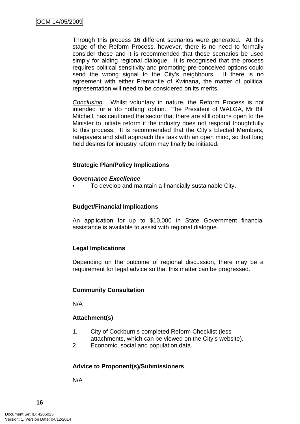Through this process 16 different scenarios were generated. At this stage of the Reform Process, however, there is no need to formally consider these and it is recommended that these scenarios be used simply for aiding regional dialogue. It is recognised that the process requires political sensitivity and promoting pre-conceived options could send the wrong signal to the City's neighbours. If there is no agreement with either Fremantle of Kwinana, the matter of political representation will need to be considered on its merits.

*Conclusion*. Whilst voluntary in nature, the Reform Process is not intended for a 'do nothing' option. The President of WALGA, Mr Bill Mitchell, has cautioned the sector that there are still options open to the Minister to initiate reform if the industry does not respond thoughtfully to this process. It is recommended that the City's Elected Members, ratepayers and staff approach this task with an open mind, so that long held desires for industry reform may finally be initiated.

## **Strategic Plan/Policy Implications**

## *Governance Excellence*

• To develop and maintain a financially sustainable City.

## **Budget/Financial Implications**

An application for up to \$10,000 in State Government financial assistance is available to assist with regional dialogue.

# **Legal Implications**

Depending on the outcome of regional discussion, there may be a requirement for legal advice so that this matter can be progressed.

# **Community Consultation**

N/A

# **Attachment(s)**

- 1. City of Cockburn's completed Reform Checklist (less attachments, which can be viewed on the City's website).
- 2. Economic, social and population data.

## **Advice to Proponent(s)/Submissioners**

N/A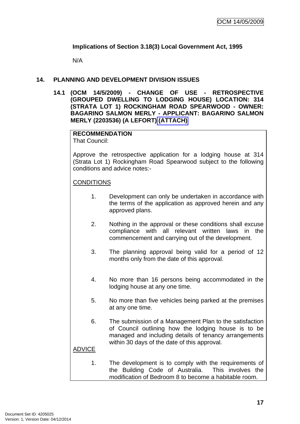## <span id="page-22-0"></span>**Implications of Section 3.18(3) Local Government Act, 1995**

N/A

## **14. PLANNING AND DEVELOPMENT DIVISION ISSUES**

**14.1 (OCM 14/5/2009) - CHANGE OF USE - RETROSPECTIVE (GROUPED DWELLING TO LODGING HOUSE) LOCATION: 314 (STRATA LOT 1) ROCKINGHAM ROAD SPEARWOOD - OWNER: BAGARINO SALMON MERLY - APPLICANT: BAGARINO SALMON MERLY (2203536) (A LEFORT) (ATTACH)** 

**RECOMMENDATION** That Council:

Approve the retrospective application for a lodging house at 314 (Strata Lot 1) Rockingham Road Spearwood subject to the following conditions and advice notes:-

## **CONDITIONS**

- 1. Development can only be undertaken in accordance with the terms of the application as approved herein and any approved plans.
- 2. Nothing in the approval or these conditions shall excuse compliance with all relevant written laws in the commencement and carrying out of the development.
- 3. The planning approval being valid for a period of 12 months only from the date of this approval.
- 4. No more than 16 persons being accommodated in the lodging house at any one time.
- 5. No more than five vehicles being parked at the premises at any one time.
- 6. The submission of a Management Plan to the satisfaction of Council outlining how the lodging house is to be managed and including details of tenancy arrangements within 30 days of the date of this approval.

## ADVICE

1. The development is to comply with the requirements of the Building Code of Australia. This involves the modification of Bedroom 8 to become a habitable room.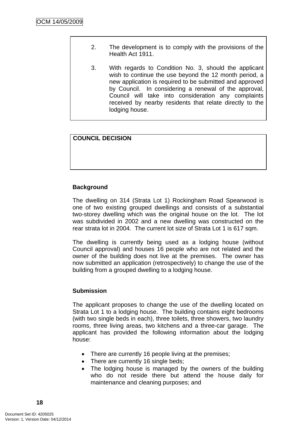- 2. The development is to comply with the provisions of the Health Act 1911.
- 3. With regards to Condition No. 3, should the applicant wish to continue the use beyond the 12 month period, a new application is required to be submitted and approved by Council. In considering a renewal of the approval, Council will take into consideration any complaints received by nearby residents that relate directly to the lodging house.

# **COUNCIL DECISION**

# **Background**

The dwelling on 314 (Strata Lot 1) Rockingham Road Spearwood is one of two existing grouped dwellings and consists of a substantial two-storey dwelling which was the original house on the lot. The lot was subdivided in 2002 and a new dwelling was constructed on the rear strata lot in 2004. The current lot size of Strata Lot 1 is 617 sqm.

The dwelling is currently being used as a lodging house (without Council approval) and houses 16 people who are not related and the owner of the building does not live at the premises. The owner has now submitted an application (retrospectively) to change the use of the building from a grouped dwelling to a lodging house.

# **Submission**

The applicant proposes to change the use of the dwelling located on Strata Lot 1 to a lodging house. The building contains eight bedrooms (with two single beds in each), three toilets, three showers, two laundry rooms, three living areas, two kitchens and a three-car garage. The applicant has provided the following information about the lodging house:

- There are currently 16 people living at the premises;
- There are currently 16 single beds;
- The lodging house is managed by the owners of the building who do not reside there but attend the house daily for maintenance and cleaning purposes; and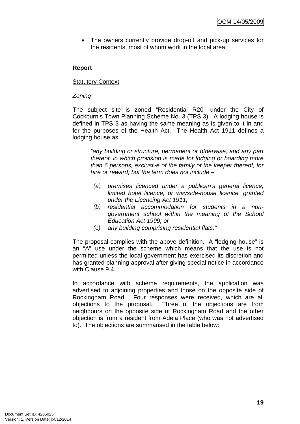• The owners currently provide drop-off and pick-up services for the residents, most of whom work in the local area.

## **Report**

## Statutory Context

#### *Zoning*

The subject site is zoned "Residential R20" under the City of Cockburn's Town Planning Scheme No. 3 (TPS 3). A lodging house is defined in TPS 3 as having the same meaning as is given to it in and for the purposes of the Health Act. The Health Act 1911 defines a lodging house as:

*"any building or structure, permanent or otherwise, and any part thereof, in which provision is made for lodging or boarding more than 6 persons, exclusive of the family of the keeper thereof, for hire or reward; but the term does not include –* 

- *(a) premises licenced under a publican's general licence, limited hotel licence, or wayside-house licence, granted under the Licencing Act 1911;*
- *(b) residential accommodation for students in a nongovernment school within the meaning of the School Education Act 1999; or*
- *(c) any building comprising residential flats."*

The proposal complies with the above definition. A "lodging house" is an "A" use under the scheme which means that the use is not permitted unless the local government has exercised its discretion and has granted planning approval after giving special notice in accordance with Clause 9.4

In accordance with scheme requirements, the application was advertised to adjoining properties and those on the opposite side of Rockingham Road. Four responses were received, which are all objections to the proposal. Three of the objections are from neighbours on the opposite side of Rockingham Road and the other objection is from a resident from Adela Place (who was not advertised to). The objections are summarised in the table below: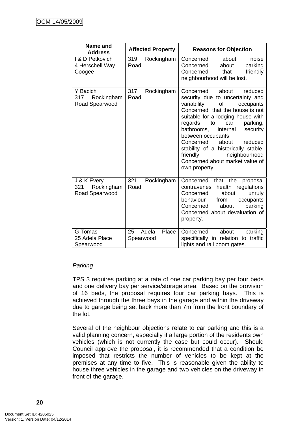| Name and<br><b>Address</b>                      | <b>Affected Property</b>          | <b>Reasons for Objection</b>                                                                                                                                                                                                                                                                                                                                                                                                    |  |
|-------------------------------------------------|-----------------------------------|---------------------------------------------------------------------------------------------------------------------------------------------------------------------------------------------------------------------------------------------------------------------------------------------------------------------------------------------------------------------------------------------------------------------------------|--|
| 1 & D Petkovich<br>4 Herschell Way<br>Coogee    | 319<br>Rockingham<br>Road         | about<br>Concerned<br>noise<br>parking<br>Concerned<br>about<br>Concerned<br>that<br>friendly<br>neighbourhood will be lost.                                                                                                                                                                                                                                                                                                    |  |
| Y Bacich<br>Rockingham<br>317<br>Road Spearwood | 317<br>Rockingham<br>Road         | Concerned about<br>reduced<br>security due to uncertainty and<br>variability<br>of<br>occupants<br>Concerned that the house is not<br>suitable for a lodging house with<br>car<br>regards<br>to<br>parking,<br>bathrooms,<br>internal<br>security<br>between occupants<br>Concerned<br>about<br>reduced<br>stability of a historically stable,<br>neighbourhood<br>friendly<br>Concerned about market value of<br>own property. |  |
| J & K Every<br>321 Rockingham<br>Road Spearwood | 321<br>Rockingham<br>Road         | Concerned<br>the<br>that<br>proposal<br>contravenes health regulations<br>Concerned<br>about<br>unruly<br>behaviour<br>from<br>occupants<br>about<br>parking<br>Concerned<br>Concerned about devaluation of<br>property.                                                                                                                                                                                                        |  |
| <b>G</b> Tomas<br>25 Adela Place<br>Spearwood   | Adela<br>Place<br>25<br>Spearwood | about<br>Concerned<br>parking<br>specifically in relation to traffic<br>lights and rail boom gates.                                                                                                                                                                                                                                                                                                                             |  |

# *Parking*

TPS 3 requires parking at a rate of one car parking bay per four beds and one delivery bay per service/storage area. Based on the provision of 16 beds, the proposal requires four car parking bays. This is achieved through the three bays in the garage and within the driveway due to garage being set back more than 7m from the front boundary of the lot.

Several of the neighbour objections relate to car parking and this is a valid planning concern, especially if a large portion of the residents own vehicles (which is not currently the case but could occur). Should Council approve the proposal, it is recommended that a condition be imposed that restricts the number of vehicles to be kept at the premises at any time to five. This is reasonable given the ability to house three vehicles in the garage and two vehicles on the driveway in front of the garage.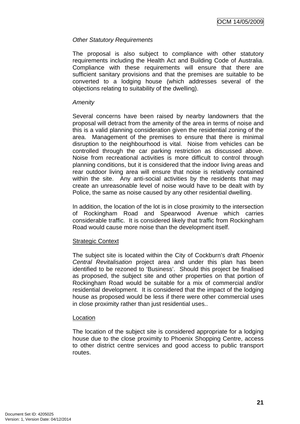## *Other Statutory Requirements*

The proposal is also subject to compliance with other statutory requirements including the Health Act and Building Code of Australia. Compliance with these requirements will ensure that there are sufficient sanitary provisions and that the premises are suitable to be converted to a lodging house (which addresses several of the objections relating to suitability of the dwelling).

#### *Amenity*

Several concerns have been raised by nearby landowners that the proposal will detract from the amenity of the area in terms of noise and this is a valid planning consideration given the residential zoning of the area. Management of the premises to ensure that there is minimal disruption to the neighbourhood is vital. Noise from vehicles can be controlled through the car parking restriction as discussed above. Noise from recreational activities is more difficult to control through planning conditions, but it is considered that the indoor living areas and rear outdoor living area will ensure that noise is relatively contained within the site. Any anti-social activities by the residents that may create an unreasonable level of noise would have to be dealt with by Police, the same as noise caused by any other residential dwelling.

In addition, the location of the lot is in close proximity to the intersection of Rockingham Road and Spearwood Avenue which carries considerable traffic. It is considered likely that traffic from Rockingham Road would cause more noise than the development itself.

## Strategic Context

The subject site is located within the City of Cockburn's draft *Phoenix Central Revitalisation* project area and under this plan has been identified to be rezoned to 'Business'. Should this project be finalised as proposed, the subject site and other properties on that portion of Rockingham Road would be suitable for a mix of commercial and/or residential development. It is considered that the impact of the lodging house as proposed would be less if there were other commercial uses in close proximity rather than just residential uses..

#### Location

The location of the subject site is considered appropriate for a lodging house due to the close proximity to Phoenix Shopping Centre, access to other district centre services and good access to public transport routes.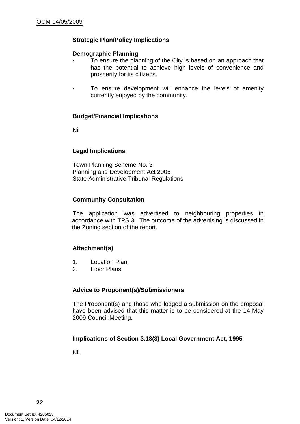## **Strategic Plan/Policy Implications**

#### **Demographic Planning**

- To ensure the planning of the City is based on an approach that has the potential to achieve high levels of convenience and prosperity for its citizens.
- To ensure development will enhance the levels of amenity currently enjoyed by the community.

## **Budget/Financial Implications**

Nil

#### **Legal Implications**

Town Planning Scheme No. 3 Planning and Development Act 2005 State Administrative Tribunal Regulations

## **Community Consultation**

The application was advertised to neighbouring properties in accordance with TPS 3. The outcome of the advertising is discussed in the Zoning section of the report.

## **Attachment(s)**

- 1. Location Plan
- 2. Floor Plans

#### **Advice to Proponent(s)/Submissioners**

The Proponent(s) and those who lodged a submission on the proposal have been advised that this matter is to be considered at the 14 May 2009 Council Meeting.

## **Implications of Section 3.18(3) Local Government Act, 1995**

Nil.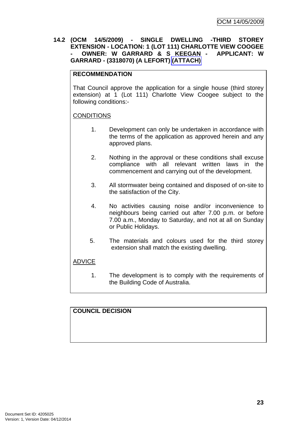## <span id="page-28-0"></span>**14.2 (OCM 14/5/2009) - SINGLE DWELLING -THIRD STOREY EXTENSION - LOCATION: 1 (LOT 111) CHARLOTTE VIEW COOGEE - OWNER: W GARRARD & S KEEGAN - APPLICANT: W GARRARD - (3318070) (A LEFORT) (ATTACH)**

## **RECOMMENDATION**

That Council approve the application for a single house (third storey extension) at 1 (Lot 111) Charlotte View Coogee subject to the following conditions:-

## **CONDITIONS**

- 1. Development can only be undertaken in accordance with the terms of the application as approved herein and any approved plans.
- 2. Nothing in the approval or these conditions shall excuse compliance with all relevant written laws in the commencement and carrying out of the development.
- 3. All stormwater being contained and disposed of on-site to the satisfaction of the City.
- 4. No activities causing noise and/or inconvenience to neighbours being carried out after 7.00 p.m. or before 7.00 a.m., Monday to Saturday, and not at all on Sunday or Public Holidays.
- 5. The materials and colours used for the third storey extension shall match the existing dwelling.

# ADVICE

1. The development is to comply with the requirements of the Building Code of Australia.

# **COUNCIL DECISION**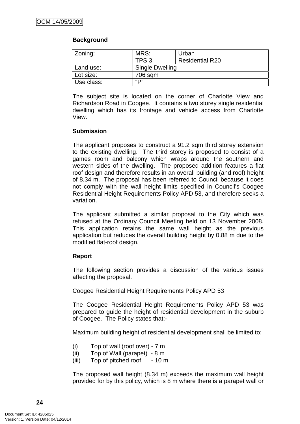## **Background**

| Zoning:    | MRS:                   | Urban                  |
|------------|------------------------|------------------------|
|            | TPS <sub>3</sub>       | <b>Residential R20</b> |
| Land use:  | <b>Single Dwelling</b> |                        |
| Lot size:  | 706 sqm                |                        |
| Use class: | "ים                    |                        |

The subject site is located on the corner of Charlotte View and Richardson Road in Coogee. It contains a two storey single residential dwelling which has its frontage and vehicle access from Charlotte View.

## **Submission**

The applicant proposes to construct a 91.2 sqm third storey extension to the existing dwelling. The third storey is proposed to consist of a games room and balcony which wraps around the southern and western sides of the dwelling. The proposed addition features a flat roof design and therefore results in an overall building (and roof) height of 8.34 m. The proposal has been referred to Council because it does not comply with the wall height limits specified in Council's Coogee Residential Height Requirements Policy APD 53, and therefore seeks a variation.

The applicant submitted a similar proposal to the City which was refused at the Ordinary Council Meeting held on 13 November 2008. This application retains the same wall height as the previous application but reduces the overall building height by 0.88 m due to the modified flat-roof design.

# **Report**

The following section provides a discussion of the various issues affecting the proposal.

## Coogee Residential Height Requirements Policy APD 53

The Coogee Residential Height Requirements Policy APD 53 was prepared to guide the height of residential development in the suburb of Coogee. The Policy states that:-

Maximum building height of residential development shall be limited to:

- (i) Top of wall (roof over) 7 m
- (ii) Top of Wall (parapet) 8 m
- (iii) Top of pitched roof 10 m

The proposed wall height (8.34 m) exceeds the maximum wall height provided for by this policy, which is 8 m where there is a parapet wall or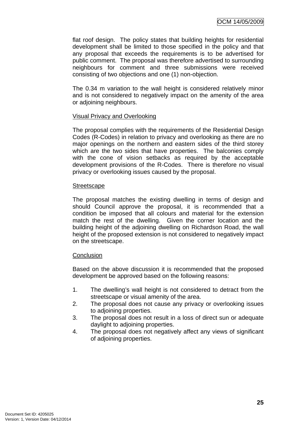flat roof design. The policy states that building heights for residential development shall be limited to those specified in the policy and that any proposal that exceeds the requirements is to be advertised for public comment. The proposal was therefore advertised to surrounding neighbours for comment and three submissions were received consisting of two objections and one (1) non-objection.

The 0.34 m variation to the wall height is considered relatively minor and is not considered to negatively impact on the amenity of the area or adjoining neighbours.

## Visual Privacy and Overlooking

The proposal complies with the requirements of the Residential Design Codes (R-Codes) in relation to privacy and overlooking as there are no major openings on the northern and eastern sides of the third storey which are the two sides that have properties. The balconies comply with the cone of vision setbacks as required by the acceptable development provisions of the R-Codes. There is therefore no visual privacy or overlooking issues caused by the proposal.

#### **Streetscape**

The proposal matches the existing dwelling in terms of design and should Council approve the proposal, it is recommended that a condition be imposed that all colours and material for the extension match the rest of the dwelling. Given the corner location and the building height of the adjoining dwelling on Richardson Road, the wall height of the proposed extension is not considered to negatively impact on the streetscape.

## **Conclusion**

Based on the above discussion it is recommended that the proposed development be approved based on the following reasons:

- 1. The dwelling's wall height is not considered to detract from the streetscape or visual amenity of the area.
- 2. The proposal does not cause any privacy or overlooking issues to adjoining properties.
- 3. The proposal does not result in a loss of direct sun or adequate daylight to adjoining properties.
- 4. The proposal does not negatively affect any views of significant of adjoining properties.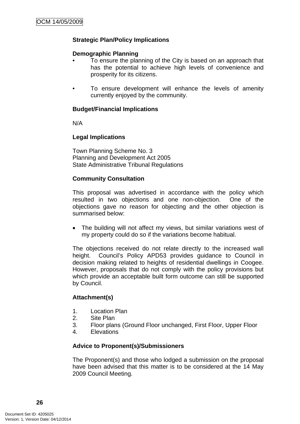## **Strategic Plan/Policy Implications**

## **Demographic Planning**

- To ensure the planning of the City is based on an approach that has the potential to achieve high levels of convenience and prosperity for its citizens.
- To ensure development will enhance the levels of amenity currently enjoyed by the community.

#### **Budget/Financial Implications**

N/A

## **Legal Implications**

Town Planning Scheme No. 3 Planning and Development Act 2005 State Administrative Tribunal Regulations

## **Community Consultation**

This proposal was advertised in accordance with the policy which resulted in two objections and one non-objection. One of the objections gave no reason for objecting and the other objection is summarised below:

• The building will not affect my views, but similar variations west of my property could do so if the variations become habitual.

The objections received do not relate directly to the increased wall height. Council's Policy APD53 provides guidance to Council in decision making related to heights of residential dwellings in Coogee. However, proposals that do not comply with the policy provisions but which provide an acceptable built form outcome can still be supported by Council.

## **Attachment(s)**

- 1. Location Plan
- 2. Site Plan
- 3. Floor plans (Ground Floor unchanged, First Floor, Upper Floor
- 4. Elevations

## **Advice to Proponent(s)/Submissioners**

The Proponent(s) and those who lodged a submission on the proposal have been advised that this matter is to be considered at the 14 May 2009 Council Meeting.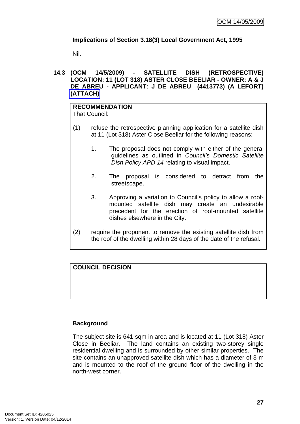# <span id="page-32-0"></span>**Implications of Section 3.18(3) Local Government Act, 1995**

Nil.

**14.3 (OCM 14/5/2009) - SATELLITE DISH (RETROSPECTIVE) LOCATION: 11 (LOT 318) ASTER CLOSE BEELIAR - OWNER: A & J DE ABREU - APPLICANT: J DE ABREU (4413773) (A LEFORT) (ATTACH)** 

**RECOMMENDATION** That Council:

- (1) refuse the retrospective planning application for a satellite dish at 11 (Lot 318) Aster Close Beeliar for the following reasons:
	- 1. The proposal does not comply with either of the general guidelines as outlined in *Council's Domestic Satellite Dish Policy APD 14* relating to visual impact.
	- 2. The proposal is considered to detract from the streetscape.
	- 3. Approving a variation to Council's policy to allow a roofmounted satellite dish may create an undesirable precedent for the erection of roof-mounted satellite dishes elsewhere in the City.
- (2) require the proponent to remove the existing satellite dish from the roof of the dwelling within 28 days of the date of the refusal.

# **COUNCIL DECISION**

## **Background**

The subject site is 641 sqm in area and is located at 11 (Lot 318) Aster Close in Beeliar. The land contains an existing two-storey single residential dwelling and is surrounded by other similar properties. The site contains an unapproved satellite dish which has a diameter of 3 m and is mounted to the roof of the ground floor of the dwelling in the north-west corner.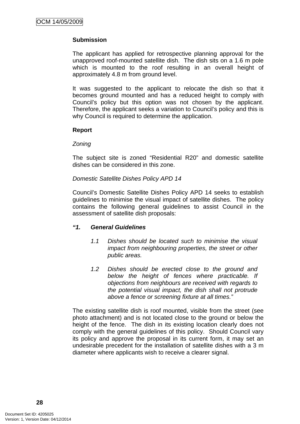## **Submission**

The applicant has applied for retrospective planning approval for the unapproved roof-mounted satellite dish. The dish sits on a 1.6 m pole which is mounted to the roof resulting in an overall height of approximately 4.8 m from ground level.

It was suggested to the applicant to relocate the dish so that it becomes ground mounted and has a reduced height to comply with Council's policy but this option was not chosen by the applicant. Therefore, the applicant seeks a variation to Council's policy and this is why Council is required to determine the application.

#### **Report**

#### *Zoning*

The subject site is zoned "Residential R20" and domestic satellite dishes can be considered in this zone.

## *Domestic Satellite Dishes Policy APD 14*

Council's Domestic Satellite Dishes Policy APD 14 seeks to establish guidelines to minimise the visual impact of satellite dishes. The policy contains the following general guidelines to assist Council in the assessment of satellite dish proposals:

## *"1. General Guidelines*

- *1.1 Dishes should be located such to minimise the visual impact from neighbouring properties, the street or other public areas.*
- *1.2 Dishes should be erected close to the ground and below the height of fences where practicable. If objections from neighbours are received with regards to the potential visual impact, the dish shall not protrude above a fence or screening fixture at all times."*

The existing satellite dish is roof mounted, visible from the street (see photo attachment) and is not located close to the ground or below the height of the fence. The dish in its existing location clearly does not comply with the general guidelines of this policy. Should Council vary its policy and approve the proposal in its current form, it may set an undesirable precedent for the installation of satellite dishes with a 3 m diameter where applicants wish to receive a clearer signal.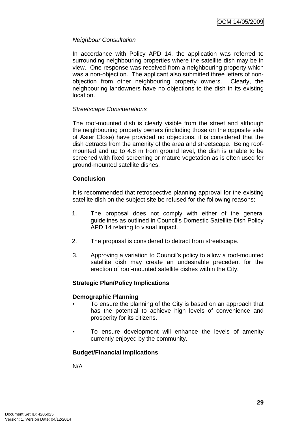## *Neighbour Consultation*

In accordance with Policy APD 14, the application was referred to surrounding neighbouring properties where the satellite dish may be in view. One response was received from a neighbouring property which was a non-objection. The applicant also submitted three letters of nonobjection from other neighbouring property owners. Clearly, the neighbouring landowners have no objections to the dish in its existing location.

## *Streetscape Considerations*

The roof-mounted dish is clearly visible from the street and although the neighbouring property owners (including those on the opposite side of Aster Close) have provided no objections, it is considered that the dish detracts from the amenity of the area and streetscape. Being roofmounted and up to 4.8 m from ground level, the dish is unable to be screened with fixed screening or mature vegetation as is often used for ground-mounted satellite dishes.

## **Conclusion**

It is recommended that retrospective planning approval for the existing satellite dish on the subject site be refused for the following reasons:

- 1. The proposal does not comply with either of the general guidelines as outlined in Council's Domestic Satellite Dish Policy APD 14 relating to visual impact.
- 2. The proposal is considered to detract from streetscape.
- 3. Approving a variation to Council's policy to allow a roof-mounted satellite dish may create an undesirable precedent for the erection of roof-mounted satellite dishes within the City.

## **Strategic Plan/Policy Implications**

## **Demographic Planning**

- To ensure the planning of the City is based on an approach that has the potential to achieve high levels of convenience and prosperity for its citizens.
- To ensure development will enhance the levels of amenity currently enjoyed by the community.

# **Budget/Financial Implications**

N/A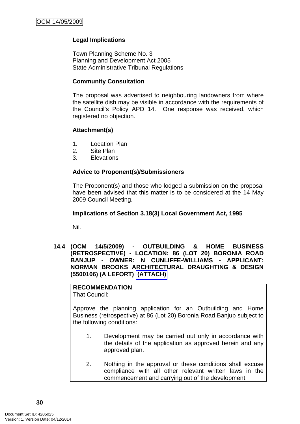## <span id="page-35-0"></span>**Legal Implications**

Town Planning Scheme No. 3 Planning and Development Act 2005 State Administrative Tribunal Regulations

## **Community Consultation**

The proposal was advertised to neighbouring landowners from where the satellite dish may be visible in accordance with the requirements of the Council's Policy APD 14. One response was received, which registered no objection.

## **Attachment(s)**

- 1. Location Plan
- 2. Site Plan
- 3. Elevations

## **Advice to Proponent(s)/Submissioners**

The Proponent(s) and those who lodged a submission on the proposal have been advised that this matter is to be considered at the 14 May 2009 Council Meeting.

#### **Implications of Section 3.18(3) Local Government Act, 1995**

Nil.

**14.4 (OCM 14/5/2009) - OUTBUILDING & HOME BUSINESS (RETROSPECTIVE) - LOCATION: 86 (LOT 20) BORONIA ROAD BANJUP - OWNER: N CUNLIFFE-WILLIAMS - APPLICANT: NORMAN BROOKS ARCHITECTURAL DRAUGHTING & DESIGN (5500106) (A LEFORT) (ATTACH)** 

## **RECOMMENDATION**

That Council:

Approve the planning application for an Outbuilding and Home Business (retrospective) at 86 (Lot 20) Boronia Road Banjup subject to the following conditions:

- 1. Development may be carried out only in accordance with the details of the application as approved herein and any approved plan.
- 2. Nothing in the approval or these conditions shall excuse compliance with all other relevant written laws in the commencement and carrying out of the development.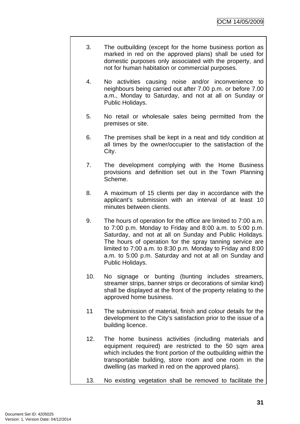- 3. The outbuilding (except for the home business portion as marked in red on the approved plans) shall be used for domestic purposes only associated with the property, and not for human habitation or commercial purposes.
- 4. No activities causing noise and/or inconvenience to neighbours being carried out after 7.00 p.m. or before 7.00 a.m., Monday to Saturday, and not at all on Sunday or Public Holidays.
- 5. No retail or wholesale sales being permitted from the premises or site.
- 6. The premises shall be kept in a neat and tidy condition at all times by the owner/occupier to the satisfaction of the City.
- 7. The development complying with the Home Business provisions and definition set out in the Town Planning Scheme.
- 8. A maximum of 15 clients per day in accordance with the applicant's submission with an interval of at least 10 minutes between clients.
- 9. The hours of operation for the office are limited to 7:00 a.m. to 7:00 p.m. Monday to Friday and 8:00 a.m. to 5:00 p.m. Saturday, and not at all on Sunday and Public Holidays. The hours of operation for the spray tanning service are limited to 7:00 a.m. to 8:30 p.m. Monday to Friday and 8:00 a.m. to 5:00 p.m. Saturday and not at all on Sunday and Public Holidays.
- 10. No signage or bunting (bunting includes streamers, streamer strips, banner strips or decorations of similar kind) shall be displayed at the front of the property relating to the approved home business.
- 11 The submission of material, finish and colour details for the development to the City's satisfaction prior to the issue of a building licence.
- 12. The home business activities (including materials and equipment required) are restricted to the 50 sqm area which includes the front portion of the outbuilding within the transportable building, store room and one room in the dwelling (as marked in red on the approved plans).
- 13. No existing vegetation shall be removed to facilitate the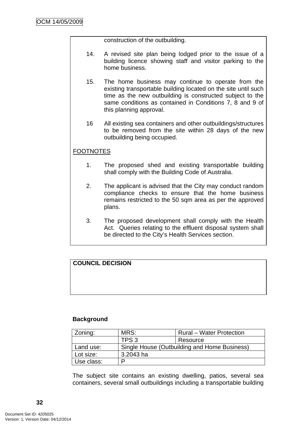construction of the outbuilding.

- 14. A revised site plan being lodged prior to the issue of a building licence showing staff and visitor parking to the home business.
- 15. The home business may continue to operate from the existing transportable building located on the site until such time as the new outbuilding is constructed subject to the same conditions as contained in Conditions 7, 8 and 9 of this planning approval.
- 16 All existing sea containers and other outbuildings/structures to be removed from the site within 28 days of the new outbuilding being occupied.

## FOOTNOTES

- 1. The proposed shed and existing transportable building shall comply with the Building Code of Australia.
- 2. The applicant is advised that the City may conduct random compliance checks to ensure that the home business remains restricted to the 50 sqm area as per the approved plans.
- 3. The proposed development shall comply with the Health Act. Queries relating to the effluent disposal system shall be directed to the City's Health Services section.

# **COUNCIL DECISION**

## **Background**

| Zoning:    | MRS:                                         | Rural - Water Protection |  |
|------------|----------------------------------------------|--------------------------|--|
|            | TPS <sub>3</sub>                             | Resource                 |  |
| Land use:  | Single House (Outbuilding and Home Business) |                          |  |
| Lot size:  | 3.2043 ha                                    |                          |  |
| Use class: |                                              |                          |  |

The subject site contains an existing dwelling, patios, several sea containers, several small outbuildings including a transportable building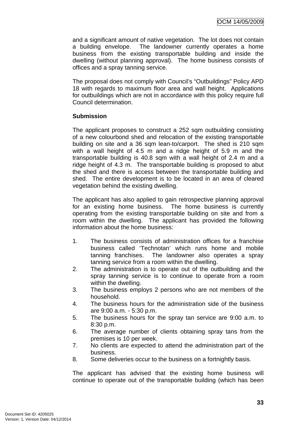and a significant amount of native vegetation. The lot does not contain a building envelope. The landowner currently operates a home business from the existing transportable building and inside the dwelling (without planning approval). The home business consists of offices and a spray tanning service.

The proposal does not comply with Council's "Outbuildings" Policy APD 18 with regards to maximum floor area and wall height. Applications for outbuildings which are not in accordance with this policy require full Council determination.

## **Submission**

The applicant proposes to construct a 252 sqm outbuilding consisting of a new colourbond shed and relocation of the existing transportable building on site and a 36 sqm lean-to/carport. The shed is 210 sqm with a wall height of 4.5 m and a ridge height of 5.9 m and the transportable building is 40.8 sqm with a wall height of 2.4 m and a ridge height of 4.3 m. The transportable building is proposed to abut the shed and there is access between the transportable building and shed. The entire development is to be located in an area of cleared vegetation behind the existing dwelling.

The applicant has also applied to gain retrospective planning approval for an existing home business. The home business is currently operating from the existing transportable building on site and from a room within the dwelling. The applicant has provided the following information about the home business:

- 1. The business consists of administration offices for a franchise business called 'Technotan' which runs home and mobile tanning franchises. The landowner also operates a spray tanning service from a room within the dwelling.
- 2. The administration is to operate out of the outbuilding and the spray tanning service is to continue to operate from a room within the dwelling.
- 3. The business employs 2 persons who are not members of the household.
- 4. The business hours for the administration side of the business are 9:00 a.m. - 5:30 p.m.
- 5. The business hours for the spray tan service are 9:00 a.m. to 8:30 p.m.
- 6. The average number of clients obtaining spray tans from the premises is 10 per week.
- 7. No clients are expected to attend the administration part of the business.
- 8. Some deliveries occur to the business on a fortnightly basis.

The applicant has advised that the existing home business will continue to operate out of the transportable building (which has been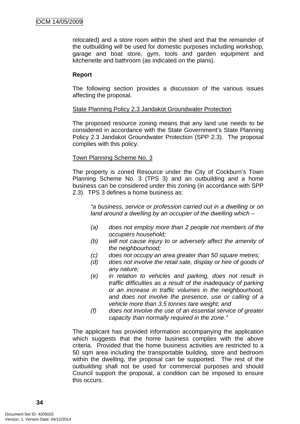relocated) and a store room within the shed and that the remainder of the outbuilding will be used for domestic purposes including workshop, garage and boat store, gym, tools and garden equipment and kitchenette and bathroom (as indicated on the plans).

## **Report**

The following section provides a discussion of the various issues affecting the proposal.

#### State Planning Policy 2.3 Jandakot Groundwater Protection

The proposed resource zoning means that any land use needs to be considered in accordance with the State Government's State Planning Policy 2.3 Jandakot Groundwater Protection (SPP 2.3). The proposal complies with this policy.

## Town Planning Scheme No. 3

The property is zoned Resource under the City of Cockburn's Town Planning Scheme No. 3 (TPS 3) and an outbuilding and a home business can be considered under this zoning (in accordance with SPP 2.3). TPS 3 defines a home business as:

*"a business, service or profession carried out in a dwelling or on land around a dwelling by an occupier of the dwelling which –* 

- *(a) does not employ more than 2 people not members of the occupiers household;*
- *(b) will not cause injury to or adversely affect the amenity of the neighbourhood;*
- *(c) does not occupy an area greater than 50 square metres;*
- *(d) does not involve the retail sale, display or hire of goods of any nature;*
- *(e) in relation to vehicles and parking, does not result in traffic difficulties as a result of the inadequacy of parking or an increase in traffic volumes in the neighbourhood, and does not involve the presence, use or calling of a vehicle more than 3.5 tonnes tare weight; and*
- *(f) does not involve the use of an essential service of greater capacity than normally required in the zone."*

The applicant has provided information accompanying the application which suggests that the home business complies with the above criteria. Provided that the home business activities are restricted to a 50 sqm area including the transportable building, store and bedroom within the dwelling, the proposal can be supported. The rest of the outbuilding shall not be used for commercial purposes and should Council support the proposal, a condition can be imposed to ensure this occurs.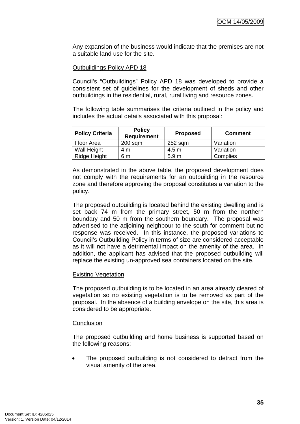Any expansion of the business would indicate that the premises are not a suitable land use for the site.

#### Outbuildings Policy APD 18

Council's "Outbuildings" Policy APD 18 was developed to provide a consistent set of guidelines for the development of sheds and other outbuildings in the residential, rural, rural living and resource zones.

The following table summarises the criteria outlined in the policy and includes the actual details associated with this proposal:

| <b>Policy Criteria</b> | <b>Policy</b><br><b>Requirement</b> | <b>Proposed</b>  | <b>Comment</b> |
|------------------------|-------------------------------------|------------------|----------------|
| Floor Area             | $200$ sqm                           | $252$ sqm        | Variation      |
| Wall Height            | 4 m                                 | 4.5 <sub>m</sub> | Variation      |
| Ridge Height           | 6 m                                 | 5.9 <sub>m</sub> | Complies       |

As demonstrated in the above table, the proposed development does not comply with the requirements for an outbuilding in the resource zone and therefore approving the proposal constitutes a variation to the policy.

The proposed outbuilding is located behind the existing dwelling and is set back 74 m from the primary street, 50 m from the northern boundary and 50 m from the southern boundary. The proposal was advertised to the adjoining neighbour to the south for comment but no response was received. In this instance, the proposed variations to Council's Outbuilding Policy in terms of size are considered acceptable as it will not have a detrimental impact on the amenity of the area. In addition, the applicant has advised that the proposed outbuilding will replace the existing un-approved sea containers located on the site.

#### Existing Vegetation

The proposed outbuilding is to be located in an area already cleared of vegetation so no existing vegetation is to be removed as part of the proposal. In the absence of a building envelope on the site, this area is considered to be appropriate.

#### **Conclusion**

The proposed outbuilding and home business is supported based on the following reasons:

The proposed outbuilding is not considered to detract from the visual amenity of the area.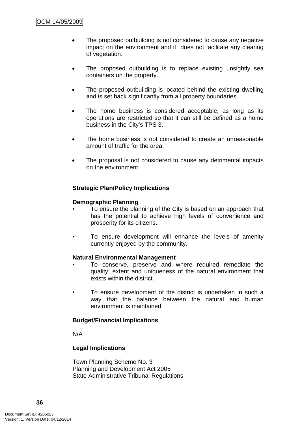- The proposed outbuilding is not considered to cause any negative impact on the environment and it does not facilitate any clearing of vegetation.
- The proposed outbuilding is to replace existing unsightly sea containers on the property.
- The proposed outbuilding is located behind the existing dwelling and is set back significantly from all property boundaries.
- The home business is considered acceptable, as long as its operations are restricted so that it can still be defined as a home business in the City's TPS 3.
- The home business is not considered to create an unreasonable amount of traffic for the area.
- The proposal is not considered to cause any detrimental impacts on the environment.

## **Strategic Plan/Policy Implications**

## **Demographic Planning**

- To ensure the planning of the City is based on an approach that has the potential to achieve high levels of convenience and prosperity for its citizens.
- To ensure development will enhance the levels of amenity currently enjoyed by the community.

## **Natural Environmental Management**

- To conserve, preserve and where required remediate the quality, extent and uniqueness of the natural environment that exists within the district.
- To ensure development of the district is undertaken in such a way that the balance between the natural and human environment is maintained.

## **Budget/Financial Implications**

N/A

## **Legal Implications**

Town Planning Scheme No. 3 Planning and Development Act 2005 State Administrative Tribunal Regulations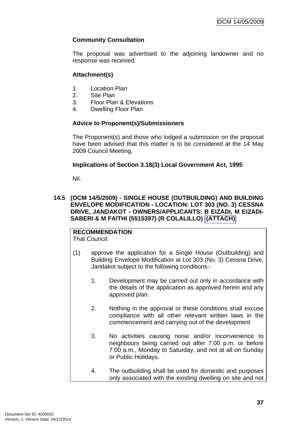# **Community Consultation**

The proposal was advertised to the adjoining landowner and no response was received.

## **Attachment(s)**

- 1. Location Plan
- 2. Site Plan
- 3. Floor Plan & Elevations
- 4. Dwelling Floor Plan

# **Advice to Proponent(s)/Submissioners**

The Proponent(s) and those who lodged a submission on the proposal have been advised that this matter is to be considered at the 14 May 2009 Council Meeting.

# **Implications of Section 3.18(3) Local Government Act, 1995**

Nil.

## **14.5 (OCM 14/5/2009) - SINGLE HOUSE (OUTBUILDING) AND BUILDING ENVELOPE MODIFICATION - LOCATION: LOT 303 (NO. 3) CESSNA DRIVE, JANDAKOT - OWNERS/APPLICANTS: B EIZADI, M EIZADI-SABERI & M FAITHI (5515397) (R COLALILLO) (ATTACH)**

# **RECOMMENDATION**

That Council:

- (1) approve the application for a Single House (Outbuilding) and Building Envelope Modification at Lot 303 (No. 3) Cessna Drive, Jandakot subject to the following conditions:-
	- 1. Development may be carried out only in accordance with the details of the application as approved herein and any approved plan.
	- 2. Nothing in the approval or these conditions shall excuse compliance with all other relevant written laws in the commencement and carrying out of the development
	- 3. No activities causing noise and/or inconvenience to neighbours being carried out after 7.00 p.m. or before 7.00 a.m., Monday to Saturday, and not at all on Sunday or Public Holidays.
	- 4. The outbuilding shall be used for domestic and purposes only associated with the existing dwelling on site and not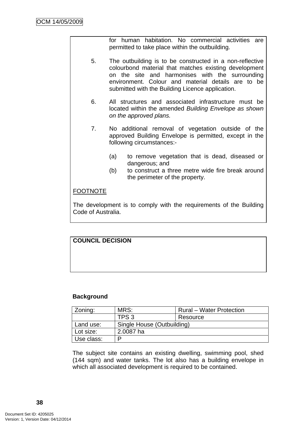for human habitation. No commercial activities are permitted to take place within the outbuilding.

- 5. The outbuilding is to be constructed in a non-reflective colourbond material that matches existing development on the site and harmonises with the surrounding environment. Colour and material details are to be submitted with the Building Licence application.
- 6. All structures and associated infrastructure must be located within the amended *Building Envelope as shown on the approved plans.*
- 7. No additional removal of vegetation outside of the approved Building Envelope is permitted, except in the following circumstances:-
	- (a) to remove vegetation that is dead, diseased or dangerous; and
	- (b) to construct a three metre wide fire break around the perimeter of the property.

# FOOTNOTE

The development is to comply with the requirements of the Building Code of Australia.

# **COUNCIL DECISION**

## **Background**

| Zoning:    | MRS:                       | <b>Rural – Water Protection</b> |  |
|------------|----------------------------|---------------------------------|--|
|            | TPS <sub>3</sub>           | Resource                        |  |
| Land use:  | Single House (Outbuilding) |                                 |  |
| Lot size:  | 2.0087 ha                  |                                 |  |
| Use class: | D                          |                                 |  |

The subject site contains an existing dwelling, swimming pool, shed (144 sqm) and water tanks. The lot also has a building envelope in which all associated development is required to be contained.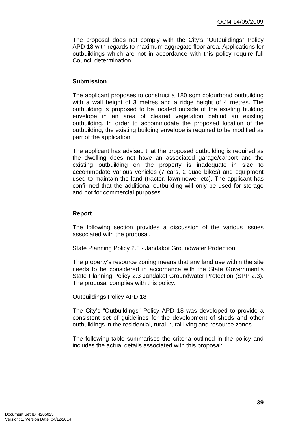The proposal does not comply with the City's "Outbuildings" Policy APD 18 with regards to maximum aggregate floor area. Applications for outbuildings which are not in accordance with this policy require full Council determination.

## **Submission**

The applicant proposes to construct a 180 sqm colourbond outbuilding with a wall height of 3 metres and a ridge height of 4 metres. The outbuilding is proposed to be located outside of the existing building envelope in an area of cleared vegetation behind an existing outbuilding. In order to accommodate the proposed location of the outbuilding, the existing building envelope is required to be modified as part of the application.

The applicant has advised that the proposed outbuilding is required as the dwelling does not have an associated garage/carport and the existing outbuilding on the property is inadequate in size to accommodate various vehicles (7 cars, 2 quad bikes) and equipment used to maintain the land (tractor, lawnmower etc). The applicant has confirmed that the additional outbuilding will only be used for storage and not for commercial purposes.

## **Report**

The following section provides a discussion of the various issues associated with the proposal.

## State Planning Policy 2.3 - Jandakot Groundwater Protection

The property's resource zoning means that any land use within the site needs to be considered in accordance with the State Government's State Planning Policy 2.3 Jandakot Groundwater Protection (SPP 2.3). The proposal complies with this policy.

## Outbuildings Policy APD 18

The City's "Outbuildings" Policy APD 18 was developed to provide a consistent set of guidelines for the development of sheds and other outbuildings in the residential, rural, rural living and resource zones.

The following table summarises the criteria outlined in the policy and includes the actual details associated with this proposal: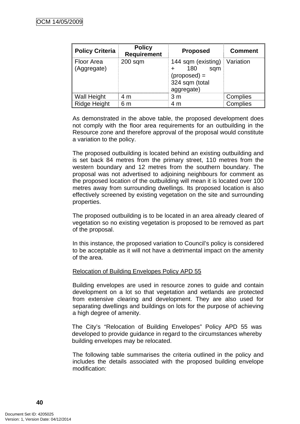| <b>Policy Criteria</b>      | <b>Policy</b><br><b>Requirement</b> | <b>Proposed</b>                                                                    | <b>Comment</b> |
|-----------------------------|-------------------------------------|------------------------------------------------------------------------------------|----------------|
| ∥ Floor Area<br>(Aggregate) | $200$ sqm                           | 144 sqm (existing)<br>180<br>sqm<br>$(proposed) =$<br>324 sqm (total<br>aggregate) | Variation      |
| <b>Wall Height</b>          | 4 m                                 | 3 m                                                                                | Complies       |
| <b>Ridge Height</b>         | 6 m                                 | 4 m                                                                                | Complies       |

As demonstrated in the above table, the proposed development does not comply with the floor area requirements for an outbuilding in the Resource zone and therefore approval of the proposal would constitute a variation to the policy.

The proposed outbuilding is located behind an existing outbuilding and is set back 84 metres from the primary street, 110 metres from the western boundary and 12 metres from the southern boundary. The proposal was not advertised to adjoining neighbours for comment as the proposed location of the outbuilding will mean it is located over 100 metres away from surrounding dwellings. Its proposed location is also effectively screened by existing vegetation on the site and surrounding properties.

The proposed outbuilding is to be located in an area already cleared of vegetation so no existing vegetation is proposed to be removed as part of the proposal.

In this instance, the proposed variation to Council's policy is considered to be acceptable as it will not have a detrimental impact on the amenity of the area.

## Relocation of Building Envelopes Policy APD 55

Building envelopes are used in resource zones to guide and contain development on a lot so that vegetation and wetlands are protected from extensive clearing and development. They are also used for separating dwellings and buildings on lots for the purpose of achieving a high degree of amenity.

The City's "Relocation of Building Envelopes" Policy APD 55 was developed to provide guidance in regard to the circumstances whereby building envelopes may be relocated.

The following table summarises the criteria outlined in the policy and includes the details associated with the proposed building envelope modification: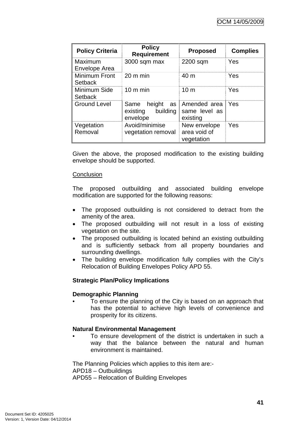| <b>Policy Criteria</b>                 | <b>Policy</b><br><b>Requirement</b>                      | <b>Proposed</b>                            | <b>Complies</b> |
|----------------------------------------|----------------------------------------------------------|--------------------------------------------|-----------------|
| Maximum<br><b>Envelope Area</b>        | 3000 sqm max                                             | 2200 sqm                                   | Yes             |
| <b>Minimum Front</b><br><b>Setback</b> | $20 \text{ m}$ min                                       | 40 m                                       | Yes             |
| Minimum Side<br>Setback                | $10 \text{ m}$ min                                       | 10 <sub>m</sub>                            | Yes             |
| Ground Level                           | height<br>Same<br>as<br>building<br>existing<br>envelope | Amended area<br>same level as<br>existing  | Yes             |
| Vegetation<br>Removal                  | Avoid/minimise<br>vegetation removal                     | New envelope<br>area void of<br>vegetation | Yes             |

Given the above, the proposed modification to the existing building envelope should be supported.

## **Conclusion**

The proposed outbuilding and associated building envelope modification are supported for the following reasons:

- The proposed outbuilding is not considered to detract from the amenity of the area.
- The proposed outbuilding will not result in a loss of existing vegetation on the site.
- The proposed outbuilding is located behind an existing outbuilding and is sufficiently setback from all property boundaries and surrounding dwellings.
- The building envelope modification fully complies with the City's Relocation of Building Envelopes Policy APD 55.

## **Strategic Plan/Policy Implications**

## **Demographic Planning**

• To ensure the planning of the City is based on an approach that has the potential to achieve high levels of convenience and prosperity for its citizens.

## **Natural Environmental Management**

• To ensure development of the district is undertaken in such a way that the balance between the natural and human environment is maintained.

The Planning Policies which applies to this item are:- APD18 – Outbuildings APD55 – Relocation of Building Envelopes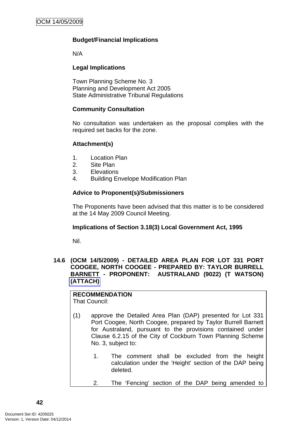## **Budget/Financial Implications**

N/A

## **Legal Implications**

Town Planning Scheme No. 3 Planning and Development Act 2005 State Administrative Tribunal Regulations

## **Community Consultation**

No consultation was undertaken as the proposal complies with the required set backs for the zone.

## **Attachment(s)**

- 1. Location Plan
- 2. Site Plan
- 3. Elevations
- 4. Building Envelope Modification Plan

## **Advice to Proponent(s)/Submissioners**

The Proponents have been advised that this matter is to be considered at the 14 May 2009 Council Meeting.

## **Implications of Section 3.18(3) Local Government Act, 1995**

Nil.

## **14.6 (OCM 14/5/2009) - DETAILED AREA PLAN FOR LOT 331 PORT COOGEE, NORTH COOGEE - PREPARED BY: TAYLOR BURRELL BARNETT - PROPONENT: AUSTRALAND (9022) (T WATSON) (ATTACH)**

#### **RECOMMENDATION** That Council:

- (1) approve the Detailed Area Plan (DAP) presented for Lot 331 Port Coogee, North Coogee, prepared by Taylor Burrell Barnett for Australand, pursuant to the provisions contained under Clause 6.2.15 of the City of Cockburn Town Planning Scheme No. 3, subject to:
	- 1. The comment shall be excluded from the height calculation under the 'Height' section of the DAP being deleted.
	- 2. The 'Fencing' section of the DAP being amended to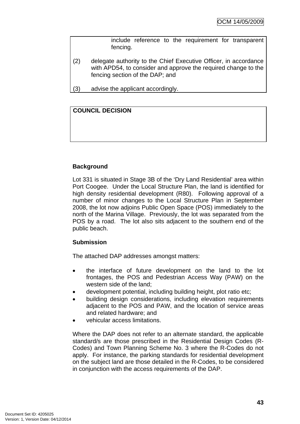include reference to the requirement for transparent fencing.

- (2) delegate authority to the Chief Executive Officer, in accordance with APD54, to consider and approve the required change to the fencing section of the DAP; and
- (3) advise the applicant accordingly.

# **COUNCIL DECISION**

# **Background**

Lot 331 is situated in Stage 3B of the 'Dry Land Residential' area within Port Coogee. Under the Local Structure Plan, the land is identified for high density residential development (R80). Following approval of a number of minor changes to the Local Structure Plan in September 2008, the lot now adjoins Public Open Space (POS) immediately to the north of the Marina Village. Previously, the lot was separated from the POS by a road. The lot also sits adjacent to the southern end of the public beach.

## **Submission**

The attached DAP addresses amongst matters:

- the interface of future development on the land to the lot frontages, the POS and Pedestrian Access Way (PAW) on the western side of the land;
- development potential, including building height, plot ratio etc;
- building design considerations, including elevation requirements adjacent to the POS and PAW, and the location of service areas and related hardware; and
- vehicular access limitations.

Where the DAP does not refer to an alternate standard, the applicable standard/s are those prescribed in the Residential Design Codes (R-Codes) and Town Planning Scheme No. 3 where the R-Codes do not apply. For instance, the parking standards for residential development on the subject land are those detailed in the R-Codes, to be considered in conjunction with the access requirements of the DAP.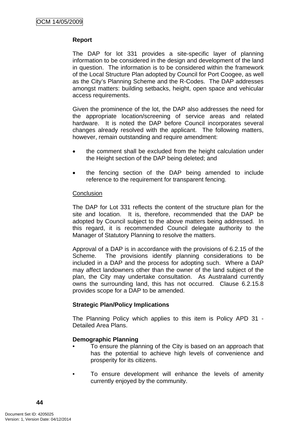## **Report**

The DAP for lot 331 provides a site-specific layer of planning information to be considered in the design and development of the land in question. The information is to be considered within the framework of the Local Structure Plan adopted by Council for Port Coogee, as well as the City's Planning Scheme and the R-Codes. The DAP addresses amongst matters: building setbacks, height, open space and vehicular access requirements.

Given the prominence of the lot, the DAP also addresses the need for the appropriate location/screening of service areas and related hardware. It is noted the DAP before Council incorporates several changes already resolved with the applicant. The following matters, however, remain outstanding and require amendment:

- the comment shall be excluded from the height calculation under the Height section of the DAP being deleted; and
- the fencing section of the DAP being amended to include reference to the requirement for transparent fencing.

#### **Conclusion**

The DAP for Lot 331 reflects the content of the structure plan for the site and location. It is, therefore, recommended that the DAP be adopted by Council subject to the above matters being addressed. In this regard, it is recommended Council delegate authority to the Manager of Statutory Planning to resolve the matters.

Approval of a DAP is in accordance with the provisions of 6.2.15 of the Scheme. The provisions identify planning considerations to be included in a DAP and the process for adopting such. Where a DAP may affect landowners other than the owner of the land subject of the plan, the City may undertake consultation. As Australand currently owns the surrounding land, this has not occurred. Clause 6.2.15.8 provides scope for a DAP to be amended.

## **Strategic Plan/Policy Implications**

The Planning Policy which applies to this item is Policy APD 31 - Detailed Area Plans.

## **Demographic Planning**

- To ensure the planning of the City is based on an approach that has the potential to achieve high levels of convenience and prosperity for its citizens.
- To ensure development will enhance the levels of amenity currently enjoyed by the community.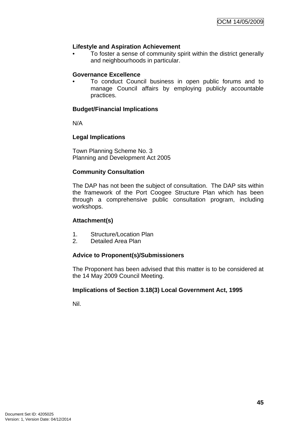## **Lifestyle and Aspiration Achievement**

• To foster a sense of community spirit within the district generally and neighbourhoods in particular.

#### **Governance Excellence**

• To conduct Council business in open public forums and to manage Council affairs by employing publicly accountable practices.

## **Budget/Financial Implications**

N/A

## **Legal Implications**

Town Planning Scheme No. 3 Planning and Development Act 2005

## **Community Consultation**

The DAP has not been the subject of consultation. The DAP sits within the framework of the Port Coogee Structure Plan which has been through a comprehensive public consultation program, including workshops.

## **Attachment(s)**

- 1. Structure/Location Plan
- 2. Detailed Area Plan

## **Advice to Proponent(s)/Submissioners**

The Proponent has been advised that this matter is to be considered at the 14 May 2009 Council Meeting.

## **Implications of Section 3.18(3) Local Government Act, 1995**

Nil.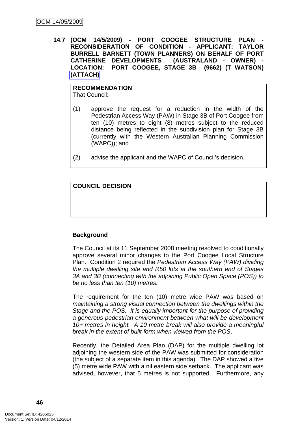14.7 (OCM 14/5/2009) - PORT COOGEE STRUCTURE PLAN **RECONSIDERATION OF CONDITION - APPLICANT: TAYLOR BURRELL BARNETT (TOWN PLANNERS) ON BEHALF OF PORT CATHERINE DEVELOPMENTS (AUSTRALAND - OWNER) - LOCATION: PORT COOGEE, STAGE 3B (9662) (T WATSON) (ATTACH)** 

#### **RECOMMENDATION** That Council:-

- (1) approve the request for a reduction in the width of the Pedestrian Access Way (PAW) in Stage 3B of Port Coogee from ten (10) metres to eight (8) metres subject to the reduced distance being reflected in the subdivision plan for Stage 3B (currently with the Western Australian Planning Commission (WAPC)); and
- (2) advise the applicant and the WAPC of Council's decision.

**COUNCIL DECISION** 

## **Background**

The Council at its 11 September 2008 meeting resolved to conditionally approve several minor changes to the Port Coogee Local Structure Plan. Condition 2 required the *Pedestrian Access Way (PAW) dividing the multiple dwelling site and R50 lots at the southern end of Stages 3A and 3B (connecting with the adjoining Public Open Space (POS)) to be no less than ten (10) metres.* 

The requirement for the ten (10) metre wide PAW was based on *maintaining a strong visual connection between the dwellings within the Stage and the POS. It is equally important for the purpose of providing a generous pedestrian environment between what will be development 10+ metres in height. A 10 metre break will also provide a meaningful break in the extent of built form when viewed from the POS*.

Recently, the Detailed Area Plan (DAP) for the multiple dwelling lot adjoining the western side of the PAW was submitted for consideration (the subject of a separate item in this agenda). The DAP showed a five (5) metre wide PAW with a nil eastern side setback. The applicant was advised, however, that 5 metres is not supported. Furthermore, any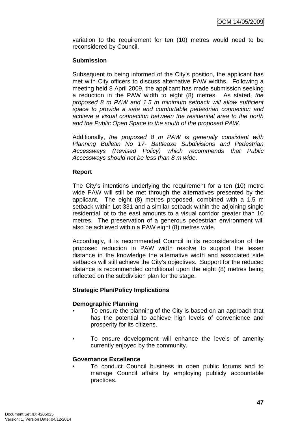variation to the requirement for ten (10) metres would need to be reconsidered by Council.

## **Submission**

Subsequent to being informed of the City's position, the applicant has met with City officers to discuss alternative PAW widths. Following a meeting held 8 April 2009, the applicant has made submission seeking a reduction in the PAW width to eight (8) metres. As stated, *the proposed 8 m PAW and 1.5 m minimum setback will allow sufficient space to provide a safe and comfortable pedestrian connection and achieve a visual connection between the residential area to the north and the Public Open Space to the south of the proposed PAW*.

Additionally, *the proposed 8 m PAW is generally consistent with Planning Bulletin No 17- Battleaxe Subdivisions and Pedestrian Accessways (Revised Policy) which recommends that Public Accessways should not be less than 8 m wide*.

## **Report**

The City's intentions underlying the requirement for a ten (10) metre wide PAW will still be met through the alternatives presented by the applicant. The eight (8) metres proposed, combined with a 1.5 m setback within Lot 331 and a similar setback within the adjoining single residential lot to the east amounts to a visual corridor greater than 10 metres. The preservation of a generous pedestrian environment will also be achieved within a PAW eight (8) metres wide.

Accordingly, it is recommended Council in its reconsideration of the proposed reduction in PAW width resolve to support the lesser distance in the knowledge the alternative width and associated side setbacks will still achieve the City's objectives. Support for the reduced distance is recommended conditional upon the eight (8) metres being reflected on the subdivision plan for the stage.

## **Strategic Plan/Policy Implications**

## **Demographic Planning**

- To ensure the planning of the City is based on an approach that has the potential to achieve high levels of convenience and prosperity for its citizens.
- To ensure development will enhance the levels of amenity currently enjoyed by the community.

## **Governance Excellence**

• To conduct Council business in open public forums and to manage Council affairs by employing publicly accountable practices.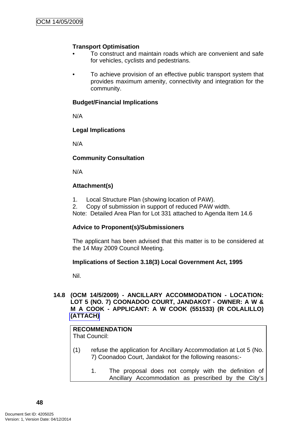## **Transport Optimisation**

- To construct and maintain roads which are convenient and safe for vehicles, cyclists and pedestrians.
- To achieve provision of an effective public transport system that provides maximum amenity, connectivity and integration for the community.

## **Budget/Financial Implications**

N/A

## **Legal Implications**

N/A

## **Community Consultation**

N/A

## **Attachment(s)**

- 1. Local Structure Plan (showing location of PAW).
- 2. Copy of submission in support of reduced PAW width.

Note: Detailed Area Plan for Lot 331 attached to Agenda Item 14.6

## **Advice to Proponent(s)/Submissioners**

The applicant has been advised that this matter is to be considered at the 14 May 2009 Council Meeting.

## **Implications of Section 3.18(3) Local Government Act, 1995**

Nil.

## **14.8 (OCM 14/5/2009) - ANCILLARY ACCOMMODATION - LOCATION: LOT 5 (NO. 7) COONADOO COURT, JANDAKOT - OWNER: A W & M A COOK - APPLICANT: A W COOK (551533) (R COLALILLO) (ATTACH)**

# **RECOMMENDATION**

That Council:

- (1) refuse the application for Ancillary Accommodation at Lot 5 (No. 7) Coonadoo Court, Jandakot for the following reasons:-
	- 1. The proposal does not comply with the definition of Ancillary Accommodation as prescribed by the City's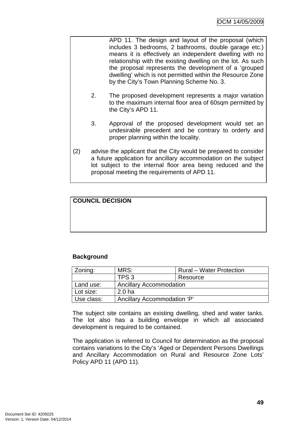APD 11. The design and layout of the proposal (which includes 3 bedrooms, 2 bathrooms, double garage etc.) means it is effectively an independent dwelling with no relationship with the existing dwelling on the lot. As such the proposal represents the development of a 'grouped dwelling' which is not permitted within the Resource Zone by the City's Town Planning Scheme No. 3.

- 2. The proposed development represents a major variation to the maximum internal floor area of 60sqm permitted by the City's APD 11.
- 3. Approval of the proposed development would set an undesirable precedent and be contrary to orderly and proper planning within the locality.
- (2) advise the applicant that the City would be prepared to consider a future application for ancillary accommodation on the subject lot subject to the internal floor area being reduced and the proposal meeting the requirements of APD 11.

# **COUNCIL DECISION**

## **Background**

| Zoning:    | MRS:<br><b>Rural</b> – Water Protection |          |  |
|------------|-----------------------------------------|----------|--|
|            | TPS <sub>3</sub>                        | Resource |  |
| Land use:  | <b>Ancillary Accommodation</b>          |          |  |
| Lot size:  | 2.0 <sub>ha</sub>                       |          |  |
| Use class: | Ancillary Accommodation 'P'             |          |  |

The subject site contains an existing dwelling, shed and water tanks. The lot also has a building envelope in which all associated development is required to be contained.

The application is referred to Council for determination as the proposal contains variations to the City's 'Aged or Dependent Persons Dwellings and Ancillary Accommodation on Rural and Resource Zone Lots' Policy APD 11 (APD 11).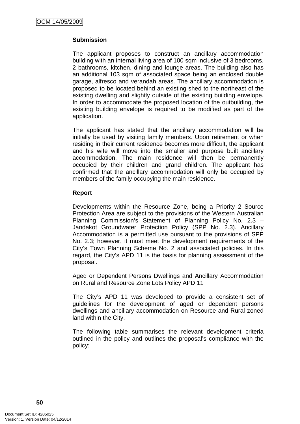## **Submission**

The applicant proposes to construct an ancillary accommodation building with an internal living area of 100 sqm inclusive of 3 bedrooms, 2 bathrooms, kitchen, dining and lounge areas. The building also has an additional 103 sqm of associated space being an enclosed double garage, alfresco and verandah areas. The ancillary accommodation is proposed to be located behind an existing shed to the northeast of the existing dwelling and slightly outside of the existing building envelope. In order to accommodate the proposed location of the outbuilding, the existing building envelope is required to be modified as part of the application.

The applicant has stated that the ancillary accommodation will be initially be used by visiting family members. Upon retirement or when residing in their current residence becomes more difficult, the applicant and his wife will move into the smaller and purpose built ancillary accommodation. The main residence will then be permanently occupied by their children and grand children. The applicant has confirmed that the ancillary accommodation will only be occupied by members of the family occupying the main residence.

## **Report**

Developments within the Resource Zone, being a Priority 2 Source Protection Area are subject to the provisions of the Western Australian Planning Commission's Statement of Planning Policy No. 2.3 – Jandakot Groundwater Protection Policy (SPP No. 2.3). Ancillary Accommodation is a permitted use pursuant to the provisions of SPP No. 2.3; however, it must meet the development requirements of the City's Town Planning Scheme No. 2 and associated policies. In this regard, the City's APD 11 is the basis for planning assessment of the proposal.

Aged or Dependent Persons Dwellings and Ancillary Accommodation on Rural and Resource Zone Lots Policy APD 11

The City's APD 11 was developed to provide a consistent set of guidelines for the development of aged or dependent persons dwellings and ancillary accommodation on Resource and Rural zoned land within the City.

The following table summarises the relevant development criteria outlined in the policy and outlines the proposal's compliance with the policy: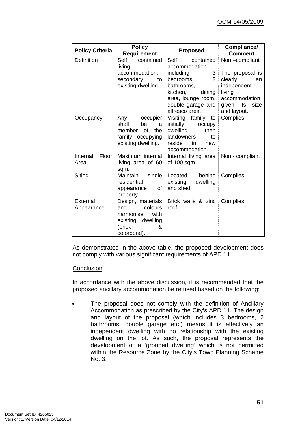| <b>Policy Criteria</b>    | <b>Policy</b><br><b>Requirement</b>                                                                            | <b>Proposed</b>                                                                                                                                                                                   | Compliance/<br><b>Comment</b>                                                                                                      |
|---------------------------|----------------------------------------------------------------------------------------------------------------|---------------------------------------------------------------------------------------------------------------------------------------------------------------------------------------------------|------------------------------------------------------------------------------------------------------------------------------------|
| Definition                | Self<br>contained<br>living<br>accommodation,<br>secondary<br>to<br>existing dwelling.                         | Self<br>contained<br>accommodation<br>3 <sup>1</sup><br>including<br>$\overline{2}$<br>bedrooms,<br>bathrooms,<br>kitchen,<br>dining<br>area, lounge room,<br>double garage and<br>alfresco area. | Non-compliant<br>The proposal is<br>clearly<br>an<br>independent<br>living<br>accommodation<br>given<br>its<br>size<br>and layout. |
| Occupancy                 | occupier<br>Any<br>shall<br>be<br>a<br>of<br>the<br>member<br>family occupying<br>existing dwelling.           | Visiting<br>family<br>to<br>initially<br>occupy<br>dwelling<br>then<br>landowners<br>to<br>reside<br>in.<br>new<br>accommodation.                                                                 | Complies                                                                                                                           |
| Floor<br>Internal<br>Area | Maximum internal<br>living area of 60<br>sqm.                                                                  | Internal living area<br>of 100 sqm.                                                                                                                                                               | Non - compliant                                                                                                                    |
| Siting                    | Maintain<br>single<br>residential<br>of<br>appearance<br>property.                                             | behind<br>Located<br>existing<br>dwelling<br>and shed                                                                                                                                             | Complies                                                                                                                           |
| External<br>Appearance    | Design, materials<br>colours<br>and<br>with<br>harmonise<br>existing<br>dwelling<br>(brick<br>&<br>colorbond). | Brick walls & zinc<br>roof                                                                                                                                                                        | Complies                                                                                                                           |

As demonstrated in the above table, the proposed development does not comply with various significant requirements of APD 11.

## **Conclusion**

In accordance with the above discussion, it is recommended that the proposed ancillary accommodation be refused based on the following:

The proposal does not comply with the definition of Ancillary Accommodation as prescribed by the City's APD 11. The design and layout of the proposal (which includes 3 bedrooms, 2 bathrooms, double garage etc.) means it is effectively an independent dwelling with no relationship with the existing dwelling on the lot. As such, the proposal represents the development of a 'grouped dwelling' which is not permitted within the Resource Zone by the City's Town Planning Scheme No. 3.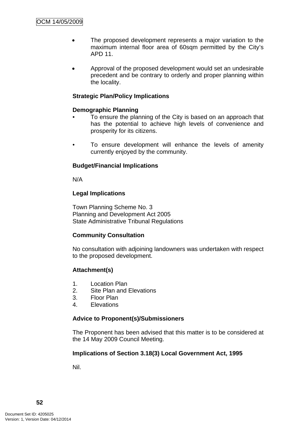- The proposed development represents a major variation to the maximum internal floor area of 60sqm permitted by the City's APD 11.
- Approval of the proposed development would set an undesirable precedent and be contrary to orderly and proper planning within the locality.

## **Strategic Plan/Policy Implications**

## **Demographic Planning**

- To ensure the planning of the City is based on an approach that has the potential to achieve high levels of convenience and prosperity for its citizens.
- To ensure development will enhance the levels of amenity currently enjoyed by the community.

## **Budget/Financial Implications**

N/A

## **Legal Implications**

Town Planning Scheme No. 3 Planning and Development Act 2005 State Administrative Tribunal Regulations

## **Community Consultation**

No consultation with adjoining landowners was undertaken with respect to the proposed development.

## **Attachment(s)**

- 1. Location Plan
- 2. Site Plan and Elevations
- 3. Floor Plan
- 4. Elevations

## **Advice to Proponent(s)/Submissioners**

The Proponent has been advised that this matter is to be considered at the 14 May 2009 Council Meeting.

## **Implications of Section 3.18(3) Local Government Act, 1995**

Nil.

**52**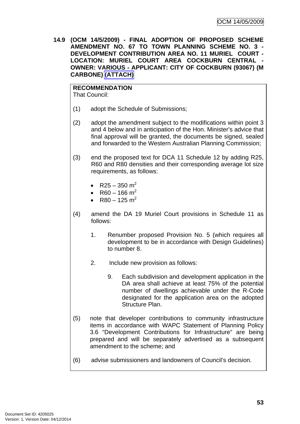**14.9 (OCM 14/5/2009) - FINAL ADOPTION OF PROPOSED SCHEME AMENDMENT NO. 67 TO TOWN PLANNING SCHEME NO. 3 - DEVELOPMENT CONTRIBUTION AREA NO. 11 MURIEL COURT - LOCATION: MURIEL COURT AREA COCKBURN CENTRAL - OWNER: VARIOUS - APPLICANT: CITY OF COCKBURN (93067) (M CARBONE) (ATTACH)** 

#### **RECOMMENDATION** That Council:

- (1) adopt the Schedule of Submissions;
- (2) adopt the amendment subject to the modifications within point 3 and 4 below and in anticipation of the Hon. Minister's advice that final approval will be granted, the documents be signed, sealed and forwarded to the Western Australian Planning Commission;
- (3) end the proposed text for DCA 11 Schedule 12 by adding R25, R60 and R80 densities and their corresponding average lot size requirements, as follows:
	- R25 350 m<sup>2</sup>
	- R60 166 m<sup>2</sup>
	- R80 125 m<sup>2</sup>
- (4) amend the DA 19 Muriel Court provisions in Schedule 11 as follows:
	- 1. Renumber proposed Provision No. 5 (which requires all development to be in accordance with Design Guidelines) to number 8.
	- 2. Include new provision as follows:
		- 9. Each subdivision and development application in the DA area shall achieve at least 75% of the potential number of dwellings achievable under the R-Code designated for the application area on the adopted Structure Plan.
- (5) note that developer contributions to community infrastructure items in accordance with WAPC Statement of Planning Policy 3.6 "Development Contributions for Infrastructure" are being prepared and will be separately advertised as a subsequent amendment to the scheme; and
- (6) advise submissioners and landowners of Council's decision.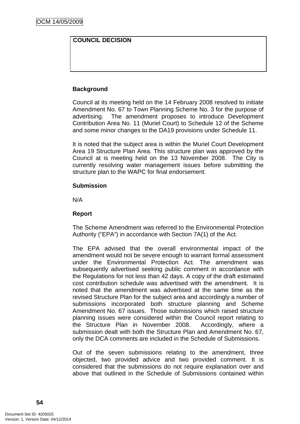## **COUNCIL DECISION**

## **Background**

Council at its meeting held on the 14 February 2008 resolved to initiate Amendment No. 67 to Town Planning Scheme No. 3 for the purpose of advertising. The amendment proposes to introduce Development Contribution Area No. 11 (Muriel Court) to Schedule 12 of the Scheme and some minor changes to the DA19 provisions under Schedule 11.

It is noted that the subject area is within the Muriel Court Development Area 19 Structure Plan Area. This structure plan was approved by the Council at is meeting held on the 13 November 2008. The City is currently resolving water management issues before submitting the structure plan to the WAPC for final endorsement.

## **Submission**

N/A

## **Report**

The Scheme Amendment was referred to the Environmental Protection Authority ("EPA") in accordance with Section 7A(1) of the Act.

The EPA advised that the overall environmental impact of the amendment would not be severe enough to warrant formal assessment under the Environmental Protection Act. The amendment was subsequently advertised seeking public comment in accordance with the Regulations for not less than 42 days. A copy of the draft estimated cost contribution schedule was advertised with the amendment. It is noted that the amendment was advertised at the same time as the revised Structure Plan for the subject area and accordingly a number of submissions incorporated both structure planning and Scheme Amendment No. 67 issues. Those submissions which raised structure planning issues were considered within the Council report relating to the Structure Plan in November 2008. Accordingly, where a submission dealt with both the Structure Plan and Amendment No. 67, only the DCA comments are included in the Schedule of Submissions.

Out of the seven submissions relating to the amendment, three objected, two provided advice and two provided comment. It is considered that the submissions do not require explanation over and above that outlined in the Schedule of Submissions contained within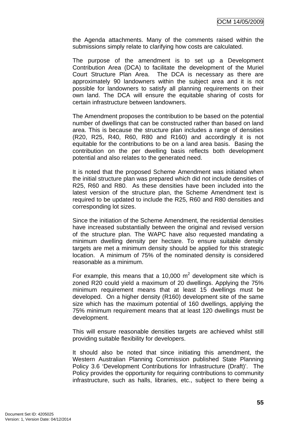the Agenda attachments. Many of the comments raised within the submissions simply relate to clarifying how costs are calculated.

The purpose of the amendment is to set up a Development Contribution Area (DCA) to facilitate the development of the Muriel Court Structure Plan Area. The DCA is necessary as there are approximately 90 landowners within the subject area and it is not possible for landowners to satisfy all planning requirements on their own land. The DCA will ensure the equitable sharing of costs for certain infrastructure between landowners.

The Amendment proposes the contribution to be based on the potential number of dwellings that can be constructed rather than based on land area. This is because the structure plan includes a range of densities (R20, R25, R40, R60, R80 and R160) and accordingly it is not equitable for the contributions to be on a land area basis. Basing the contribution on the per dwelling basis reflects both development potential and also relates to the generated need.

It is noted that the proposed Scheme Amendment was initiated when the initial structure plan was prepared which did not include densities of R25, R60 and R80. As these densities have been included into the latest version of the structure plan, the Scheme Amendment text is required to be updated to include the R25, R60 and R80 densities and corresponding lot sizes.

Since the initiation of the Scheme Amendment, the residential densities have increased substantially between the original and revised version of the structure plan. The WAPC have also requested mandating a minimum dwelling density per hectare. To ensure suitable density targets are met a minimum density should be applied for this strategic location. A minimum of 75% of the nominated density is considered reasonable as a minimum.

For example, this means that a 10,000  $m^2$  development site which is zoned R20 could yield a maximum of 20 dwellings. Applying the 75% minimum requirement means that at least 15 dwellings must be developed. On a higher density (R160) development site of the same size which has the maximum potential of 160 dwellings, applying the 75% minimum requirement means that at least 120 dwellings must be development.

This will ensure reasonable densities targets are achieved whilst still providing suitable flexibility for developers.

It should also be noted that since initiating this amendment, the Western Australian Planning Commission published State Planning Policy 3.6 'Development Contributions for Infrastructure (Draft)'. The Policy provides the opportunity for requiring contributions to community infrastructure, such as halls, libraries, etc., subject to there being a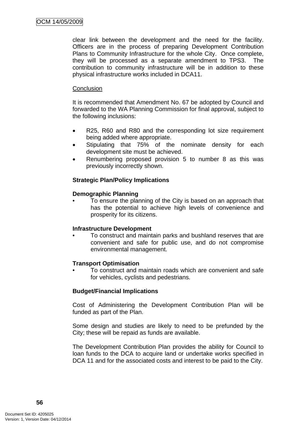clear link between the development and the need for the facility. Officers are in the process of preparing Development Contribution Plans to Community Infrastructure for the whole City. Once complete, they will be processed as a separate amendment to TPS3. The contribution to community infrastructure will be in addition to these physical infrastructure works included in DCA11.

#### **Conclusion**

It is recommended that Amendment No. 67 be adopted by Council and forwarded to the WA Planning Commission for final approval, subject to the following inclusions:

- R25, R60 and R80 and the corresponding lot size requirement being added where appropriate.
- Stipulating that 75% of the nominate density for each development site must be achieved.
- Renumbering proposed provision 5 to number 8 as this was previously incorrectly shown.

## **Strategic Plan/Policy Implications**

#### **Demographic Planning**

• To ensure the planning of the City is based on an approach that has the potential to achieve high levels of convenience and prosperity for its citizens.

## **Infrastructure Development**

• To construct and maintain parks and bushland reserves that are convenient and safe for public use, and do not compromise environmental management.

## **Transport Optimisation**

• To construct and maintain roads which are convenient and safe for vehicles, cyclists and pedestrians.

## **Budget/Financial Implications**

Cost of Administering the Development Contribution Plan will be funded as part of the Plan.

Some design and studies are likely to need to be prefunded by the City; these will be repaid as funds are available.

The Development Contribution Plan provides the ability for Council to loan funds to the DCA to acquire land or undertake works specified in DCA 11 and for the associated costs and interest to be paid to the City.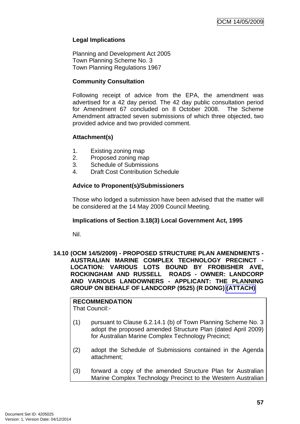## **Legal Implications**

Planning and Development Act 2005 Town Planning Scheme No. 3 Town Planning Regulations 1967

## **Community Consultation**

Following receipt of advice from the EPA, the amendment was advertised for a 42 day period. The 42 day public consultation period for Amendment 67 concluded on 8 October 2008. The Scheme Amendment attracted seven submissions of which three objected, two provided advice and two provided comment.

## **Attachment(s)**

- 1. Existing zoning map
- 2. Proposed zoning map
- 3. Schedule of Submissions
- 4. Draft Cost Contribution Schedule

## **Advice to Proponent(s)/Submissioners**

Those who lodged a submission have been advised that the matter will be considered at the 14 May 2009 Council Meeting.

#### **Implications of Section 3.18(3) Local Government Act, 1995**

Nil.

## **14.10 (OCM 14/5/2009) - PROPOSED STRUCTURE PLAN AMENDMENTS - AUSTRALIAN MARINE COMPLEX TECHNOLOGY PRECINCT - LOCATION: VARIOUS LOTS BOUND BY FROBISHER AVE, ROCKINGHAM AND RUSSELL ROADS - OWNER: LANDCORP AND VARIOUS LANDOWNERS - APPLICANT: THE PLANNING GROUP ON BEHALF OF LANDCORP (9525) (R DONG) (ATTACH)**

#### **RECOMMENDATION** That Council:-

- (1) pursuant to Clause 6.2.14.1 (b) of Town Planning Scheme No. 3 adopt the proposed amended Structure Plan (dated April 2009) for Australian Marine Complex Technology Precinct;
- (2) adopt the Schedule of Submissions contained in the Agenda attachment;
- (3) forward a copy of the amended Structure Plan for Australian Marine Complex Technology Precinct to the Western Australian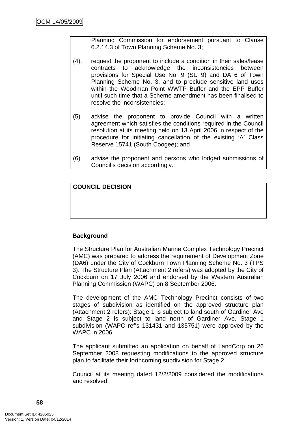Planning Commission for endorsement pursuant to Clause 6.2.14.3 of Town Planning Scheme No. 3;

- (4). request the proponent to include a condition in their sales/lease contracts to acknowledge the inconsistencies between provisions for Special Use No. 9 (SU 9) and DA 6 of Town Planning Scheme No. 3, and to preclude sensitive land uses within the Woodman Point WWTP Buffer and the EPP Buffer until such time that a Scheme amendment has been finalised to resolve the inconsistencies;
- (5) advise the proponent to provide Council with a written agreement which satisfies the conditions required in the Council resolution at its meeting held on 13 April 2006 in respect of the procedure for initiating cancellation of the existing 'A' Class Reserve 15741 (South Coogee); and
- (6) advise the proponent and persons who lodged submissions of Council's decision accordingly.

## **COUNCIL DECISION**

## **Background**

The Structure Plan for Australian Marine Complex Technology Precinct (AMC) was prepared to address the requirement of Development Zone (DA6) under the City of Cockburn Town Planning Scheme No. 3 (TPS 3). The Structure Plan (Attachment 2 refers) was adopted by the City of Cockburn on 17 July 2006 and endorsed by the Western Australian Planning Commission (WAPC) on 8 September 2006.

The development of the AMC Technology Precinct consists of two stages of subdivision as identified on the approved structure plan (Attachment 2 refers): Stage 1 is subject to land south of Gardiner Ave and Stage 2 is subject to land north of Gardiner Ave. Stage 1 subdivision (WAPC ref's 131431 and 135751) were approved by the WAPC in 2006.

The applicant submitted an application on behalf of LandCorp on 26 September 2008 requesting modifications to the approved structure plan to facilitate their forthcoming subdivision for Stage 2.

Council at its meeting dated 12/2/2009 considered the modifications and resolved: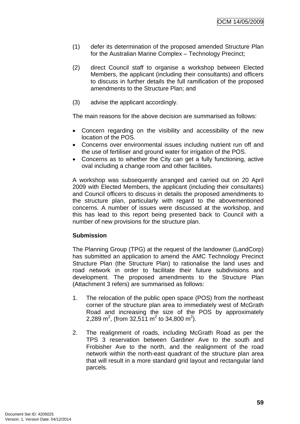- (1) defer its determination of the proposed amended Structure Plan for the Australian Marine Complex – Technology Precinct;
- (2) direct Council staff to organise a workshop between Elected Members, the applicant (including their consultants) and officers to discuss in further details the full ramification of the proposed amendments to the Structure Plan; and
- (3) advise the applicant accordingly.

The main reasons for the above decision are summarised as follows:

- Concern regarding on the visibility and accessibility of the new location of the POS.
- Concerns over environmental issues including nutrient run off and the use of fertiliser and ground water for irrigation of the POS.
- Concerns as to whether the City can get a fully functioning, active oval including a change room and other facilities.

A workshop was subsequently arranged and carried out on 20 April 2009 with Elected Members, the applicant (including their consultants) and Council officers to discuss in details the proposed amendments to the structure plan, particularly with regard to the abovementioned concerns. A number of issues were discussed at the workshop, and this has lead to this report being presented back to Council with a number of new provisions for the structure plan.

## **Submission**

The Planning Group (TPG) at the request of the landowner (LandCorp) has submitted an application to amend the AMC Technology Precinct Structure Plan (the Structure Plan) to rationalise the land uses and road network in order to facilitate their future subdivisions and development. The proposed amendments to the Structure Plan (Attachment 3 refers) are summarised as follows:

- 1. The relocation of the public open space (POS) from the northeast corner of the structure plan area to immediately west of McGrath Road and increasing the size of the POS by approximately 2,289 m<sup>2</sup>, (from 32,511 m<sup>2</sup> to 34,800 m<sup>2</sup>).
- 2. The realignment of roads, including McGrath Road as per the TPS 3 reservation between Gardiner Ave to the south and Frobisher Ave to the north, and the realignment of the road network within the north-east quadrant of the structure plan area that will result in a more standard grid layout and rectangular land parcels.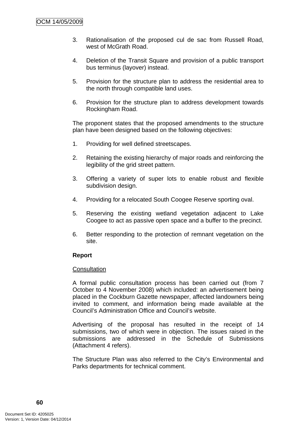- 3. Rationalisation of the proposed cul de sac from Russell Road, west of McGrath Road.
- 4. Deletion of the Transit Square and provision of a public transport bus terminus (layover) instead.
- 5. Provision for the structure plan to address the residential area to the north through compatible land uses.
- 6. Provision for the structure plan to address development towards Rockingham Road.

The proponent states that the proposed amendments to the structure plan have been designed based on the following objectives:

- 1. Providing for well defined streetscapes.
- 2. Retaining the existing hierarchy of major roads and reinforcing the legibility of the grid street pattern.
- 3. Offering a variety of super lots to enable robust and flexible subdivision design.
- 4. Providing for a relocated South Coogee Reserve sporting oval.
- 5. Reserving the existing wetland vegetation adjacent to Lake Coogee to act as passive open space and a buffer to the precinct.
- 6. Better responding to the protection of remnant vegetation on the site.

## **Report**

## **Consultation**

A formal public consultation process has been carried out (from 7 October to 4 November 2008) which included: an advertisement being placed in the Cockburn Gazette newspaper, affected landowners being invited to comment, and information being made available at the Council's Administration Office and Council's website.

Advertising of the proposal has resulted in the receipt of 14 submissions, two of which were in objection. The issues raised in the submissions are addressed in the Schedule of Submissions (Attachment 4 refers).

The Structure Plan was also referred to the City's Environmental and Parks departments for technical comment.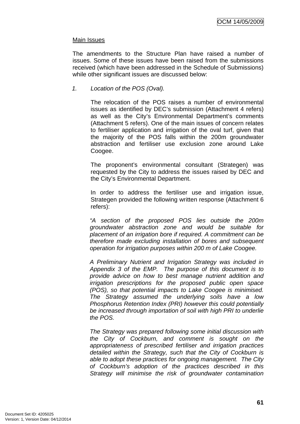## Main Issues

The amendments to the Structure Plan have raised a number of issues. Some of these issues have been raised from the submissions received (which have been addressed in the Schedule of Submissions) while other significant issues are discussed below:

## *1. Location of the POS (Oval).*

The relocation of the POS raises a number of environmental issues as identified by DEC's submission (Attachment 4 refers) as well as the City's Environmental Department's comments (Attachment 5 refers). One of the main issues of concern relates to fertiliser application and irrigation of the oval turf, given that the majority of the POS falls within the 200m groundwater abstraction and fertiliser use exclusion zone around Lake Coogee.

The proponent's environmental consultant (Strategen) was requested by the City to address the issues raised by DEC and the City's Environmental Department.

In order to address the fertiliser use and irrigation issue, Strategen provided the following written response (Attachment 6 refers):

*"A section of the proposed POS lies outside the 200m groundwater abstraction zone and would be suitable for placement of an irrigation bore if required. A commitment can be therefore made excluding installation of bores and subsequent operation for irrigation purposes within 200 m of Lake Coogee.* 

*A Preliminary Nutrient and Irrigation Strategy was included in Appendix 3 of the EMP. The purpose of this document is to provide advice on how to best manage nutrient addition and irrigation prescriptions for the proposed public open space (POS), so that potential impacts to Lake Coogee is minimised. The Strategy assumed the underlying soils have a low Phosphorus Retention Index (PRI) however this could potentially be increased through importation of soil with high PRI to underlie the POS.* 

*The Strategy was prepared following some initial discussion with the City of Cockburn, and comment is sought on the appropriateness of prescribed fertiliser and irrigation practices detailed within the Strategy, such that the City of Cockburn is able to adopt these practices for ongoing management. The City of Cockburn's adoption of the practices described in this Strategy will minimise the risk of groundwater contamination*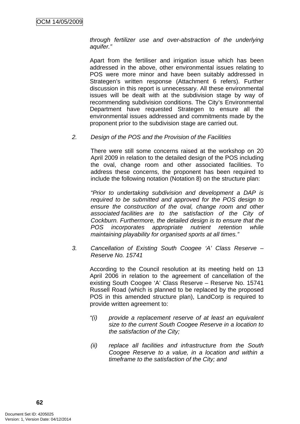*through fertilizer use and over-abstraction of the underlying aquifer."* 

Apart from the fertiliser and irrigation issue which has been addressed in the above, other environmental issues relating to POS were more minor and have been suitably addressed in Strategen's written response (Attachment 6 refers). Further discussion in this report is unnecessary. All these environmental issues will be dealt with at the subdivision stage by way of recommending subdivision conditions. The City's Environmental Department have requested Strategen to ensure all the environmental issues addressed and commitments made by the proponent prior to the subdivision stage are carried out.

#### *2. Design of the POS and the Provision of the Facilities*

There were still some concerns raised at the workshop on 20 April 2009 in relation to the detailed design of the POS including the oval, change room and other associated facilities. To address these concerns, the proponent has been required to include the following notation (Notation 8) on the structure plan:

*"Prior to undertaking subdivision and development a DAP is required to be submitted and approved for the POS design to ensure the construction of the oval, change room and other associated facilities are to the satisfaction of the City of Cockburn. Furthermore, the detailed design is to ensure that the POS incorporates appropriate nutrient retention while maintaining playability for organised sports at all times."* 

*3. Cancellation of Existing South Coogee 'A' Class Reserve – Reserve No. 15741* 

According to the Council resolution at its meeting held on 13 April 2006 in relation to the agreement of cancellation of the existing South Coogee 'A' Class Reserve – Reserve No. 15741 Russell Road (which is planned to be replaced by the proposed POS in this amended structure plan), LandCorp is required to provide written agreement to:

- *"(i) provide a replacement reserve of at least an equivalent size to the current South Coogee Reserve in a location to the satisfaction of the City;*
- *(ii) replace all facilities and infrastructure from the South Coogee Reserve to a value, in a location and within a timeframe to the satisfaction of the City; and*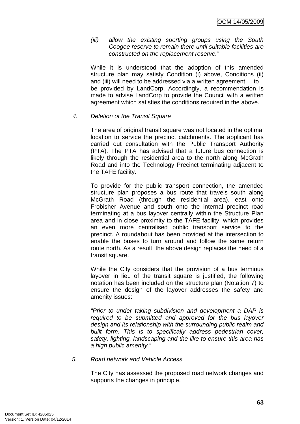*(iii) allow the existing sporting groups using the South Coogee reserve to remain there until suitable facilities are constructed on the replacement reserve."* 

While it is understood that the adoption of this amended structure plan may satisfy Condition (i) above, Conditions (ii) and (iii) will need to be addressed via a written agreement to be provided by LandCorp. Accordingly, a recommendation is made to advise LandCorp to provide the Council with a written agreement which satisfies the conditions required in the above.

## *4. Deletion of the Transit Square*

The area of original transit square was not located in the optimal location to service the precinct catchments. The applicant has carried out consultation with the Public Transport Authority (PTA). The PTA has advised that a future bus connection is likely through the residential area to the north along McGrath Road and into the Technology Precinct terminating adjacent to the TAFE facility.

To provide for the public transport connection, the amended structure plan proposes a bus route that travels south along McGrath Road (through the residential area), east onto Frobisher Avenue and south onto the internal precinct road terminating at a bus layover centrally within the Structure Plan area and in close proximity to the TAFE facility, which provides an even more centralised public transport service to the precinct. A roundabout has been provided at the intersection to enable the buses to turn around and follow the same return route north. As a result, the above design replaces the need of a transit square.

While the City considers that the provision of a bus terminus layover in lieu of the transit square is justified, the following notation has been included on the structure plan (Notation 7) to ensure the design of the layover addresses the safety and amenity issues:

*"Prior to under taking subdivision and development a DAP is required to be submitted and approved for the bus layover design and its relationship with the surrounding public realm and built form. This is to specifically address pedestrian cover, safety, lighting, landscaping and the like to ensure this area has a high public amenity."* 

*5. Road network and Vehicle Access* 

The City has assessed the proposed road network changes and supports the changes in principle.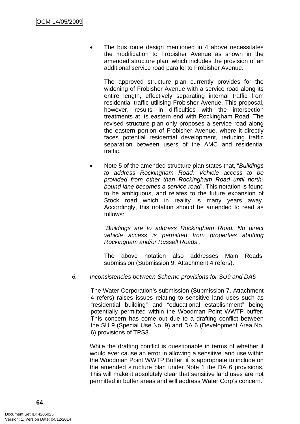The bus route design mentioned in 4 above necessitates the modification to Frobisher Avenue as shown in the amended structure plan, which includes the provision of an additional service road parallel to Frobisher Avenue.

The approved structure plan currently provides for the widening of Frobisher Avenue with a service road along its entire length, effectively separating internal traffic from residential traffic utilising Frobisher Avenue. This proposal, however, results in difficulties with the intersection treatments at its eastern end with Rockingham Road. The revised structure plan only proposes a service road along the eastern portion of Frobisher Avenue, where it directly faces potential residential development, reducing traffic separation between users of the AMC and residential traffic.

• Note 5 of the amended structure plan states that, "*Buildings to address Rockingham Road. Vehicle access to be provided from other than Rockingham Road until northbound lane becomes a service road*". This notation is found to be ambiguous, and relates to the future expansion of Stock road which in reality is many years away. Accordingly, this notation should be amended to read as follows:

*"Buildings are to address Rockingham Road. No direct vehicle access is permitted from properties abutting Rockingham and/or Russell Roads".* 

The above notation also addresses Main Roads' submission (Submission 9, Attachment 4 refers).

*6. Inconsistencies between Scheme provisions for SU9 and DA6* 

The Water Corporation's submission (Submission 7, Attachment 4 refers) raises issues relating to sensitive land uses such as "residential building" and "educational establishment" being potentially permitted within the Woodman Point WWTP buffer. This concern has come out due to a drafting conflict between the SU 9 (Special Use No. 9) and DA 6 (Development Area No. 6) provisions of TPS3.

While the drafting conflict is questionable in terms of whether it would ever cause an error in allowing a sensitive land use within the Woodman Point WWTP Buffer, it is appropriate to include on the amended structure plan under Note 1 the DA 6 provisions. This will make it absolutely clear that sensitive land uses are not permitted in buffer areas and will address Water Corp's concern.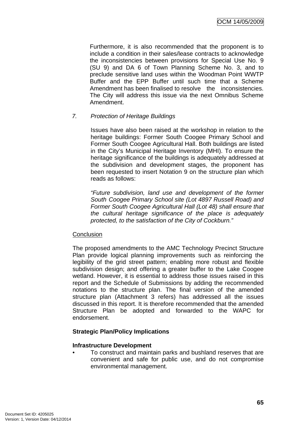Furthermore, it is also recommended that the proponent is to include a condition in their sales/lease contracts to acknowledge the inconsistencies between provisions for Special Use No. 9 (SU 9) and DA 6 of Town Planning Scheme No. 3, and to preclude sensitive land uses within the Woodman Point WWTP Buffer and the EPP Buffer until such time that a Scheme Amendment has been finalised to resolve the inconsistencies. The City will address this issue via the next Omnibus Scheme Amendment.

## *7. Protection of Heritage Buildings*

Issues have also been raised at the workshop in relation to the heritage buildings: Former South Coogee Primary School and Former South Coogee Agricultural Hall. Both buildings are listed in the City's Municipal Heritage Inventory (MHI). To ensure the heritage significance of the buildings is adequately addressed at the subdivision and development stages, the proponent has been requested to insert Notation 9 on the structure plan which reads as follows:

*"Future subdivision, land use and development of the former South Coogee Primary School site (Lot 4897 Russell Road) and Former South Coogee Agricultural Hall (Lot 48) shall ensure that the cultural heritage significance of the place is adequately protected, to the satisfaction of the City of Cockburn."* 

## **Conclusion**

The proposed amendments to the AMC Technology Precinct Structure Plan provide logical planning improvements such as reinforcing the legibility of the grid street pattern; enabling more robust and flexible subdivision design; and offering a greater buffer to the Lake Coogee wetland. However, it is essential to address those issues raised in this report and the Schedule of Submissions by adding the recommended notations to the structure plan. The final version of the amended structure plan (Attachment 3 refers) has addressed all the issues discussed in this report. It is therefore recommended that the amended Structure Plan be adopted and forwarded to the WAPC for endorsement.

## **Strategic Plan/Policy Implications**

## **Infrastructure Development**

• To construct and maintain parks and bushland reserves that are convenient and safe for public use, and do not compromise environmental management.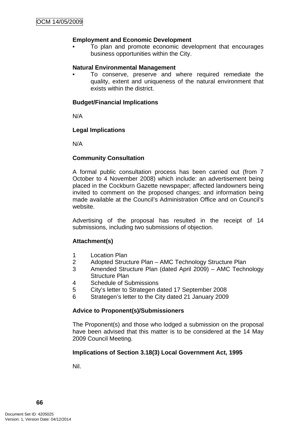## **Employment and Economic Development**

• To plan and promote economic development that encourages business opportunities within the City.

## **Natural Environmental Management**

• To conserve, preserve and where required remediate the quality, extent and uniqueness of the natural environment that exists within the district.

## **Budget/Financial Implications**

N/A

## **Legal Implications**

N/A

## **Community Consultation**

A formal public consultation process has been carried out (from 7 October to 4 November 2008) which include: an advertisement being placed in the Cockburn Gazette newspaper; affected landowners being invited to comment on the proposed changes; and information being made available at the Council's Administration Office and on Council's website.

Advertising of the proposal has resulted in the receipt of 14 submissions, including two submissions of objection.

## **Attachment(s)**

- 1 Location Plan
- 2 Adopted Structure Plan AMC Technology Structure Plan
- 3 Amended Structure Plan (dated April 2009) AMC Technology Structure Plan
- 4 Schedule of Submissions
- 5 City's letter to Strategen dated 17 September 2008
- 6 Strategen's letter to the City dated 21 January 2009

## **Advice to Proponent(s)/Submissioners**

The Proponent(s) and those who lodged a submission on the proposal have been advised that this matter is to be considered at the 14 May 2009 Council Meeting.

## **Implications of Section 3.18(3) Local Government Act, 1995**

Nil.

**66**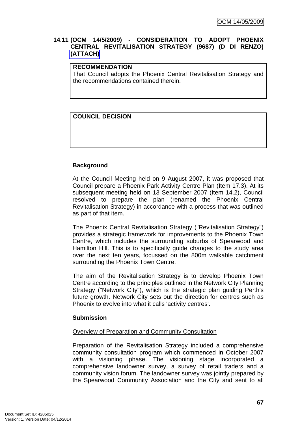## **14.11 (OCM 14/5/2009) - CONSIDERATION TO ADOPT PHOENIX CENTRAL REVITALISATION STRATEGY (9687) (D DI RENZO) (ATTACH)**

#### **RECOMMENDATION**

That Council adopts the Phoenix Central Revitalisation Strategy and the recommendations contained therein.

## **COUNCIL DECISION**

## **Background**

At the Council Meeting held on 9 August 2007, it was proposed that Council prepare a Phoenix Park Activity Centre Plan (Item 17.3). At its subsequent meeting held on 13 September 2007 (Item 14.2), Council resolved to prepare the plan (renamed the Phoenix Central Revitalisation Strategy) in accordance with a process that was outlined as part of that item.

The Phoenix Central Revitalisation Strategy ("Revitalisation Strategy") provides a strategic framework for improvements to the Phoenix Town Centre, which includes the surrounding suburbs of Spearwood and Hamilton Hill. This is to specifically guide changes to the study area over the next ten years, focussed on the 800m walkable catchment surrounding the Phoenix Town Centre.

The aim of the Revitalisation Strategy is to develop Phoenix Town Centre according to the principles outlined in the Network City Planning Strategy ("Network City"), which is the strategic plan guiding Perth's future growth. Network City sets out the direction for centres such as Phoenix to evolve into what it calls 'activity centres'.

#### **Submission**

#### Overview of Preparation and Community Consultation

Preparation of the Revitalisation Strategy included a comprehensive community consultation program which commenced in October 2007 with a visioning phase. The visioning stage incorporated a comprehensive landowner survey, a survey of retail traders and a community vision forum. The landowner survey was jointly prepared by the Spearwood Community Association and the City and sent to all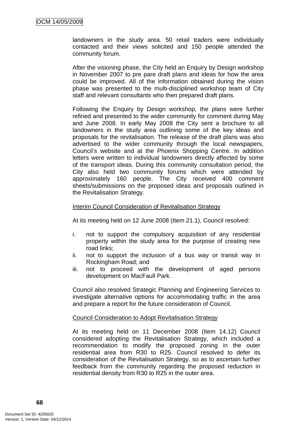landowners in the study area. 50 retail traders were individually contacted and their views solicited and 150 people attended the community forum.

After the visioning phase, the City held an Enquiry by Design workshop in November 2007 to pre pare draft plans and ideas for how the area could be improved. All of the information obtained during the vision phase was presented to the multi-disciplined workshop team of City staff and relevant consultants who then prepared draft plans.

Following the Enquiry by Design workshop, the plans were further refined and presented to the wider community for comment during May and June 2008. In early May 2008 the City sent a brochure to all landowners in the study area outlining some of the key ideas and proposals for the revitalisation. The release of the draft plans was also advertised to the wider community through the local newspapers, Council's website and at the Phoenix Shopping Centre. In addition letters were written to individual landowners directly affected by some of the transport ideas. During this community consultation period, the City also held two community forums which were attended by approximately 160 people. The City received 400 comment sheets/submissions on the proposed ideas and proposals outlined in the Revitalisation Strategy.

#### Interim Council Consideration of Revitalisation Strategy

At its meeting held on 12 June 2008 (Item 21.1), Council resolved:

- i. not to support the compulsory acquisition of any residential property within the study area for the purpose of creating new road links;
- ii. not to support the inclusion of a bus way or transit way in Rockingham Road; and
- iii. not to proceed with the development of aged persons development on MacFaull Park.

Council also resolved Strategic Planning and Engineering Services to investigate alternative options for accommodating traffic in the area and prepare a report for the future consideration of Council.

#### Council Consideration to Adopt Revitalisation Strategy

At its meeting held on 11 December 2008 (Item 14.12) Council considered adopting the Revitalisation Strategy, which included a recommendation to modify the proposed zoning in the outer residential area from R30 to R25. Council resolved to defer its consideration of the Revitalisation Strategy, so as to ascertain further feedback from the community regarding the proposed reduction in residential density from R30 to R25 in the outer area.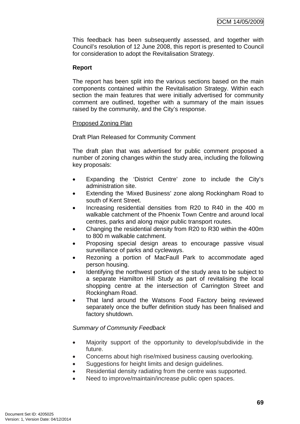This feedback has been subsequently assessed, and together with Council's resolution of 12 June 2008, this report is presented to Council for consideration to adopt the Revitalisation Strategy.

## **Report**

The report has been split into the various sections based on the main components contained within the Revitalisation Strategy. Within each section the main features that were initially advertised for community comment are outlined, together with a summary of the main issues raised by the community, and the City's response.

## Proposed Zoning Plan

Draft Plan Released for Community Comment

The draft plan that was advertised for public comment proposed a number of zoning changes within the study area, including the following key proposals:

- Expanding the 'District Centre' zone to include the City's administration site.
- Extending the 'Mixed Business' zone along Rockingham Road to south of Kent Street.
- Increasing residential densities from R20 to R40 in the 400 m walkable catchment of the Phoenix Town Centre and around local centres, parks and along major public transport routes.
- Changing the residential density from R20 to R30 within the 400m to 800 m walkable catchment.
- Proposing special design areas to encourage passive visual surveillance of parks and cycleways.
- Rezoning a portion of MacFaull Park to accommodate aged person housing.
- Identifying the northwest portion of the study area to be subject to a separate Hamilton Hill Study as part of revitalising the local shopping centre at the intersection of Carrington Street and Rockingham Road.
- That land around the Watsons Food Factory being reviewed separately once the buffer definition study has been finalised and factory shutdown.

## *Summary of Community Feedback*

- Majority support of the opportunity to develop/subdivide in the future.
- Concerns about high rise/mixed business causing overlooking.
- Suggestions for height limits and design guidelines.
- Residential density radiating from the centre was supported.
- Need to improve/maintain/increase public open spaces.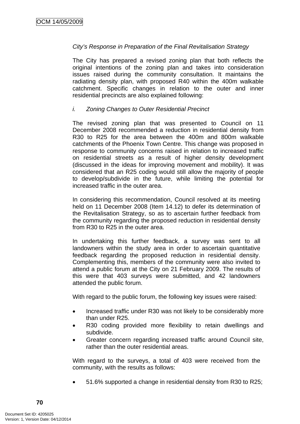## *City's Response in Preparation of the Final Revitalisation Strategy*

The City has prepared a revised zoning plan that both reflects the original intentions of the zoning plan and takes into consideration issues raised during the community consultation. It maintains the radiating density plan, with proposed R40 within the 400m walkable catchment. Specific changes in relation to the outer and inner residential precincts are also explained following:

## *i. Zoning Changes to Outer Residential Precinct*

The revised zoning plan that was presented to Council on 11 December 2008 recommended a reduction in residential density from R30 to R25 for the area between the 400m and 800m walkable catchments of the Phoenix Town Centre. This change was proposed in response to community concerns raised in relation to increased traffic on residential streets as a result of higher density development (discussed in the ideas for improving movement and mobility). It was considered that an R25 coding would still allow the majority of people to develop/subdivide in the future, while limiting the potential for increased traffic in the outer area.

In considering this recommendation, Council resolved at its meeting held on 11 December 2008 (Item 14.12) to defer its determination of the Revitalisation Strategy, so as to ascertain further feedback from the community regarding the proposed reduction in residential density from R30 to R25 in the outer area.

In undertaking this further feedback, a survey was sent to all landowners within the study area in order to ascertain quantitative feedback regarding the proposed reduction in residential density. Complementing this, members of the community were also invited to attend a public forum at the City on 21 February 2009. The results of this were that 403 surveys were submitted, and 42 landowners attended the public forum.

With regard to the public forum, the following key issues were raised:

- Increased traffic under R30 was not likely to be considerably more than under R25.
- R30 coding provided more flexibility to retain dwellings and subdivide.
- Greater concern regarding increased traffic around Council site, rather than the outer residential areas.

With regard to the surveys, a total of 403 were received from the community, with the results as follows:

• 51.6% supported a change in residential density from R30 to R25;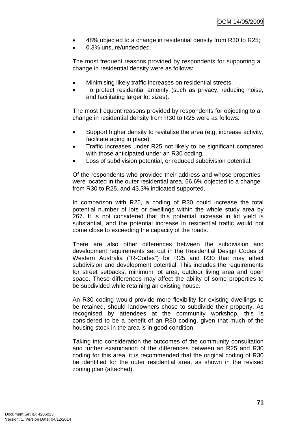- 48% objected to a change in residential density from R30 to R25;
- 0.3% unsure/undecided.

The most frequent reasons provided by respondents for supporting a change in residential density were as follows:

- Minimising likely traffic increases on residential streets.
- To protect residential amenity (such as privacy, reducing noise, and facilitating larger lot sizes).

The most frequent reasons provided by respondents for objecting to a change in residential density from R30 to R25 were as follows:

- Support higher density to revitalise the area (e.g. increase activity, facilitate aging in place).
- Traffic increases under R25 not likely to be significant compared with those anticipated under an R30 coding.
- Loss of subdivision potential, or reduced subdivision potential.

Of the respondents who provided their address and whose properties were located in the outer residential area, 56.6% objected to a change from R30 to R25, and 43.3% indicated supported.

In comparison with R25, a coding of R30 could increase the total potential number of lots or dwellings within the whole study area by 267. It is not considered that this potential increase in lot yield is substantial, and the potential increase in residential traffic would not come close to exceeding the capacity of the roads.

There are also other differences between the subdivision and development requirements set out in the Residential Design Codes of Western Australia ("R-Codes") for R25 and R30 that may affect subdivision and development potential. This includes the requirements for street setbacks, minimum lot area, outdoor living area and open space. These differences may affect the ability of some properties to be subdivided while retaining an existing house.

An R30 coding would provide more flexibility for existing dwellings to be retained, should landowners chose to subdivide their property. As recognised by attendees at the community workshop, this is considered to be a benefit of an R30 coding, given that much of the housing stock in the area is in good condition.

Taking into consideration the outcomes of the community consultation and further examination of the differences between an R25 and R30 coding for this area, it is recommended that the original coding of R30 be identified for the outer residential area, as shown in the revised zoning plan (attached).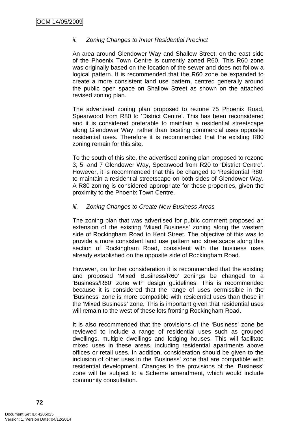## *ii. Zoning Changes to Inner Residential Precinct*

An area around Glendower Way and Shallow Street, on the east side of the Phoenix Town Centre is currently zoned R60. This R60 zone was originally based on the location of the sewer and does not follow a logical pattern. It is recommended that the R60 zone be expanded to create a more consistent land use pattern, centred generally around the public open space on Shallow Street as shown on the attached revised zoning plan.

The advertised zoning plan proposed to rezone 75 Phoenix Road, Spearwood from R80 to 'District Centre'. This has been reconsidered and it is considered preferable to maintain a residential streetscape along Glendower Way, rather than locating commercial uses opposite residential uses. Therefore it is recommended that the existing R80 zoning remain for this site.

To the south of this site, the advertised zoning plan proposed to rezone 3, 5, and 7 Glendower Way, Spearwood from R20 to 'District Centre'. However, it is recommended that this be changed to 'Residential R80' to maintain a residential streetscape on both sides of Glendower Way. A R80 zoning is considered appropriate for these properties, given the proximity to the Phoenix Town Centre.

#### *iii. Zoning Changes to Create New Business Areas*

The zoning plan that was advertised for public comment proposed an extension of the existing 'Mixed Business' zoning along the western side of Rockingham Road to Kent Street. The objective of this was to provide a more consistent land use pattern and streetscape along this section of Rockingham Road, consistent with the business uses already established on the opposite side of Rockingham Road.

However, on further consideration it is recommended that the existing and proposed 'Mixed Business/R60' zonings be changed to a 'Business/R60' zone with design guidelines. This is recommended because it is considered that the range of uses permissible in the 'Business' zone is more compatible with residential uses than those in the 'Mixed Business' zone. This is important given that residential uses will remain to the west of these lots fronting Rockingham Road.

It is also recommended that the provisions of the 'Business' zone be reviewed to include a range of residential uses such as grouped dwellings, multiple dwellings and lodging houses. This will facilitate mixed uses in these areas, including residential apartments above offices or retail uses. In addition, consideration should be given to the inclusion of other uses in the 'Business' zone that are compatible with residential development. Changes to the provisions of the 'Business' zone will be subject to a Scheme amendment, which would include community consultation.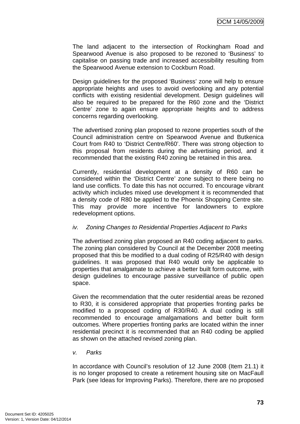The land adjacent to the intersection of Rockingham Road and Spearwood Avenue is also proposed to be rezoned to 'Business' to capitalise on passing trade and increased accessibility resulting from the Spearwood Avenue extension to Cockburn Road.

Design guidelines for the proposed 'Business' zone will help to ensure appropriate heights and uses to avoid overlooking and any potential conflicts with existing residential development. Design guidelines will also be required to be prepared for the R60 zone and the 'District Centre' zone to again ensure appropriate heights and to address concerns regarding overlooking.

The advertised zoning plan proposed to rezone properties south of the Council administration centre on Spearwood Avenue and Butkenica Court from R40 to 'District Centre/R60'. There was strong objection to this proposal from residents during the advertising period, and it recommended that the existing R40 zoning be retained in this area.

Currently, residential development at a density of R60 can be considered within the 'District Centre' zone subject to there being no land use conflicts. To date this has not occurred. To encourage vibrant activity which includes mixed use development it is recommended that a density code of R80 be applied to the Phoenix Shopping Centre site. This may provide more incentive for landowners to explore redevelopment options.

#### *iv. Zoning Changes to Residential Properties Adjacent to Parks*

The advertised zoning plan proposed an R40 coding adjacent to parks. The zoning plan considered by Council at the December 2008 meeting proposed that this be modified to a dual coding of R25/R40 with design guidelines. It was proposed that R40 would only be applicable to properties that amalgamate to achieve a better built form outcome, with design guidelines to encourage passive surveillance of public open space.

Given the recommendation that the outer residential areas be rezoned to R30, it is considered appropriate that properties fronting parks be modified to a proposed coding of R30/R40. A dual coding is still recommended to encourage amalgamations and better built form outcomes. Where properties fronting parks are located within the inner residential precinct it is recommended that an R40 coding be applied as shown on the attached revised zoning plan.

#### *v. Parks*

In accordance with Council's resolution of 12 June 2008 (Item 21.1) it is no longer proposed to create a retirement housing site on MacFaull Park (see Ideas for Improving Parks). Therefore, there are no proposed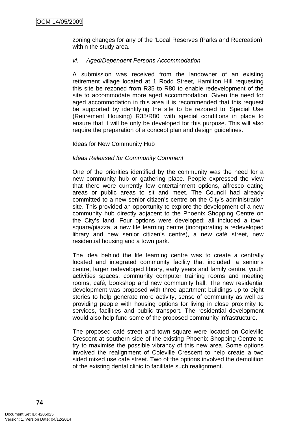zoning changes for any of the 'Local Reserves (Parks and Recreation)' within the study area.

#### *vi. Aged/Dependent Persons Accommodation*

A submission was received from the landowner of an existing retirement village located at 1 Rodd Street, Hamilton Hill requesting this site be rezoned from R35 to R80 to enable redevelopment of the site to accommodate more aged accommodation. Given the need for aged accommodation in this area it is recommended that this request be supported by identifying the site to be rezoned to 'Special Use (Retirement Housing) R35/R80' with special conditions in place to ensure that it will be only be developed for this purpose. This will also require the preparation of a concept plan and design guidelines.

#### Ideas for New Community Hub

#### *Ideas Released for Community Comment*

One of the priorities identified by the community was the need for a new community hub or gathering place. People expressed the view that there were currently few entertainment options, alfresco eating areas or public areas to sit and meet. The Council had already committed to a new senior citizen's centre on the City's administration site. This provided an opportunity to explore the development of a new community hub directly adjacent to the Phoenix Shopping Centre on the City's land. Four options were developed; all included a town square/piazza, a new life learning centre (incorporating a redeveloped library and new senior citizen's centre), a new café street, new residential housing and a town park.

The idea behind the life learning centre was to create a centrally located and integrated community facility that included: a senior's centre, larger redeveloped library, early years and family centre, youth activities spaces, community computer training rooms and meeting rooms, café, bookshop and new community hall. The new residential development was proposed with three apartment buildings up to eight stories to help generate more activity, sense of community as well as providing people with housing options for living in close proximity to services, facilities and public transport. The residential development would also help fund some of the proposed community infrastructure.

The proposed café street and town square were located on Coleville Crescent at southern side of the existing Phoenix Shopping Centre to try to maximise the possible vibrancy of this new area. Some options involved the realignment of Coleville Crescent to help create a two sided mixed use café street. Two of the options involved the demolition of the existing dental clinic to facilitate such realignment.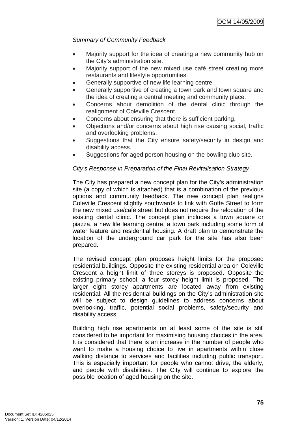## *Summary of Community Feedback*

- Majority support for the idea of creating a new community hub on the City's administration site.
- Majority support of the new mixed use café street creating more restaurants and lifestyle opportunities.
- Generally supportive of new life learning centre.
- Generally supportive of creating a town park and town square and the idea of creating a central meeting and community place.
- Concerns about demolition of the dental clinic through the realignment of Coleville Crescent.
- Concerns about ensuring that there is sufficient parking.
- Objections and/or concerns about high rise causing social, traffic and overlooking problems.
- Suggestions that the City ensure safety/security in design and disability access.
- Suggestions for aged person housing on the bowling club site.

## *City's Response in Preparation of the Final Revitalisation Strategy*

The City has prepared a new concept plan for the City's administration site (a copy of which is attached) that is a combination of the previous options and community feedback. The new concept plan realigns Coleville Crescent slightly southwards to link with Goffe Street to form the new mixed use/café street but does not require the relocation of the existing dental clinic. The concept plan includes a town square or piazza, a new life learning centre, a town park including some form of water feature and residential housing. A draft plan to demonstrate the location of the underground car park for the site has also been prepared.

The revised concept plan proposes height limits for the proposed residential buildings. Opposite the existing residential area on Coleville Crescent a height limit of three storeys is proposed. Opposite the existing primary school, a four storey height limit is proposed. The larger eight storey apartments are located away from existing residential. All the residential buildings on the City's administration site will be subject to design guidelines to address concerns about overlooking, traffic, potential social problems, safety/security and disability access.

Building high rise apartments on at least some of the site is still considered to be important for maximising housing choices in the area. It is considered that there is an increase in the number of people who want to make a housing choice to live in apartments within close walking distance to services and facilities including public transport. This is especially important for people who cannot drive, the elderly, and people with disabilities. The City will continue to explore the possible location of aged housing on the site.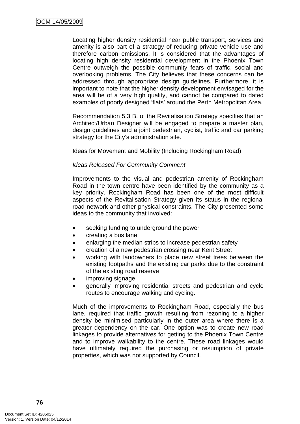Locating higher density residential near public transport, services and amenity is also part of a strategy of reducing private vehicle use and therefore carbon emissions. It is considered that the advantages of locating high density residential development in the Phoenix Town Centre outweigh the possible community fears of traffic, social and overlooking problems. The City believes that these concerns can be addressed through appropriate design guidelines. Furthermore, it is important to note that the higher density development envisaged for the area will be of a very high quality, and cannot be compared to dated examples of poorly designed 'flats' around the Perth Metropolitan Area.

Recommendation 5.3 B. of the Revitalisation Strategy specifies that an Architect/Urban Designer will be engaged to prepare a master plan, design guidelines and a joint pedestrian, cyclist, traffic and car parking strategy for the City's administration site.

#### Ideas for Movement and Mobility (Including Rockingham Road)

#### *Ideas Released For Community Comment*

Improvements to the visual and pedestrian amenity of Rockingham Road in the town centre have been identified by the community as a key priority. Rockingham Road has been one of the most difficult aspects of the Revitalisation Strategy given its status in the regional road network and other physical constraints. The City presented some ideas to the community that involved:

- seeking funding to underground the power
- creating a bus lane
- enlarging the median strips to increase pedestrian safety
- creation of a new pedestrian crossing near Kent Street
- working with landowners to place new street trees between the existing footpaths and the existing car parks due to the constraint of the existing road reserve
- improving signage
- generally improving residential streets and pedestrian and cycle routes to encourage walking and cycling.

Much of the improvements to Rockingham Road, especially the bus lane, required that traffic growth resulting from rezoning to a higher density be minimised particularly in the outer area where there is a greater dependency on the car. One option was to create new road linkages to provide alternatives for getting to the Phoenix Town Centre and to improve walkability to the centre. These road linkages would have ultimately required the purchasing or resumption of private properties, which was not supported by Council.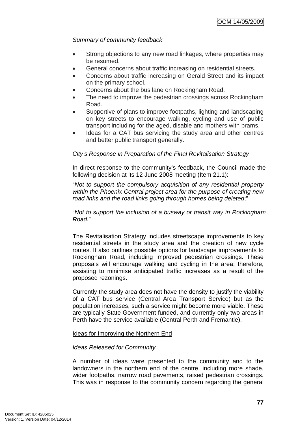## *Summary of community feedback*

- Strong objections to any new road linkages, where properties may be resumed.
- General concerns about traffic increasing on residential streets.
- Concerns about traffic increasing on Gerald Street and its impact on the primary school.
- Concerns about the bus lane on Rockingham Road.
- The need to improve the pedestrian crossings across Rockingham Road.
- Supportive of plans to improve footpaths, lighting and landscaping on key streets to encourage walking, cycling and use of public transport including for the aged, disable and mothers with prams.
- Ideas for a CAT bus servicing the study area and other centres and better public transport generally.

## *City's Response in Preparation of the Final Revitalisation Strategy*

In direct response to the community's feedback, the Council made the following decision at its 12 June 2008 meeting (Item 21.1):

"*Not to support the compulsory acquisition of any residential property within the Phoenix Central project area for the purpose of creating new road links and the road links going through homes being deleted*;"

"*Not to support the inclusion of a busway or transit way in Rockingham Road.*"

The Revitalisation Strategy includes streetscape improvements to key residential streets in the study area and the creation of new cycle routes. It also outlines possible options for landscape improvements to Rockingham Road, including improved pedestrian crossings. These proposals will encourage walking and cycling in the area; therefore, assisting to minimise anticipated traffic increases as a result of the proposed rezonings.

Currently the study area does not have the density to justify the viability of a CAT bus service (Central Area Transport Service) but as the population increases, such a service might become more viable. These are typically State Government funded, and currently only two areas in Perth have the service available (Central Perth and Fremantle).

#### Ideas for Improving the Northern End

#### *Ideas Released for Community*

A number of ideas were presented to the community and to the landowners in the northern end of the centre, including more shade, wider footpaths, narrow road pavements, raised pedestrian crossings. This was in response to the community concern regarding the general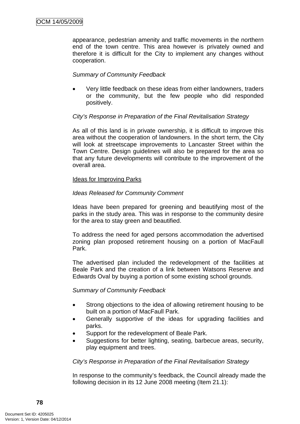appearance, pedestrian amenity and traffic movements in the northern end of the town centre. This area however is privately owned and therefore it is difficult for the City to implement any changes without cooperation.

## *Summary of Community Feedback*

• Very little feedback on these ideas from either landowners, traders or the community, but the few people who did responded positively.

## *City's Response in Preparation of the Final Revitalisation Strategy*

As all of this land is in private ownership, it is difficult to improve this area without the cooperation of landowners. In the short term, the City will look at streetscape improvements to Lancaster Street within the Town Centre. Design guidelines will also be prepared for the area so that any future developments will contribute to the improvement of the overall area.

#### Ideas for Improving Parks

#### *Ideas Released for Community Comment*

Ideas have been prepared for greening and beautifying most of the parks in the study area. This was in response to the community desire for the area to stay green and beautified.

To address the need for aged persons accommodation the advertised zoning plan proposed retirement housing on a portion of MacFaull Park.

The advertised plan included the redevelopment of the facilities at Beale Park and the creation of a link between Watsons Reserve and Edwards Oval by buying a portion of some existing school grounds.

#### *Summary of Community Feedback*

- Strong objections to the idea of allowing retirement housing to be built on a portion of MacFaull Park.
- Generally supportive of the ideas for upgrading facilities and parks.
- Support for the redevelopment of Beale Park.
- Suggestions for better lighting, seating, barbecue areas, security, play equipment and trees.

#### *City's Response in Preparation of the Final Revitalisation Strategy*

In response to the community's feedback, the Council already made the following decision in its 12 June 2008 meeting (Item 21.1):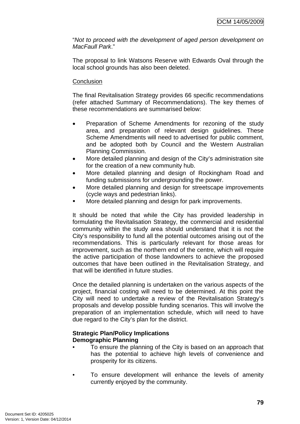"*Not to proceed with the development of aged person development on MacFaull Park*."

The proposal to link Watsons Reserve with Edwards Oval through the local school grounds has also been deleted.

## **Conclusion**

The final Revitalisation Strategy provides 66 specific recommendations (refer attached Summary of Recommendations). The key themes of these recommendations are summarised below:

- Preparation of Scheme Amendments for rezoning of the study area, and preparation of relevant design guidelines. These Scheme Amendments will need to advertised for public comment, and be adopted both by Council and the Western Australian Planning Commission.
- More detailed planning and design of the City's administration site for the creation of a new community hub.
- More detailed planning and design of Rockingham Road and funding submissions for undergrounding the power.
- More detailed planning and design for streetscape improvements (cycle ways and pedestrian links).
- More detailed planning and design for park improvements.

It should be noted that while the City has provided leadership in formulating the Revitalisation Strategy, the commercial and residential community within the study area should understand that it is not the City's responsibility to fund all the potential outcomes arising out of the recommendations. This is particularly relevant for those areas for improvement, such as the northern end of the centre, which will require the active participation of those landowners to achieve the proposed outcomes that have been outlined in the Revitalisation Strategy, and that will be identified in future studies.

Once the detailed planning is undertaken on the various aspects of the project, financial costing will need to be determined. At this point the City will need to undertake a review of the Revitalisation Strategy's proposals and develop possible funding scenarios. This will involve the preparation of an implementation schedule, which will need to have due regard to the City's plan for the district.

## **Strategic Plan/Policy Implications Demographic Planning**

- To ensure the planning of the City is based on an approach that has the potential to achieve high levels of convenience and prosperity for its citizens.
- To ensure development will enhance the levels of amenity currently enjoyed by the community.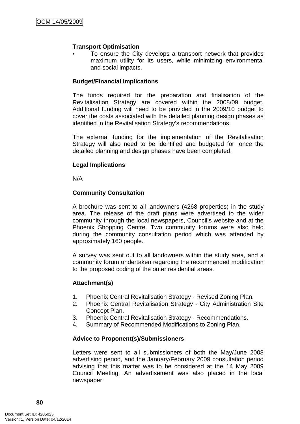#### **Transport Optimisation**

To ensure the City develops a transport network that provides maximum utility for its users, while minimizing environmental and social impacts.

#### **Budget/Financial Implications**

The funds required for the preparation and finalisation of the Revitalisation Strategy are covered within the 2008/09 budget. Additional funding will need to be provided in the 2009/10 budget to cover the costs associated with the detailed planning design phases as identified in the Revitalisation Strategy's recommendations.

The external funding for the implementation of the Revitalisation Strategy will also need to be identified and budgeted for, once the detailed planning and design phases have been completed.

#### **Legal Implications**

N/A

#### **Community Consultation**

A brochure was sent to all landowners (4268 properties) in the study area. The release of the draft plans were advertised to the wider community through the local newspapers, Council's website and at the Phoenix Shopping Centre. Two community forums were also held during the community consultation period which was attended by approximately 160 people.

A survey was sent out to all landowners within the study area, and a community forum undertaken regarding the recommended modification to the proposed coding of the outer residential areas.

#### **Attachment(s)**

- 1. Phoenix Central Revitalisation Strategy Revised Zoning Plan.
- 2. Phoenix Central Revitalisation Strategy City Administration Site Concept Plan.
- 3. Phoenix Central Revitalisation Strategy Recommendations.
- 4. Summary of Recommended Modifications to Zoning Plan.

#### **Advice to Proponent(s)/Submissioners**

Letters were sent to all submissioners of both the May/June 2008 advertising period, and the January/February 2009 consultation period advising that this matter was to be considered at the 14 May 2009 Council Meeting. An advertisement was also placed in the local newspaper.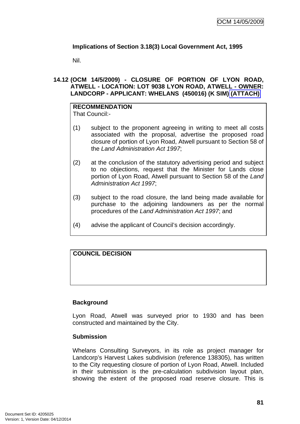## **Implications of Section 3.18(3) Local Government Act, 1995**

Nil.

#### **14.12 (OCM 14/5/2009) - CLOSURE OF PORTION OF LYON ROAD, ATWELL - LOCATION: LOT 9038 LYON ROAD, ATWELL - OWNER: LANDCORP - APPLICANT: WHELANS (450016) (K SIM) (ATTACH)**

#### **RECOMMENDATION** That Council:-

- (1) subject to the proponent agreeing in writing to meet all costs associated with the proposal, advertise the proposed road closure of portion of Lyon Road, Atwell pursuant to Section 58 of the *Land Administration Act 1997*;
- (2) at the conclusion of the statutory advertising period and subject to no objections, request that the Minister for Lands close portion of Lyon Road, Atwell pursuant to Section 58 of the *Land Administration Act 1997*;
- (3) subject to the road closure, the land being made available for purchase to the adjoining landowners as per the normal procedures of the *Land Administration Act 1997*; and
- (4) advise the applicant of Council's decision accordingly.

## **COUNCIL DECISION**

#### **Background**

Lyon Road, Atwell was surveyed prior to 1930 and has been constructed and maintained by the City.

#### **Submission**

Whelans Consulting Surveyors, in its role as project manager for Landcorp's Harvest Lakes subdivision (reference 138305), has written to the City requesting closure of portion of Lyon Road, Atwell. Included in their submission is the pre-calculation subdivision layout plan, showing the extent of the proposed road reserve closure. This is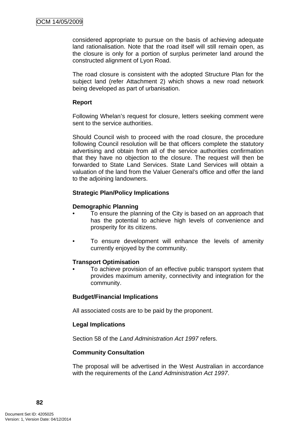considered appropriate to pursue on the basis of achieving adequate land rationalisation. Note that the road itself will still remain open, as the closure is only for a portion of surplus perimeter land around the constructed alignment of Lyon Road.

The road closure is consistent with the adopted Structure Plan for the subject land (refer Attachment 2) which shows a new road network being developed as part of urbanisation.

## **Report**

Following Whelan's request for closure, letters seeking comment were sent to the service authorities.

Should Council wish to proceed with the road closure, the procedure following Council resolution will be that officers complete the statutory advertising and obtain from all of the service authorities confirmation that they have no objection to the closure. The request will then be forwarded to State Land Services. State Land Services will obtain a valuation of the land from the Valuer General's office and offer the land to the adjoining landowners.

## **Strategic Plan/Policy Implications**

## **Demographic Planning**

- To ensure the planning of the City is based on an approach that has the potential to achieve high levels of convenience and prosperity for its citizens.
- To ensure development will enhance the levels of amenity currently enjoyed by the community.

#### **Transport Optimisation**

• To achieve provision of an effective public transport system that provides maximum amenity, connectivity and integration for the community.

## **Budget/Financial Implications**

All associated costs are to be paid by the proponent.

## **Legal Implications**

Section 58 of the *Land Administration Act 1997* refers.

#### **Community Consultation**

The proposal will be advertised in the West Australian in accordance with the requirements of the *Land Administration Act 1997*.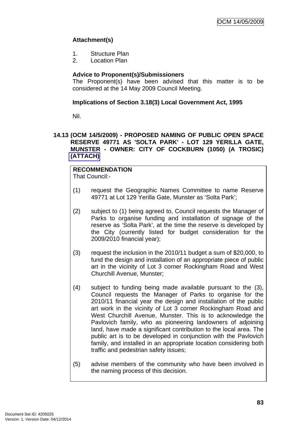## **Attachment(s)**

- 1. Structure Plan
- 2. Location Plan

## **Advice to Proponent(s)/Submissioners**

The Proponent(s) have been advised that this matter is to be considered at the 14 May 2009 Council Meeting.

## **Implications of Section 3.18(3) Local Government Act, 1995**

Nil.

#### **14.13 (OCM 14/5/2009) - PROPOSED NAMING OF PUBLIC OPEN SPACE RESERVE 49771 AS 'SOLTA PARK' - LOT 129 YERILLA GATE, MUNSTER - OWNER: CITY OF COCKBURN (1050) (A TROSIC) (ATTACH)**

# **RECOMMENDATION**

That Council:-

- (1) request the Geographic Names Committee to name Reserve 49771 at Lot 129 Yerilla Gate, Munster as 'Solta Park';
- (2) subject to (1) being agreed to, Council requests the Manager of Parks to organise funding and installation of signage of the reserve as 'Solta Park', at the time the reserve is developed by the City (currently listed for budget consideration for the 2009/2010 financial year);
- (3) request the inclusion in the 2010/11 budget a sum of \$20,000, to fund the design and installation of an appropriate piece of public art in the vicinity of Lot 3 corner Rockingham Road and West Churchill Avenue, Munster;
- (4) subject to funding being made available pursuant to the (3), Council requests the Manager of Parks to organise for the 2010/11 financial year the design and installation of the public art work in the vicinity of Lot 3 corner Rockingham Road and West Churchill Avenue, Munster. This is to acknowledge the Pavlovich family, who as pioneering landowners of adjoining land, have made a significant contribution to the local area. The public art is to be developed in conjunction with the Pavlovich family, and installed in an appropriate location considering both traffic and pedestrian safety issues;
- (5) advise members of the community who have been involved in the naming process of this decision.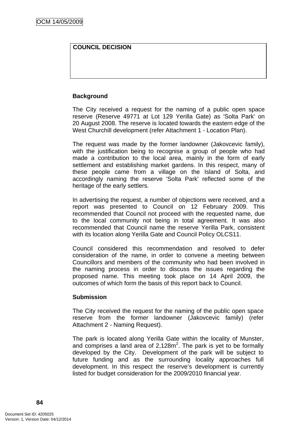## **COUNCIL DECISION**

#### **Background**

The City received a request for the naming of a public open space reserve (Reserve 49771 at Lot 129 Yerilla Gate) as 'Solta Park' on 20 August 2008. The reserve is located towards the eastern edge of the West Churchill development (refer Attachment 1 - Location Plan).

The request was made by the former landowner (Jakovcevic family), with the justification being to recognise a group of people who had made a contribution to the local area, mainly in the form of early settlement and establishing market gardens. In this respect, many of these people came from a village on the Island of Solta, and accordingly naming the reserve 'Solta Park' reflected some of the heritage of the early settlers.

In advertising the request, a number of objections were received, and a report was presented to Council on 12 February 2009. This recommended that Council not proceed with the requested name, due to the local community not being in total agreement. It was also recommended that Council name the reserve Yerilla Park, consistent with its location along Yerilla Gate and Council Policy OLCS11.

Council considered this recommendation and resolved to defer consideration of the name, in order to convene a meeting between Councillors and members of the community who had been involved in the naming process in order to discuss the issues regarding the proposed name. This meeting took place on 14 April 2009, the outcomes of which form the basis of this report back to Council.

#### **Submission**

The City received the request for the naming of the public open space reserve from the former landowner (Jakovcevic family) (refer Attachment 2 - Naming Request).

The park is located along Yerilla Gate within the locality of Munster, and comprises a land area of  $2,128m^2$ . The park is yet to be formally developed by the City. Development of the park will be subject to future funding and as the surrounding locality approaches full development. In this respect the reserve's development is currently listed for budget consideration for the 2009/2010 financial year.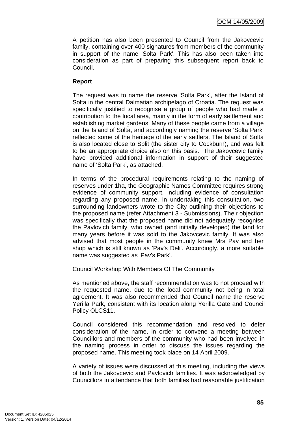A petition has also been presented to Council from the Jakovcevic family, containing over 400 signatures from members of the community in support of the name 'Solta Park'. This has also been taken into consideration as part of preparing this subsequent report back to Council.

## **Report**

The request was to name the reserve 'Solta Park', after the Island of Solta in the central Dalmatian archipelago of Croatia. The request was specifically justified to recognise a group of people who had made a contribution to the local area, mainly in the form of early settlement and establishing market gardens. Many of these people came from a village on the Island of Solta, and accordingly naming the reserve 'Solta Park' reflected some of the heritage of the early settlers. The Island of Solta is also located close to Split (the sister city to Cockburn), and was felt to be an appropriate choice also on this basis. The Jakovcevic family have provided additional information in support of their suggested name of 'Solta Park', as attached.

In terms of the procedural requirements relating to the naming of reserves under 1ha, the Geographic Names Committee requires strong evidence of community support, including evidence of consultation regarding any proposed name. In undertaking this consultation, two surrounding landowners wrote to the City outlining their objections to the proposed name (refer Attachment 3 - Submissions). Their objection was specifically that the proposed name did not adequately recognise the Pavlovich family, who owned (and initially developed) the land for many years before it was sold to the Jakovcevic family. It was also advised that most people in the community knew Mrs Pav and her shop which is still known as 'Pav's Deli'. Accordingly, a more suitable name was suggested as 'Pav's Park'.

#### Council Workshop With Members Of The Community

As mentioned above, the staff recommendation was to not proceed with the requested name, due to the local community not being in total agreement. It was also recommended that Council name the reserve Yerilla Park, consistent with its location along Yerilla Gate and Council Policy OLCS11.

Council considered this recommendation and resolved to defer consideration of the name, in order to convene a meeting between Councillors and members of the community who had been involved in the naming process in order to discuss the issues regarding the proposed name. This meeting took place on 14 April 2009.

A variety of issues were discussed at this meeting, including the views of both the Jakovcevic and Pavlovich families. It was acknowledged by Councillors in attendance that both families had reasonable justification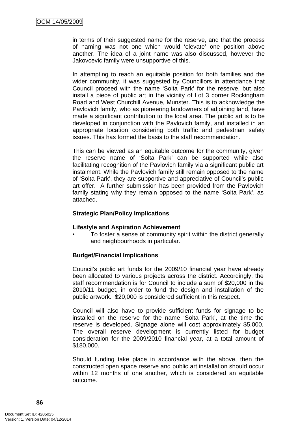in terms of their suggested name for the reserve, and that the process of naming was not one which would 'elevate' one position above another. The idea of a joint name was also discussed, however the Jakovcevic family were unsupportive of this.

In attempting to reach an equitable position for both families and the wider community, it was suggested by Councillors in attendance that Council proceed with the name 'Solta Park' for the reserve, but also install a piece of public art in the vicinity of Lot 3 corner Rockingham Road and West Churchill Avenue, Munster. This is to acknowledge the Pavlovich family, who as pioneering landowners of adjoining land, have made a significant contribution to the local area. The public art is to be developed in conjunction with the Pavlovich family, and installed in an appropriate location considering both traffic and pedestrian safety issues. This has formed the basis to the staff recommendation.

This can be viewed as an equitable outcome for the community, given the reserve name of 'Solta Park' can be supported while also facilitating recognition of the Pavlovich family via a significant public art instalment. While the Pavlovich family still remain opposed to the name of 'Solta Park', they are supportive and appreciative of Council's public art offer. A further submission has been provided from the Pavlovich family stating why they remain opposed to the name 'Solta Park', as attached.

#### **Strategic Plan/Policy Implications**

#### **Lifestyle and Aspiration Achievement**

• To foster a sense of community spirit within the district generally and neighbourhoods in particular.

#### **Budget/Financial Implications**

Council's public art funds for the 2009/10 financial year have already been allocated to various projects across the district. Accordingly, the staff recommendation is for Council to include a sum of \$20,000 in the 2010/11 budget, in order to fund the design and installation of the public artwork. \$20,000 is considered sufficient in this respect.

Council will also have to provide sufficient funds for signage to be installed on the reserve for the name 'Solta Park', at the time the reserve is developed. Signage alone will cost approximately \$5,000. The overall reserve development is currently listed for budget consideration for the 2009/2010 financial year, at a total amount of \$180,000.

Should funding take place in accordance with the above, then the constructed open space reserve and public art installation should occur within 12 months of one another, which is considered an equitable outcome.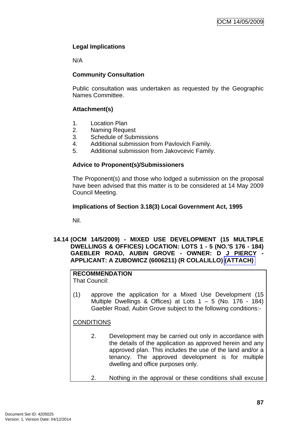## **Legal Implications**

N/A

## **Community Consultation**

Public consultation was undertaken as requested by the Geographic Names Committee.

## **Attachment(s)**

- 1. Location Plan
- 2. Naming Request
- 3. Schedule of Submissions
- 4. Additional submission from Pavlovich Family.
- 5. Additional submission from Jakovcevic Family.

## **Advice to Proponent(s)/Submissioners**

The Proponent(s) and those who lodged a submission on the proposal have been advised that this matter is to be considered at 14 May 2009 Council Meeting.

## **Implications of Section 3.18(3) Local Government Act, 1995**

Nil.

#### **14.14 (OCM 14/5/2009) - MIXED USE DEVELOPMENT (15 MULTIPLE DWELLINGS & OFFICES) LOCATION: LOTS 1 - 5 (NO.'S 176 - 184) GAEBLER ROAD, AUBIN GROVE - OWNER: D J PIERCY - APPLICANT: A ZUBOWICZ (6006211) (R COLALILLO) (ATTACH)**

# **RECOMMENDATION**

That Council:

(1) approve the application for a Mixed Use Development (15 Multiple Dwellings & Offices) at Lots  $1 - 5$  (No. 176 - 184) Gaebler Road, Aubin Grove subject to the following conditions:-

# **CONDITIONS**

- 2. Development may be carried out only in accordance with the details of the application as approved herein and any approved plan. This includes the use of the land and/or a tenancy. The approved development is for multiple dwelling and office purposes only.
- 2. Nothing in the approval or these conditions shall excuse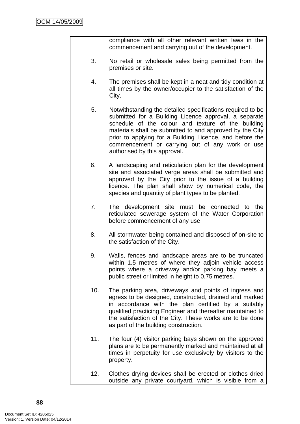compliance with all other relevant written laws in the commencement and carrying out of the development.

- 3. No retail or wholesale sales being permitted from the premises or site.
- 4. The premises shall be kept in a neat and tidy condition at all times by the owner/occupier to the satisfaction of the City.
- 5. Notwithstanding the detailed specifications required to be submitted for a Building Licence approval, a separate schedule of the colour and texture of the building materials shall be submitted to and approved by the City prior to applying for a Building Licence, and before the commencement or carrying out of any work or use authorised by this approval.
- 6. A landscaping and reticulation plan for the development site and associated verge areas shall be submitted and approved by the City prior to the issue of a building licence. The plan shall show by numerical code, the species and quantity of plant types to be planted.
- 7. The development site must be connected to the reticulated sewerage system of the Water Corporation before commencement of any use
- 8. All stormwater being contained and disposed of on-site to the satisfaction of the City.
- 9. Walls, fences and landscape areas are to be truncated within 1.5 metres of where they adjoin vehicle access points where a driveway and/or parking bay meets a public street or limited in height to 0.75 metres.
- 10. The parking area, driveways and points of ingress and egress to be designed, constructed, drained and marked in accordance with the plan certified by a suitably qualified practicing Engineer and thereafter maintained to the satisfaction of the City. These works are to be done as part of the building construction.
- 11. The four (4) visitor parking bays shown on the approved plans are to be permanently marked and maintained at all times in perpetuity for use exclusively by visitors to the property.
- 12. Clothes drying devices shall be erected or clothes dried outside any private courtyard, which is visible from a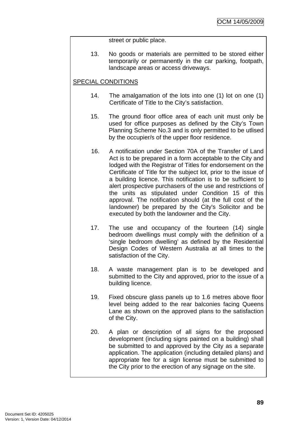street or public place.

13. No goods or materials are permitted to be stored either temporarily or permanently in the car parking, footpath, landscape areas or access driveways.

## SPECIAL CONDITIONS

- 14. The amalgamation of the lots into one (1) lot on one (1) Certificate of Title to the City's satisfaction.
- 15. The ground floor office area of each unit must only be used for office purposes as defined by the City's Town Planning Scheme No.3 and is only permitted to be utlised by the occupier/s of the upper floor residence.
- 16. A notification under Section 70A of the Transfer of Land Act is to be prepared in a form acceptable to the City and lodged with the Registrar of Titles for endorsement on the Certificate of Title for the subject lot, prior to the issue of a building licence. This notification is to be sufficient to alert prospective purchasers of the use and restrictions of the units as stipulated under Condition 15 of this approval. The notification should (at the full cost of the landowner) be prepared by the City's Solicitor and be executed by both the landowner and the City.
- 17. The use and occupancy of the fourteen (14) single bedroom dwellings must comply with the definition of a 'single bedroom dwelling' as defined by the Residential Design Codes of Western Australia at all times to the satisfaction of the City.
- 18. A waste management plan is to be developed and submitted to the City and approved, prior to the issue of a building licence.
- 19. Fixed obscure glass panels up to 1.6 metres above floor level being added to the rear balconies facing Queens Lane as shown on the approved plans to the satisfaction of the City.
- 20. A plan or description of all signs for the proposed development (including signs painted on a building) shall be submitted to and approved by the City as a separate application. The application (including detailed plans) and appropriate fee for a sign license must be submitted to the City prior to the erection of any signage on the site.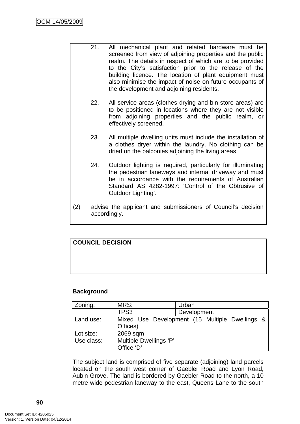- 21. All mechanical plant and related hardware must be screened from view of adjoining properties and the public realm. The details in respect of which are to be provided to the City's satisfaction prior to the release of the building licence. The location of plant equipment must also minimise the impact of noise on future occupants of the development and adjoining residents.
	- 22. All service areas (clothes drying and bin store areas) are to be positioned in locations where they are not visible from adjoining properties and the public realm, or effectively screened.
	- 23. All multiple dwelling units must include the installation of a clothes dryer within the laundry. No clothing can be dried on the balconies adjoining the living areas.
	- 24. Outdoor lighting is required, particularly for illuminating the pedestrian laneways and internal driveway and must be in accordance with the requirements of Australian Standard AS 4282-1997: 'Control of the Obtrusive of Outdoor Lighting'.
- (2) advise the applicant and submissioners of Council's decision accordingly.

# **COUNCIL DECISION**

## **Background**

| Zoning:    | MRS:                                                       | Urban       |  |  |
|------------|------------------------------------------------------------|-------------|--|--|
|            | TPS3                                                       | Development |  |  |
| Land use:  | Mixed Use Development (15 Multiple Dwellings &<br>Offices) |             |  |  |
| Lot size:  | 2069 sqm                                                   |             |  |  |
| Use class: | Multiple Dwellings 'P'<br>Office 'D'                       |             |  |  |

The subject land is comprised of five separate (adjoining) land parcels located on the south west corner of Gaebler Road and Lyon Road, Aubin Grove. The land is bordered by Gaebler Road to the north, a 10 metre wide pedestrian laneway to the east, Queens Lane to the south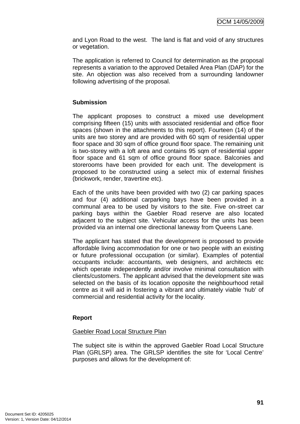and Lyon Road to the west. The land is flat and void of any structures or vegetation.

The application is referred to Council for determination as the proposal represents a variation to the approved Detailed Area Plan (DAP) for the site. An objection was also received from a surrounding landowner following advertising of the proposal.

## **Submission**

The applicant proposes to construct a mixed use development comprising fifteen (15) units with associated residential and office floor spaces (shown in the attachments to this report). Fourteen (14) of the units are two storey and are provided with 60 sqm of residential upper floor space and 30 sqm of office ground floor space. The remaining unit is two-storey with a loft area and contains 95 sqm of residential upper floor space and 61 sqm of office ground floor space. Balconies and storerooms have been provided for each unit. The development is proposed to be constructed using a select mix of external finishes (brickwork, render, travertine etc).

Each of the units have been provided with two (2) car parking spaces and four (4) additional carparking bays have been provided in a communal area to be used by visitors to the site. Five on-street car parking bays within the Gaebler Road reserve are also located adjacent to the subject site. Vehicular access for the units has been provided via an internal one directional laneway from Queens Lane.

The applicant has stated that the development is proposed to provide affordable living accommodation for one or two people with an existing or future professional occupation (or similar). Examples of potential occupants include: accountants, web designers, and architects etc which operate independently and/or involve minimal consultation with clients/customers. The applicant advised that the development site was selected on the basis of its location opposite the neighbourhood retail centre as it will aid in fostering a vibrant and ultimately viable 'hub' of commercial and residential activity for the locality.

#### **Report**

#### Gaebler Road Local Structure Plan

The subject site is within the approved Gaebler Road Local Structure Plan (GRLSP) area. The GRLSP identifies the site for 'Local Centre' purposes and allows for the development of: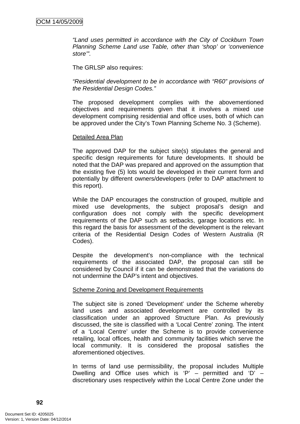*"Land uses permitted in accordance with the City of Cockburn Town Planning Scheme Land use Table, other than 'shop' or 'convenience store'".*

The GRLSP also requires:

*"Residential development to be in accordance with "R60" provisions of the Residential Design Codes."* 

The proposed development complies with the abovementioned objectives and requirements given that it involves a mixed use development comprising residential and office uses, both of which can be approved under the City's Town Planning Scheme No. 3 (Scheme).

#### Detailed Area Plan

The approved DAP for the subject site(s) stipulates the general and specific design requirements for future developments. It should be noted that the DAP was prepared and approved on the assumption that the existing five (5) lots would be developed in their current form and potentially by different owners/developers (refer to DAP attachment to this report).

While the DAP encourages the construction of grouped, multiple and mixed use developments, the subject proposal's design and configuration does not comply with the specific development requirements of the DAP such as setbacks, garage locations etc. In this regard the basis for assessment of the development is the relevant criteria of the Residential Design Codes of Western Australia (R Codes).

Despite the development's non-compliance with the technical requirements of the associated DAP, the proposal can still be considered by Council if it can be demonstrated that the variations do not undermine the DAP's intent and objectives.

#### Scheme Zoning and Development Requirements

The subject site is zoned 'Development' under the Scheme whereby land uses and associated development are controlled by its classification under an approved Structure Plan. As previously discussed, the site is classified with a 'Local Centre' zoning. The intent of a 'Local Centre' under the Scheme is to provide convenience retailing, local offices, health and community facilities which serve the local community. It is considered the proposal satisfies the aforementioned objectives.

In terms of land use permissibility, the proposal includes Multiple Dwelling and Office uses which is 'P' – permitted and 'D' – discretionary uses respectively within the Local Centre Zone under the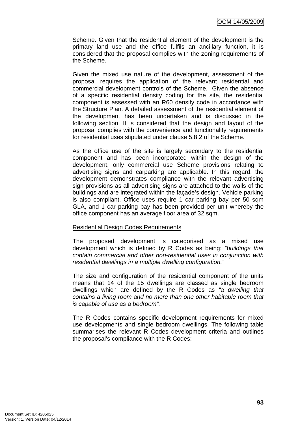Scheme. Given that the residential element of the development is the primary land use and the office fulfils an ancillary function, it is considered that the proposal complies with the zoning requirements of the Scheme.

Given the mixed use nature of the development, assessment of the proposal requires the application of the relevant residential and commercial development controls of the Scheme. Given the absence of a specific residential density coding for the site, the residential component is assessed with an R60 density code in accordance with the Structure Plan. A detailed assessment of the residential element of the development has been undertaken and is discussed in the following section. It is considered that the design and layout of the proposal complies with the convenience and functionality requirements for residential uses stipulated under clause 5.8.2 of the Scheme.

As the office use of the site is largely secondary to the residential component and has been incorporated within the design of the development, only commercial use Scheme provisions relating to advertising signs and carparking are applicable. In this regard, the development demonstrates compliance with the relevant advertising sign provisions as all advertising signs are attached to the walls of the buildings and are integrated within the façade's design. Vehicle parking is also compliant. Office uses require 1 car parking bay per 50 sqm GLA, and 1 car parking bay has been provided per unit whereby the office component has an average floor area of 32 sqm.

#### Residential Design Codes Requirements

The proposed development is categorised as a mixed use development which is defined by R Codes as being: *"buildings that contain commercial and other non-residential uses in conjunction with residential dwellings in a multiple dwelling configuration."* 

The size and configuration of the residential component of the units means that 14 of the 15 dwellings are classed as single bedroom dwellings which are defined by the R Codes as *"a dwelling that contains a living room and no more than one other habitable room that is capable of use as a bedroom".* 

The R Codes contains specific development requirements for mixed use developments and single bedroom dwellings. The following table summarises the relevant R Codes development criteria and outlines the proposal's compliance with the R Codes: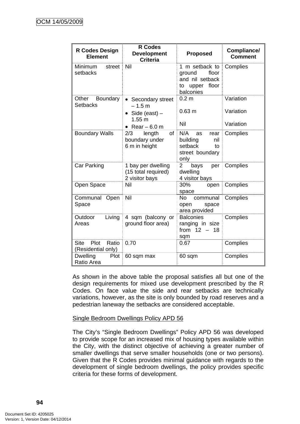| <b>R Codes Design</b><br><b>Element</b>            | <b>R</b> Codes<br><b>Development</b><br><b>Criteria</b>     | <b>Proposed</b>                                                                           | Compliance/<br><b>Comment</b> |
|----------------------------------------------------|-------------------------------------------------------------|-------------------------------------------------------------------------------------------|-------------------------------|
| Minimum<br>street<br>setbacks                      | Nil                                                         | 1 m setback to<br>floor<br>ground<br>and nil setback<br>floor<br>upper<br>to<br>balconies | Complies                      |
| Boundary<br>Other<br><b>Setbacks</b>               | Secondary street<br>$-1.5 m$<br>• Side (east) $-$<br>1.55 m | 0.2 <sub>m</sub><br>$0.63 \; m$                                                           | Variation<br>Variation        |
|                                                    | $Rear - 6.0 m$                                              | Nil                                                                                       | Variation                     |
| <b>Boundary Walls</b>                              | 2/3<br>length<br>of<br>boundary under<br>6 m in height      | N/A<br>as<br>rear<br>building<br>nil<br>setback<br>to<br>street boundary<br>only          | Complies                      |
| Car Parking                                        | 1 bay per dwelling<br>(15 total required)<br>2 visitor bays | $\overline{2}$<br>bays<br>per<br>dwelling<br>4 visitor bays                               | Complies                      |
| Open Space                                         | Nil                                                         | 30%<br>open<br>space                                                                      | Complies                      |
| Communal<br>Open<br>Space                          | Nil                                                         | <b>No</b><br>communal<br>open<br>space<br>area provided                                   | Complies                      |
| Outdoor<br>Living<br>Areas                         | 4 sqm (balcony or<br>ground floor area)                     | <b>Balconies</b><br>ranging in size<br>from $12 - 18$<br>sqm                              | Complies                      |
| <b>Site</b><br>Plot<br>Ratio<br>(Residential only) | 0.70                                                        | 0.67                                                                                      | Complies                      |
| <b>Dwelling</b><br>Plot<br>Ratio Area              | 60 sqm max                                                  | 60 sqm                                                                                    | Complies                      |

As shown in the above table the proposal satisfies all but one of the design requirements for mixed use development prescribed by the R Codes. On face value the side and rear setbacks are technically variations, however, as the site is only bounded by road reserves and a pedestrian laneway the setbacks are considered acceptable.

#### Single Bedroom Dwellings Policy APD 56

The City's "Single Bedroom Dwellings" Policy APD 56 was developed to provide scope for an increased mix of housing types available within the City, with the distinct objective of achieving a greater number of smaller dwellings that serve smaller households (one or two persons). Given that the R Codes provides minimal guidance with regards to the development of single bedroom dwellings, the policy provides specific criteria for these forms of development.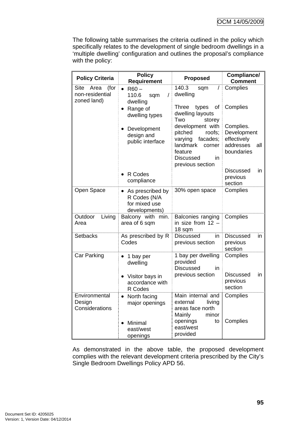The following table summarises the criteria outlined in the policy which specifically relates to the development of single bedroom dwellings in a 'multiple dwelling' configuration and outlines the proposal's compliance with the policy:

| <b>Policy Criteria</b>                                        | <b>Policy</b><br>Requirement                                            | <b>Proposed</b>                                                                | Compliance/<br><b>Comment</b>                 |
|---------------------------------------------------------------|-------------------------------------------------------------------------|--------------------------------------------------------------------------------|-----------------------------------------------|
| (for<br><b>Site</b><br>Area<br>non-residential<br>zoned land) | $\bullet$<br>$R60 -$<br>110.6<br>$\prime$<br>sqm<br>dwelling            | 140.3<br>sqm<br>$\sqrt{2}$<br>dwelling                                         | Complies                                      |
|                                                               | Range of<br>dwelling types                                              | <b>Three</b><br>types<br>of<br>dwelling layouts<br>Two<br>storey               | Complies                                      |
|                                                               | Development<br>design and                                               | development with<br>pitched<br>roofs;<br>varying<br>facades;                   | Complies.<br>Development<br>effectively       |
|                                                               | public interface                                                        | landmark<br>corner<br>feature<br><b>Discussed</b><br>in<br>previous section    | addresses<br>all<br>boundaries                |
|                                                               | R Codes<br>compliance                                                   |                                                                                | <b>Discussed</b><br>in<br>previous<br>section |
| Open Space                                                    | As prescribed by<br>٠<br>R Codes (N/A<br>for mixed use<br>developments) | 30% open space                                                                 | Complies                                      |
| Outdoor<br>Living<br>Area                                     | Balcony with min.<br>area of 6 sqm                                      | Balconies ranging<br>in size from $12 -$<br>18 sqm                             | Complies                                      |
| <b>Setbacks</b>                                               | As prescribed by R<br>Codes                                             | <b>Discussed</b><br>in<br>previous section                                     | <b>Discussed</b><br>in<br>previous<br>section |
| Car Parking                                                   | 1 bay per<br>$\bullet$<br>dwelling                                      | 1 bay per dwelling<br>provided<br><b>Discussed</b><br>in                       | Complies                                      |
|                                                               | Visitor bays in<br>accordance with<br>R Codes                           | previous section                                                               | <b>Discussed</b><br>in<br>previous<br>section |
| Environmental<br>Design<br>Considerations                     | North facing<br>major openings                                          | Main internal and<br>external<br>living<br>areas face north<br>minor<br>Mainly | Complies                                      |
|                                                               | Minimal<br>east/west<br>openings                                        | openings<br>to<br>east/west<br>provided                                        | Complies                                      |

As demonstrated in the above table, the proposed development complies with the relevant development criteria prescribed by the City's Single Bedroom Dwellings Policy APD 56.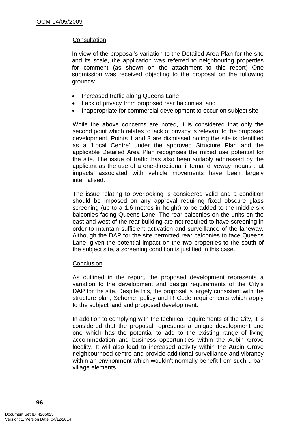## **Consultation**

In view of the proposal's variation to the Detailed Area Plan for the site and its scale, the application was referred to neighbouring properties for comment (as shown on the attachment to this report) One submission was received objecting to the proposal on the following grounds:

- Increased traffic along Queens Lane
- Lack of privacy from proposed rear balconies; and
- Inappropriate for commercial development to occur on subject site

While the above concerns are noted, it is considered that only the second point which relates to lack of privacy is relevant to the proposed development. Points 1 and 3 are dismissed noting the site is identified as a 'Local Centre' under the approved Structure Plan and the applicable Detailed Area Plan recognises the mixed use potential for the site. The issue of traffic has also been suitably addressed by the applicant as the use of a one-directional internal driveway means that impacts associated with vehicle movements have been largely internalised.

The issue relating to overlooking is considered valid and a condition should be imposed on any approval requiring fixed obscure glass screening (up to a 1.6 metres in height) to be added to the middle six balconies facing Queens Lane. The rear balconies on the units on the east and west of the rear building are not required to have screening in order to maintain sufficient activation and surveillance of the laneway. Although the DAP for the site permitted rear balconies to face Queens Lane, given the potential impact on the two properties to the south of the subject site, a screening condition is justified in this case.

#### **Conclusion**

As outlined in the report, the proposed development represents a variation to the development and design requirements of the City's DAP for the site. Despite this, the proposal is largely consistent with the structure plan, Scheme, policy and R Code requirements which apply to the subject land and proposed development.

In addition to complying with the technical requirements of the City, it is considered that the proposal represents a unique development and one which has the potential to add to the existing range of living accommodation and business opportunities within the Aubin Grove locality. It will also lead to increased activity within the Aubin Grove neighbourhood centre and provide additional surveillance and vibrancy within an environment which wouldn't normally benefit from such urban village elements.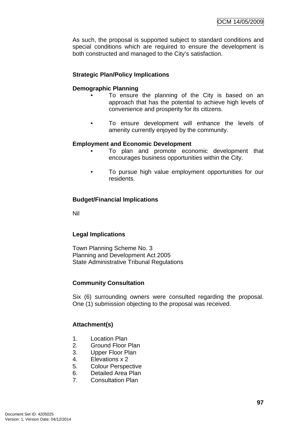As such, the proposal is supported subject to standard conditions and special conditions which are required to ensure the development is both constructed and managed to the City's satisfaction.

## **Strategic Plan/Policy Implications**

#### **Demographic Planning**

- To ensure the planning of the City is based on an approach that has the potential to achieve high levels of convenience and prosperity for its citizens.
- To ensure development will enhance the levels of amenity currently enjoyed by the community.

#### **Employment and Economic Development**

- To plan and promote economic development that encourages business opportunities within the City.
- To pursue high value employment opportunities for our residents.

#### **Budget/Financial Implications**

Nil

#### **Legal Implications**

Town Planning Scheme No. 3 Planning and Development Act 2005 State Administrative Tribunal Regulations

#### **Community Consultation**

Six (6) surrounding owners were consulted regarding the proposal. One (1) submission objecting to the proposal was received.

## **Attachment(s)**

- 1. Location Plan
- 2. Ground Floor Plan
- 3. Upper Floor Plan
- 4. Elevations x 2
- 5. Colour Perspective
- 6. Detailed Area Plan
- 7. Consultation Plan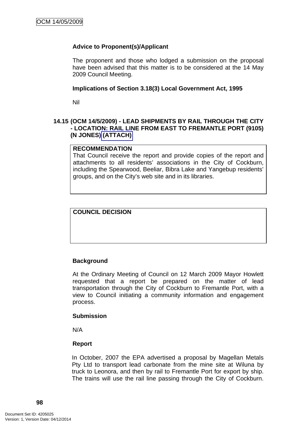## **Advice to Proponent(s)/Applicant**

The proponent and those who lodged a submission on the proposal have been advised that this matter is to be considered at the 14 May 2009 Council Meeting.

#### **Implications of Section 3.18(3) Local Government Act, 1995**

Nil

## **14.15 (OCM 14/5/2009) - LEAD SHIPMENTS BY RAIL THROUGH THE CITY - LOCATION: RAIL LINE FROM EAST TO FREMANTLE PORT (9105) (N JONES) (ATTACH)**

#### **RECOMMENDATION**

That Council receive the report and provide copies of the report and attachments to all residents' associations in the City of Cockburn, including the Spearwood, Beeliar, Bibra Lake and Yangebup residents' groups, and on the City's web site and in its libraries.

## **COUNCIL DECISION**

#### **Background**

At the Ordinary Meeting of Council on 12 March 2009 Mayor Howlett requested that a report be prepared on the matter of lead transportation through the City of Cockburn to Fremantle Port, with a view to Council initiating a community information and engagement process.

#### **Submission**

N/A

#### **Report**

In October, 2007 the EPA advertised a proposal by Magellan Metals Pty Ltd to transport lead carbonate from the mine site at Wiluna by truck to Leonora, and then by rail to Fremantle Port for export by ship. The trains will use the rail line passing through the City of Cockburn.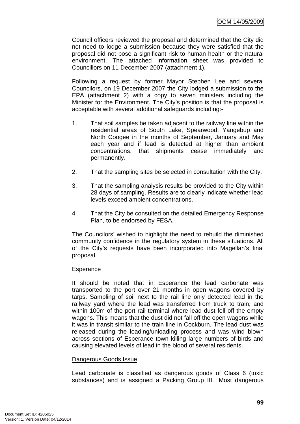Council officers reviewed the proposal and determined that the City did not need to lodge a submission because they were satisfied that the proposal did not pose a significant risk to human health or the natural environment. The attached information sheet was provided to Councillors on 11 December 2007 (attachment 1).

Following a request by former Mayor Stephen Lee and several Councilors, on 19 December 2007 the City lodged a submission to the EPA (attachment 2) with a copy to seven ministers including the Minister for the Environment. The City's position is that the proposal is acceptable with several additional safeguards including:-

- 1. That soil samples be taken adjacent to the railway line within the residential areas of South Lake, Spearwood, Yangebup and North Coogee in the months of September, January and May each year and if lead is detected at higher than ambient concentrations, that shipments cease immediately and permanently.
- 2. That the sampling sites be selected in consultation with the City.
- 3. That the sampling analysis results be provided to the City within 28 days of sampling. Results are to clearly indicate whether lead levels exceed ambient concentrations.
- 4. That the City be consulted on the detailed Emergency Response Plan, to be endorsed by FESA.

The Councilors' wished to highlight the need to rebuild the diminished community confidence in the regulatory system in these situations. All of the City's requests have been incorporated into Magellan's final proposal.

#### **Esperance**

It should be noted that in Esperance the lead carbonate was transported to the port over 21 months in open wagons covered by tarps. Sampling of soil next to the rail line only detected lead in the railway yard where the lead was transferred from truck to train, and within 100m of the port rail terminal where lead dust fell off the empty wagons. This means that the dust did not fall off the open wagons while it was in transit similar to the train line in Cockburn. The lead dust was released during the loading/unloading process and was wind blown across sections of Esperance town killing large numbers of birds and causing elevated levels of lead in the blood of several residents.

#### Dangerous Goods Issue

Lead carbonate is classified as dangerous goods of Class 6 (toxic substances) and is assigned a Packing Group III. Most dangerous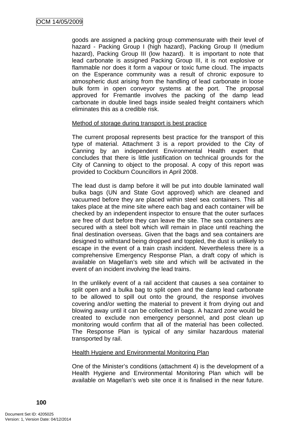goods are assigned a packing group commensurate with their level of hazard - Packing Group I (high hazard), Packing Group II (medium hazard), Packing Group III (low hazard). It is important to note that lead carbonate is assigned Packing Group III, it is not explosive or flammable nor does it form a vapour or toxic fume cloud. The impacts on the Esperance community was a result of chronic exposure to atmospheric dust arising from the handling of lead carbonate in loose bulk form in open conveyor systems at the port. The proposal approved for Fremantle involves the packing of the damp lead carbonate in double lined bags inside sealed freight containers which eliminates this as a credible risk.

#### Method of storage during transport is best practice

The current proposal represents best practice for the transport of this type of material. Attachment 3 is a report provided to the City of Canning by an independent Environmental Health expert that concludes that there is little justification on technical grounds for the City of Canning to object to the proposal. A copy of this report was provided to Cockburn Councillors in April 2008.

The lead dust is damp before it will be put into double laminated wall bulka bags (UN and State Govt approved) which are cleaned and vacuumed before they are placed within steel sea containers. This all takes place at the mine site where each bag and each container will be checked by an independent inspector to ensure that the outer surfaces are free of dust before they can leave the site. The sea containers are secured with a steel bolt which will remain in place until reaching the final destination overseas. Given that the bags and sea containers are designed to withstand being dropped and toppled, the dust is unlikely to escape in the event of a train crash incident. Nevertheless there is a comprehensive Emergency Response Plan, a draft copy of which is available on Magellan's web site and which will be activated in the event of an incident involving the lead trains.

In the unlikely event of a rail accident that causes a sea container to split open and a bulka bag to split open and the damp lead carbonate to be allowed to spill out onto the ground, the response involves covering and/or wetting the material to prevent it from drying out and blowing away until it can be collected in bags. A hazard zone would be created to exclude non emergency personnel, and post clean up monitoring would confirm that all of the material has been collected. The Response Plan is typical of any similar hazardous material transported by rail.

#### Health Hygiene and Environmental Monitoring Plan

One of the Minister's conditions (attachment 4) is the development of a Health Hygiene and Environmental Monitoring Plan which will be available on Magellan's web site once it is finalised in the near future.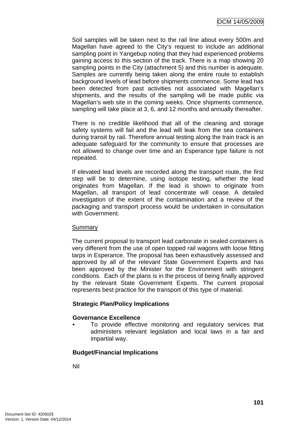Soil samples will be taken next to the rail line about every 500m and Magellan have agreed to the City's request to include an additional sampling point in Yangebup noting that they had experienced problems gaining access to this section of the track. There is a map showing 20 sampling points in the City (attachment 5) and this number is adequate. Samples are currently being taken along the entire route to establish background levels of lead before shipments commence. Some lead has been detected from past activities not associated with Magellan's shipments, and the results of the sampling will be made public via Magellan's web site in the coming weeks. Once shipments commence, sampling will take place at 3, 6, and 12 months and annually thereafter.

There is no credible likelihood that all of the cleaning and storage safety systems will fail and the lead will leak from the sea containers during transit by rail. Therefore annual testing along the train track is an adequate safeguard for the community to ensure that processes are not allowed to change over time and an Esperance type failure is not repeated.

If elevated lead levels are recorded along the transport route, the first step will be to determine, using isotope testing, whether the lead originates from Magellan. If the lead is shown to originate from Magellan, all transport of lead concentrate will cease. A detailed investigation of the extent of the contamination and a review of the packaging and transport process would be undertaken in consultation with Government.

#### Summary

The current proposal to transport lead carbonate in sealed containers is very different from the use of open topped rail wagons with loose fitting tarps in Esperance. The proposal has been exhaustively assessed and approved by all of the relevant State Government Experts and has been approved by the Minister for the Environment with stringent conditions. Each of the plans is in the process of being finally approved by the relevant State Government Experts. The current proposal represents best practice for the transport of this type of material.

#### **Strategic Plan/Policy Implications**

#### **Governance Excellence**

To provide effective monitoring and regulatory services that administers relevant legislation and local laws in a fair and impartial way.

#### **Budget/Financial Implications**

Nil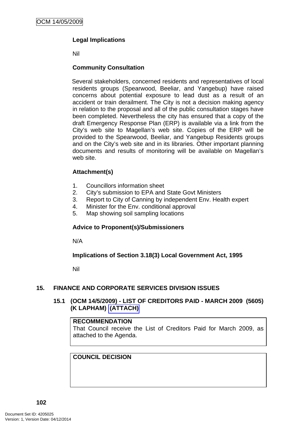## **Legal Implications**

Nil

## **Community Consultation**

Several stakeholders, concerned residents and representatives of local residents groups (Spearwood, Beeliar, and Yangebup) have raised concerns about potential exposure to lead dust as a result of an accident or train derailment. The City is not a decision making agency in relation to the proposal and all of the public consultation stages have been completed. Nevertheless the city has ensured that a copy of the draft Emergency Response Plan (ERP) is available via a link from the City's web site to Magellan's web site. Copies of the ERP will be provided to the Spearwood, Beeliar, and Yangebup Residents groups and on the City's web site and in its libraries. Other important planning documents and results of monitoring will be available on Magellan's web site.

#### **Attachment(s)**

- 1. Councillors information sheet
- 2. City's submission to EPA and State Govt Ministers
- 3. Report to City of Canning by independent Env. Health expert
- 4. Minister for the Env. conditional approval
- 5. Map showing soil sampling locations

## **Advice to Proponent(s)/Submissioners**

N/A

**Implications of Section 3.18(3) Local Government Act, 1995**

Nil

## **15. FINANCE AND CORPORATE SERVICES DIVISION ISSUES**

## **15.1 (OCM 14/5/2009) - LIST OF CREDITORS PAID - MARCH 2009 (5605) (K LAPHAM) (ATTACH)**

#### **RECOMMENDATION**

That Council receive the List of Creditors Paid for March 2009, as attached to the Agenda.

#### **COUNCIL DECISION**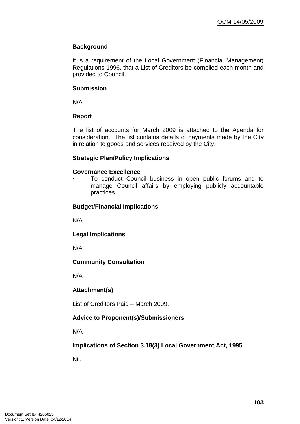# **Background**

It is a requirement of the Local Government (Financial Management) Regulations 1996, that a List of Creditors be compiled each month and provided to Council.

## **Submission**

N/A

# **Report**

The list of accounts for March 2009 is attached to the Agenda for consideration. The list contains details of payments made by the City in relation to goods and services received by the City.

## **Strategic Plan/Policy Implications**

## **Governance Excellence**

• To conduct Council business in open public forums and to manage Council affairs by employing publicly accountable practices.

## **Budget/Financial Implications**

N/A

**Legal Implications** 

N/A

# **Community Consultation**

N/A

# **Attachment(s)**

List of Creditors Paid – March 2009.

## **Advice to Proponent(s)/Submissioners**

N/A

# **Implications of Section 3.18(3) Local Government Act, 1995**

Nil.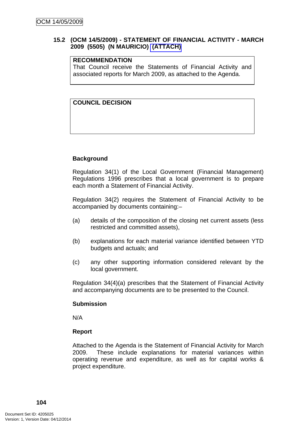## **15.2 (OCM 14/5/2009) - STATEMENT OF FINANCIAL ACTIVITY - MARCH 2009 (5505) (N MAURICIO) (ATTACH)**

## **RECOMMENDATION**

That Council receive the Statements of Financial Activity and associated reports for March 2009, as attached to the Agenda.

# **COUNCIL DECISION**

# **Background**

Regulation 34(1) of the Local Government (Financial Management) Regulations 1996 prescribes that a local government is to prepare each month a Statement of Financial Activity.

Regulation 34(2) requires the Statement of Financial Activity to be accompanied by documents containing:–

- (a) details of the composition of the closing net current assets (less restricted and committed assets),
- (b) explanations for each material variance identified between YTD budgets and actuals; and
- (c) any other supporting information considered relevant by the local government.

Regulation 34(4)(a) prescribes that the Statement of Financial Activity and accompanying documents are to be presented to the Council.

## **Submission**

N/A

## **Report**

Attached to the Agenda is the Statement of Financial Activity for March 2009. These include explanations for material variances within operating revenue and expenditure, as well as for capital works & project expenditure.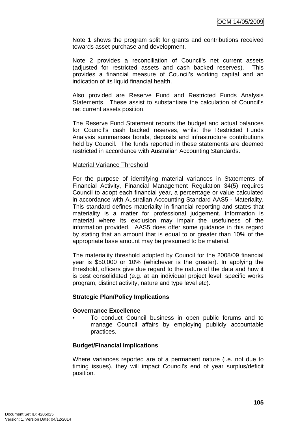Note 1 shows the program split for grants and contributions received towards asset purchase and development.

Note 2 provides a reconciliation of Council's net current assets (adjusted for restricted assets and cash backed reserves). This provides a financial measure of Council's working capital and an indication of its liquid financial health.

Also provided are Reserve Fund and Restricted Funds Analysis Statements. These assist to substantiate the calculation of Council's net current assets position.

The Reserve Fund Statement reports the budget and actual balances for Council's cash backed reserves, whilst the Restricted Funds Analysis summarises bonds, deposits and infrastructure contributions held by Council. The funds reported in these statements are deemed restricted in accordance with Australian Accounting Standards.

#### Material Variance Threshold

For the purpose of identifying material variances in Statements of Financial Activity, Financial Management Regulation 34(5) requires Council to adopt each financial year, a percentage or value calculated in accordance with Australian Accounting Standard AAS5 - Materiality. This standard defines materiality in financial reporting and states that materiality is a matter for professional judgement. Information is material where its exclusion may impair the usefulness of the information provided. AAS5 does offer some guidance in this regard by stating that an amount that is equal to or greater than 10% of the appropriate base amount may be presumed to be material.

The materiality threshold adopted by Council for the 2008/09 financial year is \$50,000 or 10% (whichever is the greater). In applying the threshold, officers give due regard to the nature of the data and how it is best consolidated (e.g. at an individual project level, specific works program, distinct activity, nature and type level etc).

## **Strategic Plan/Policy Implications**

#### **Governance Excellence**

• To conduct Council business in open public forums and to manage Council affairs by employing publicly accountable practices.

## **Budget/Financial Implications**

Where variances reported are of a permanent nature (i.e. not due to timing issues), they will impact Council's end of year surplus/deficit position.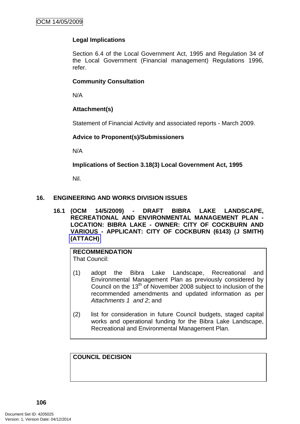# **Legal Implications**

Section 6.4 of the Local Government Act, 1995 and Regulation 34 of the Local Government (Financial management) Regulations 1996, refer.

#### **Community Consultation**

N/A

## **Attachment(s)**

Statement of Financial Activity and associated reports - March 2009.

#### **Advice to Proponent(s)/Submissioners**

N/A

**Implications of Section 3.18(3) Local Government Act, 1995**

Nil.

## **16. ENGINEERING AND WORKS DIVISION ISSUES**

**16.1 (OCM 14/5/2009) - DRAFT BIBRA LAKE LANDSCAPE, RECREATIONAL AND ENVIRONMENTAL MANAGEMENT PLAN - LOCATION: BIBRA LAKE - OWNER: CITY OF COCKBURN AND VARIOUS - APPLICANT: CITY OF COCKBURN (6143) (J SMITH) (ATTACH)** 

# **RECOMMENDATION**

That Council:

- (1) adopt the Bibra Lake Landscape, Recreational and Environmental Management Plan as previously considered by Council on the 13<sup>th</sup> of November 2008 subject to inclusion of the recommended amendments and updated information as per *Attachments 1 and 2*; and
- (2) list for consideration in future Council budgets, staged capital works and operational funding for the Bibra Lake Landscape, Recreational and Environmental Management Plan.

**COUNCIL DECISION**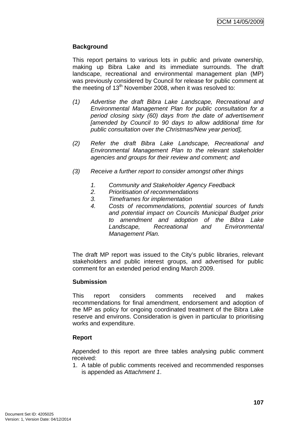## **Background**

This report pertains to various lots in public and private ownership, making up Bibra Lake and its immediate surrounds. The draft landscape, recreational and environmental management plan (MP) was previously considered by Council for release for public comment at the meeting of  $13<sup>th</sup>$  November 2008, when it was resolved to:

- *(1) Advertise the draft Bibra Lake Landscape, Recreational and Environmental Management Plan for public consultation for a period closing sixty (60) days from the date of advertisement [amended by Council to 90 days to allow additional time for public consultation over the Christmas/New year period],*
- *(2) Refer the draft Bibra Lake Landscape, Recreational and Environmental Management Plan to the relevant stakeholder agencies and groups for their review and comment; and*
- *(3) Receive a further report to consider amongst other things* 
	- *1. Community and Stakeholder Agency Feedback*
	- *2. Prioritisation of recommendations*
	- *3. Timeframes for implementation*
	- *4. Costs of recommendations, potential sources of funds and potential impact on Councils Municipal Budget prior to amendment and adoption of the Bibra Lake Landscape, Recreational and Environmental Management Plan.*

The draft MP report was issued to the City's public libraries, relevant stakeholders and public interest groups, and advertised for public comment for an extended period ending March 2009.

# **Submission**

This report considers comments received and makes recommendations for final amendment, endorsement and adoption of the MP as policy for ongoing coordinated treatment of the Bibra Lake reserve and environs. Consideration is given in particular to prioritising works and expenditure.

# **Report**

Appended to this report are three tables analysing public comment received:

1. A table of public comments received and recommended responses is appended as *Attachment 1*.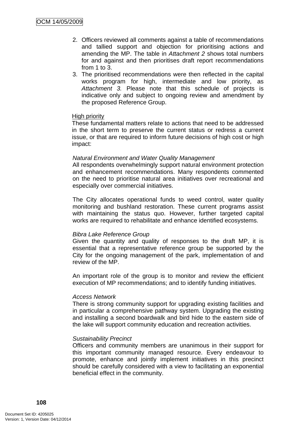- 2. Officers reviewed all comments against a table of recommendations and tallied support and objection for prioritising actions and amending the MP. The table in *Attachment 2* shows total numbers for and against and then prioritises draft report recommendations from 1 to 3.
- 3. The prioritised recommendations were then reflected in the capital works program for high, intermediate and low priority, as *Attachment 3.* Please note that this schedule of projects is indicative only and subject to ongoing review and amendment by the proposed Reference Group.

#### High priority

These fundamental matters relate to actions that need to be addressed in the short term to preserve the current status or redress a current issue, or that are required to inform future decisions of high cost or high impact:

#### *Natural Environment and Water Quality Management*

All respondents overwhelmingly support natural environment protection and enhancement recommendations. Many respondents commented on the need to prioritise natural area initiatives over recreational and especially over commercial initiatives.

The City allocates operational funds to weed control, water quality monitoring and bushland restoration. These current programs assist with maintaining the status quo. However, further targeted capital works are required to rehabilitate and enhance identified ecosystems.

#### *Bibra Lake Reference Group*

Given the quantity and quality of responses to the draft MP, it is essential that a representative reference group be supported by the City for the ongoing management of the park, implementation of and review of the MP.

An important role of the group is to monitor and review the efficient execution of MP recommendations; and to identify funding initiatives.

#### *Access Network*

There is strong community support for upgrading existing facilities and in particular a comprehensive pathway system. Upgrading the existing and installing a second boardwalk and bird hide to the eastern side of the lake will support community education and recreation activities.

#### *Sustainability Precinct*

Officers and community members are unanimous in their support for this important community managed resource. Every endeavour to promote, enhance and jointly implement initiatives in this precinct should be carefully considered with a view to facilitating an exponential beneficial effect in the community.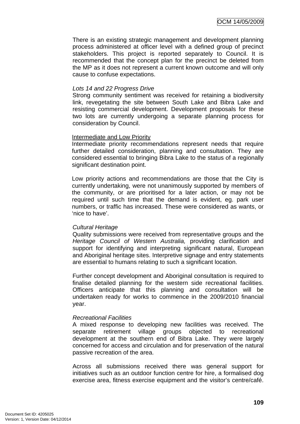There is an existing strategic management and development planning process administered at officer level with a defined group of precinct stakeholders. This project is reported separately to Council. It is recommended that the concept plan for the precinct be deleted from the MP as it does not represent a current known outcome and will only cause to confuse expectations.

#### *Lots 14 and 22 Progress Drive*

Strong community sentiment was received for retaining a biodiversity link, revegetating the site between South Lake and Bibra Lake and resisting commercial development. Development proposals for these two lots are currently undergoing a separate planning process for consideration by Council.

#### Intermediate and Low Priority

Intermediate priority recommendations represent needs that require further detailed consideration, planning and consultation. They are considered essential to bringing Bibra Lake to the status of a regionally significant destination point.

Low priority actions and recommendations are those that the City is currently undertaking, were not unanimously supported by members of the community, or are prioritised for a later action, or may not be required until such time that the demand is evident, eg. park user numbers, or traffic has increased. These were considered as wants, or 'nice to have'.

## *Cultural Heritage*

Quality submissions were received from representative groups and the *Heritage Council of Western Australia,* providing clarification and support for identifying and interpreting significant natural, European and Aboriginal heritage sites. Interpretive signage and entry statements are essential to humans relating to such a significant location.

Further concept development and Aboriginal consultation is required to finalise detailed planning for the western side recreational facilities. Officers anticipate that this planning and consultation will be undertaken ready for works to commence in the 2009/2010 financial year.

## *Recreational Facilities*

A mixed response to developing new facilities was received. The separate retirement village groups objected to recreational development at the southern end of Bibra Lake. They were largely concerned for access and circulation and for preservation of the natural passive recreation of the area.

Across all submissions received there was general support for initiatives such as an outdoor function centre for hire, a formalised dog exercise area, fitness exercise equipment and the visitor's centre/café.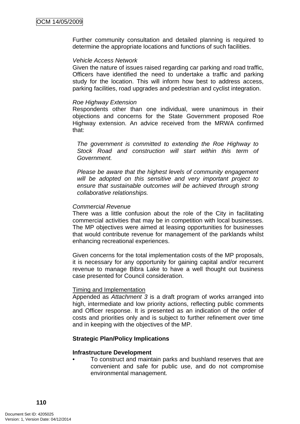Further community consultation and detailed planning is required to determine the appropriate locations and functions of such facilities.

#### *Vehicle Access Network*

Given the nature of issues raised regarding car parking and road traffic, Officers have identified the need to undertake a traffic and parking study for the location. This will inform how best to address access, parking facilities, road upgrades and pedestrian and cyclist integration.

#### *Roe Highway Extension*

Respondents other than one individual, were unanimous in their objections and concerns for the State Government proposed Roe Highway extension. An advice received from the MRWA confirmed that:

*The government is committed to extending the Roe Highway to Stock Road and construction will start within this term of Government.* 

*Please be aware that the highest levels of community engagement will be adopted on this sensitive and very important project to ensure that sustainable outcomes will be achieved through strong collaborative relationships.* 

#### *Commercial Revenue*

There was a little confusion about the role of the City in facilitating commercial activities that may be in competition with local businesses. The MP objectives were aimed at leasing opportunities for businesses that would contribute revenue for management of the parklands whilst enhancing recreational experiences.

Given concerns for the total implementation costs of the MP proposals, it is necessary for any opportunity for gaining capital and/or recurrent revenue to manage Bibra Lake to have a well thought out business case presented for Council consideration.

#### Timing and Implementation

Appended as *Attachment 3* is a draft program of works arranged into high, intermediate and low priority actions, reflecting public comments and Officer response. It is presented as an indication of the order of costs and priorities only and is subject to further refinement over time and in keeping with the objectives of the MP.

## **Strategic Plan/Policy Implications**

#### **Infrastructure Development**

• To construct and maintain parks and bushland reserves that are convenient and safe for public use, and do not compromise environmental management.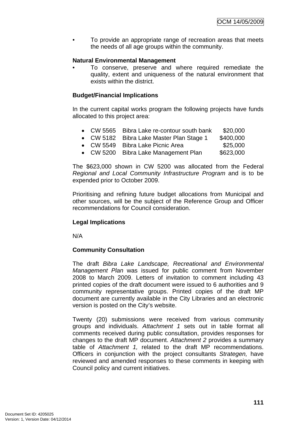• To provide an appropriate range of recreation areas that meets the needs of all age groups within the community.

## **Natural Environmental Management**

• To conserve, preserve and where required remediate the quality, extent and uniqueness of the natural environment that exists within the district.

## **Budget/Financial Implications**

In the current capital works program the following projects have funds allocated to this project area:

• CW 5565 Bibra Lake re-contour south bank \$20,000 • CW 5182 Bibra Lake Master Plan Stage 1 \$400,000

|  | • GW 5162 BIDIA LAKE MASIEI PIAN STAGE T | DUU,UUU   |
|--|------------------------------------------|-----------|
|  | • CW 5549 Bibra Lake Picnic Area         | \$25,000  |
|  | • CW 5200 Bibra Lake Management Plan     | \$623,000 |

The \$623,000 shown in CW 5200 was allocated from the Federal *Regional and Local Community Infrastructure Program* and is to be expended prior to October 2009.

Prioritising and refining future budget allocations from Municipal and other sources, will be the subject of the Reference Group and Officer recommendations for Council consideration.

## **Legal Implications**

N/A

# **Community Consultation**

The draft *Bibra Lake Landscape, Recreational and Environmental Management Plan* was issued for public comment from November 2008 to March 2009. Letters of invitation to comment including 43 printed copies of the draft document were issued to 6 authorities and 9 community representative groups. Printed copies of the draft MP document are currently available in the City Libraries and an electronic version is posted on the City's website.

Twenty (20) submissions were received from various community groups and individuals. *Attachment 1* sets out in table format all comments received during public consultation, provides responses for changes to the draft MP document. *Attachment 2* provides a summary table of *Attachment 1,* related to the draft MP recommendations. Officers in conjunction with the project consultants *Strategen,* have reviewed and amended responses to these comments in keeping with Council policy and current initiatives.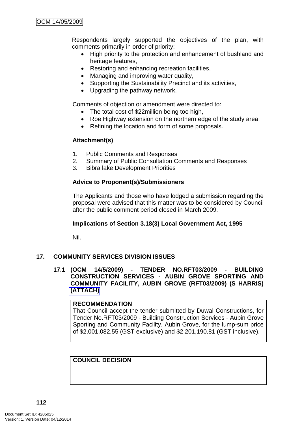Respondents largely supported the objectives of the plan, with comments primarily in order of priority:

- High priority to the protection and enhancement of bushland and heritage features,
- Restoring and enhancing recreation facilities,
- Managing and improving water quality,
- Supporting the Sustainability Precinct and its activities,
- Upgrading the pathway network.

Comments of objection or amendment were directed to:

- The total cost of \$22million being too high,
- Roe Highway extension on the northern edge of the study area,
- Refining the location and form of some proposals.

# **Attachment(s)**

- 1. Public Comments and Responses
- 2. Summary of Public Consultation Comments and Responses
- 3. Bibra lake Development Priorities

# **Advice to Proponent(s)/Submissioners**

The Applicants and those who have lodged a submission regarding the proposal were advised that this matter was to be considered by Council after the public comment period closed in March 2009.

## **Implications of Section 3.18(3) Local Government Act, 1995**

Nil.

## **17. COMMUNITY SERVICES DIVISION ISSUES**

#### **17.1 (OCM 14/5/2009) - TENDER NO.RFT03/2009 - BUILDING CONSTRUCTION SERVICES - AUBIN GROVE SPORTING AND COMMUNITY FACILITY, AUBIN GROVE (RFT03/2009) (S HARRIS) (ATTACH)**

#### **RECOMMENDATION**

That Council accept the tender submitted by Duwal Constructions, for Tender No.RFT03/2009 - Building Construction Services - Aubin Grove Sporting and Community Facility, Aubin Grove, for the lump-sum price of \$2,001,082.55 (GST exclusive) and \$2,201,190.81 (GST inclusive).

**COUNCIL DECISION**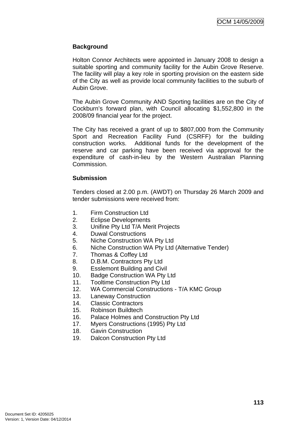# **Background**

Holton Connor Architects were appointed in January 2008 to design a suitable sporting and community facility for the Aubin Grove Reserve. The facility will play a key role in sporting provision on the eastern side of the City as well as provide local community facilities to the suburb of Aubin Grove.

The Aubin Grove Community AND Sporting facilities are on the City of Cockburn's forward plan, with Council allocating \$1,552,800 in the 2008/09 financial year for the project.

The City has received a grant of up to \$807,000 from the Community Sport and Recreation Facility Fund (CSRFF) for the building construction works. Additional funds for the development of the reserve and car parking have been received via approval for the expenditure of cash-in-lieu by the Western Australian Planning Commission.

## **Submission**

Tenders closed at 2.00 p.m. (AWDT) on Thursday 26 March 2009 and tender submissions were received from:

- 1. Firm Construction Ltd
- 2. Eclipse Developments
- 3. Unifine Pty Ltd T/A Merit Projects
- 4. Duwal Constructions
- 5. Niche Construction WA Pty Ltd
- 6. Niche Construction WA Pty Ltd (Alternative Tender)
- 7. Thomas & Coffey Ltd
- 8. D.B.M. Contractors Pty Ltd
- 9. Esslemont Building and Civil
- 10. Badge Construction WA Pty Ltd
- 11. Tooltime Construction Pty Ltd
- 12. WA Commercial Constructions T/A KMC Group
- 13. Laneway Construction
- 14. Classic Contractors
- 15. Robinson Buildtech
- 16. Palace Holmes and Construction Pty Ltd
- 17. Myers Constructions (1995) Pty Ltd
- 18. Gavin Construction
- 19. Dalcon Construction Pty Ltd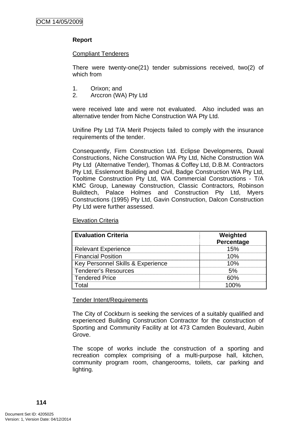# **Report**

#### Compliant Tenderers

There were twenty-one(21) tender submissions received, two(2) of which from

- 1. Orixon; and
- 2. Arccron (WA) Pty Ltd

were received late and were not evaluated. Also included was an alternative tender from Niche Construction WA Pty Ltd.

Unifine Pty Ltd T/A Merit Projects failed to comply with the insurance requirements of the tender.

Consequently, Firm Construction Ltd. Eclipse Developments, Duwal Constructions, Niche Construction WA Pty Ltd, Niche Construction WA Pty Ltd (Alternative Tender)*,* Thomas & Coffey Ltd, D.B.M. Contractors Pty Ltd, Esslemont Building and Civil, Badge Construction WA Pty Ltd, Tooltime Construction Pty Ltd, WA Commercial Constructions - T/A KMC Group, Laneway Construction, Classic Contractors, Robinson Buildtech, Palace Holmes and Construction Pty Ltd, Myers Constructions (1995) Pty Ltd, Gavin Construction, Dalcon Construction Pty Ltd were further assessed.

| <b>Evaluation Criteria</b>        | Weighted<br>Percentage |
|-----------------------------------|------------------------|
| <b>Relevant Experience</b>        | 15%                    |
| <b>Financial Position</b>         | 10%                    |
| Key Personnel Skills & Experience | 10%                    |
| <b>Tenderer's Resources</b>       | 5%                     |
| <b>Tendered Price</b>             | ደሀል                    |
|                                   |                        |

#### Elevation Criteria

## Tender Intent/Requirements

The City of Cockburn is seeking the services of a suitably qualified and experienced Building Construction Contractor for the construction of Sporting and Community Facility at lot 473 Camden Boulevard, Aubin Grove.

The scope of works include the construction of a sporting and recreation complex comprising of a multi-purpose hall, kitchen, community program room, changerooms, toilets, car parking and lighting.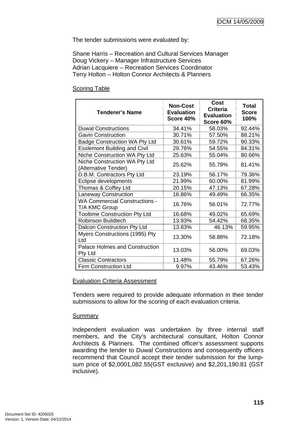The tender submissions were evaluated by:

Shane Harris – Recreation and Cultural Services Manager Doug Vickery – Manager Infrastructure Services Adrian Lacquiere – Recreation Services Coordinator Terry Holton – Holton Connor Architects & Planners

#### **Scoring Table**

| <b>Tenderer's Name</b>                                | <b>Non-Cost</b><br><b>Evaluation</b><br>Score 40% | Cost<br><b>Criteria</b><br><b>Evaluation</b><br>Score 60% | Total<br><b>Score</b><br>100% |
|-------------------------------------------------------|---------------------------------------------------|-----------------------------------------------------------|-------------------------------|
| <b>Duwal Constructions</b>                            | 34.41%                                            | 58.03%                                                    | 92.44%                        |
| <b>Gavin Construction</b>                             | 30.71%                                            | 57.50%                                                    | 88.21%                        |
| <b>Badge Construction WA Pty Ltd</b>                  | 30.61%                                            | 59.72%                                                    | 90.33%                        |
| <b>Esslemont Building and Civil</b>                   | 29.76%                                            | 54.55%                                                    | 84.31%                        |
| Niche Construction WA Pty Ltd                         | 25.63%                                            | 55.04%                                                    | 80.66%                        |
| Niche Construction WA Pty Ltd<br>(Alternative Tender) | 25.62%                                            | 55.79%                                                    | 81.41%                        |
| D.B.M. Contractors Pty Ltd                            | 23.19%                                            | 56.17%                                                    | 79.36%                        |
| Eclipse developments                                  | 21.99%                                            | 60.00%                                                    | 81.99%                        |
| Thomas & Coffey Ltd                                   | 20.15%                                            | 47.13%                                                    | 67.28%                        |
| <b>Laneway Construction</b>                           | 16.86%                                            | 49.49%                                                    | 66.35%                        |
| <b>WA Commercial Constructions -</b><br>T/A KMC Group | 16.76%                                            | 56.01%                                                    | 72.77%                        |
| <b>Tooltime Construction Pty Ltd</b>                  | 16.68%                                            | 49.02%                                                    | 65.69%                        |
| <b>Robinson Buildtech</b>                             | 13.93%                                            | 54.42%                                                    | 68.35%                        |
| Dalcon Construction Pty Ltd                           | 13.83%                                            | 46.13%                                                    | 59.95%                        |
| Myers Constructions (1995) Pty<br>Ltd                 | 13.30%                                            | 58.88%                                                    | 72.18%                        |
| Palace Holmes and Construction<br>Pty Ltd             | 13.03%                                            | 56.00%                                                    | 69.03%                        |
| <b>Classic Contractors</b>                            | 11.48%                                            | 55.79%                                                    | 67.26%                        |
| <b>Firm Construction Ltd</b>                          | 9.97%                                             | 43.46%                                                    | 53.43%                        |

## Evaluation Criteria Assessment

Tenders were required to provide adequate information in their tender submissions to allow for the scoring of each evaluation criteria.

#### **Summary**

Independent evaluation was undertaken by three internal staff members, and the City's architectural consultant, Holton Connor Architects & Planners. The combined officer's assessment supports awarding the tender to Duwal Constructions and consequently officers recommend that Council accept their tender submission for the lumpsum price of \$2,0001,082.55(GST exclusive) and \$2,201,190.81 (GST inclusive).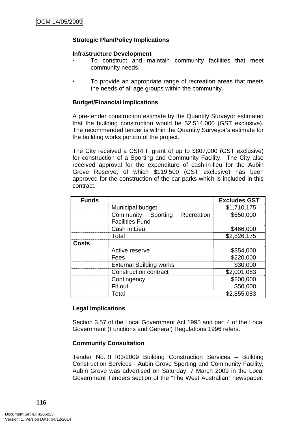# **Strategic Plan/Policy Implications**

## **Infrastructure Development**

- To construct and maintain community facilities that meet community needs.
- To provide an appropriate range of recreation areas that meets the needs of all age groups within the community.

# **Budget/Financial Implications**

A pre-tender construction estimate by the Quantity Surveyor estimated that the building construction would be \$2,514,000 (GST exclusive). The recommended tender is within the Quantity Surveyor's estimate for the building works portion of the project.

The City received a CSRFF grant of up to \$807,000 (GST exclusive) for construction of a Sporting and Community Facility. The City also received approval for the expenditure of cash-in-lieu for the Aubin Grove Reserve, of which \$119,500 (GST exclusive) has been approved for the construction of the car parks which is included in this contract.

| <b>Funds</b> |                                                            | <b>Excludes GST</b> |
|--------------|------------------------------------------------------------|---------------------|
|              | Municipal budget                                           | \$1,710,175         |
|              | Community Sporting<br>Recreation<br><b>Facilities Fund</b> | \$650,000           |
|              | Cash in Lieu                                               | \$466,000           |
|              | Total                                                      | \$2,826,175         |
| <b>Costs</b> |                                                            |                     |
|              | Active reserve                                             | \$354,000           |
|              | Fees                                                       | \$220,000           |
|              | <b>External Building works</b>                             | \$30,000            |
|              | <b>Construction contract</b>                               | \$2,001,083         |
|              | Contingency                                                | \$200,000           |
|              | Fit out                                                    | \$50,000            |
|              | Total                                                      | \$2,855,083         |

# **Legal Implications**

Section 3.57 of the Local Government Act 1995 and part 4 of the Local Government (Functions and General) Regulations 1996 refers.

# **Community Consultation**

Tender No.RFT03/2009 Building Construction Services – Building Construction Services - Aubin Grove Sporting and Community Facility, Aubin Grove was advertised on Saturday, 7 March 2009 in the Local Government Tenders section of the "The West Australian" newspaper.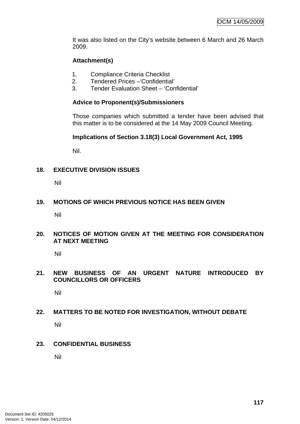It was also listed on the City's website between 6 March and 26 March 2009.

# **Attachment(s)**

- 1. Compliance Criteria Checklist
- 2. Tendered Prices –'Confidential'
- 3. Tender Evaluation Sheet 'Confidential'

## **Advice to Proponent(s)/Submissioners**

Those companies which submitted a tender have been advised that this matter is to be considered at the 14 May 2009 Council Meeting.

#### **Implications of Section 3.18(3) Local Government Act, 1995**

Nil.

# **18. EXECUTIVE DIVISION ISSUES**

Nil

# **19. MOTIONS OF WHICH PREVIOUS NOTICE HAS BEEN GIVEN**

Nil

# **20. NOTICES OF MOTION GIVEN AT THE MEETING FOR CONSIDERATION AT NEXT MEETING**

Nil

# **21. NEW BUSINESS OF AN URGENT NATURE INTRODUCED BY COUNCILLORS OR OFFICERS**

Nil

# **22. MATTERS TO BE NOTED FOR INVESTIGATION, WITHOUT DEBATE**

Nil

## **23. CONFIDENTIAL BUSINESS**

Nil